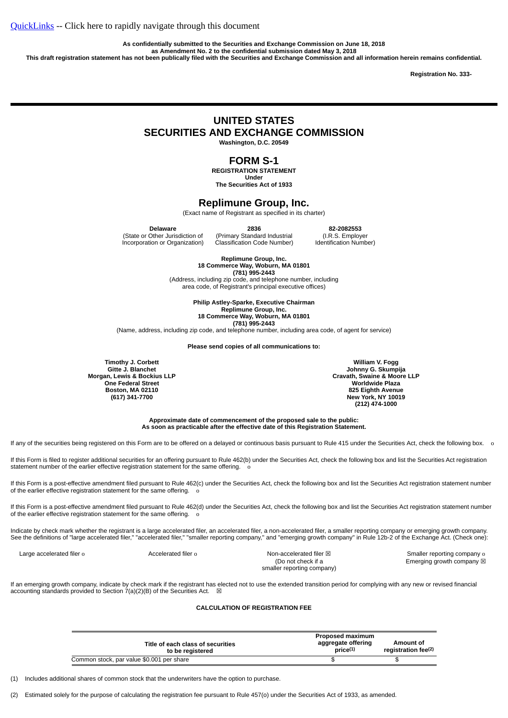**As confidentially submitted to the Securities and Exchange Commission on June 18, 2018 as Amendment No. 2 to the confidential submission dated May 3, 2018**

This draft registration statement has not been publically filed with the Securities and Exchange Commission and all information herein remains confidential.

**Registration No. 333-**

# **UNITED STATES**

**SECURITIES AND EXCHANGE COMMISSION**

**Washington, D.C. 20549**

# **FORM S-1**

**REGISTRATION STATEMENT Under**

**The Securities Act of 1933**

## **Replimune Group, Inc.**

(Exact name of Registrant as specified in its charter)

**Delaware**

(State or Other Jurisdiction of Incorporation or Organization)

**2836** (Primary Standard Industrial Classification Code Number)

**82-2082553** (I.R.S. Employer

Identification Number)

**Replimune Group, Inc. 18 Commerce Way, Woburn, MA 01801 (781) 995-2443**

(Address, including zip code, and telephone number, including area code, of Registrant's principal executive offices)

> **Philip Astley-Sparke, Executive Chairman Replimune Group, Inc. 18 Commerce Way, Woburn, MA 01801 (781) 995-2443**

(Name, address, including zip code, and telephone number, including area code, of agent for service)

**Please send copies of all communications to:**

**Timothy J. Corbett Gitte J. Blanchet Morgan, Lewis & Bockius LLP One Federal Street Boston, MA 02110 (617) 341-7700**

**William V. Fogg Johnny G. Skumpija Cravath, Swaine & Moore LLP Worldwide Plaza 825 Eighth Avenue New York, NY 10019 (212) 474-1000**

**Approximate date of commencement of the proposed sale to the public: As soon as practicable after the effective date of this Registration Statement.**

If any of the securities being registered on this Form are to be offered on a delayed or continuous basis pursuant to Rule 415 under the Securities Act, check the following box. o

If this Form is filed to register additional securities for an offering pursuant to Rule 462(b) under the Securities Act, check the following box and list the Securities Act registration statement number of the earlier effective registration statement for the same offering. o

If this Form is a post-effective amendment filed pursuant to Rule 462(c) under the Securities Act, check the following box and list the Securities Act registration statement number of the earlier effective registration statement for the same offering.

If this Form is a post-effective amendment filed pursuant to Rule 462(d) under the Securities Act, check the following box and list the Securities Act registration statement number of the earlier effective registration statement for the same offering.

Indicate by check mark whether the registrant is a large accelerated filer, an accelerated filer, a non-accelerated filer, a smaller reporting company or emerging growth company. See the definitions of "large accelerated filer," "accelerated filer," "smaller reporting company," and "emerging growth company" in Rule 12b-2 of the Exchange Act. (Check one):

| Large accelerated filer o |  |
|---------------------------|--|
|---------------------------|--|

 $\alpha$ celerated filer o  $\alpha$   $\alpha$  Non-accelerated filer  $\boxtimes$ (Do not check if a smaller reporting company)

Smaller reporting company o Emerging growth company  $\boxtimes$ 

If an emerging growth company, indicate by check mark if the registrant has elected not to use the extended transition period for complying with any new or revised financial accounting standards provided to Section  $7(a)(2)(B)$  of the Securities Act.  $\boxtimes$ 

#### **CALCULATION OF REGISTRATION FEE**

| Title of each class of securities<br>to be registered | <b>Proposed maximum</b><br>aggregate offering<br>price <sup>(1)</sup> | Amount of<br>registration fee <sup>(2)</sup> |
|-------------------------------------------------------|-----------------------------------------------------------------------|----------------------------------------------|
| Common stock, par value \$0.001 per share             |                                                                       |                                              |

(1) Includes additional shares of common stock that the underwriters have the option to purchase.

(2) Estimated solely for the purpose of calculating the registration fee pursuant to Rule 457(o) under the Securities Act of 1933, as amended.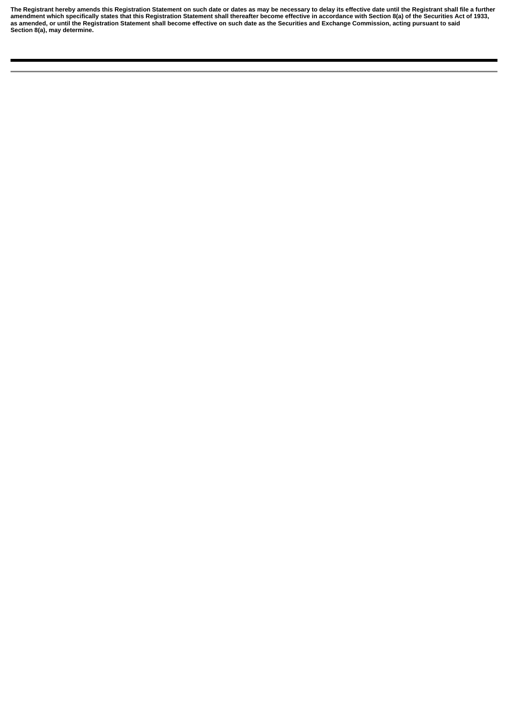The Registrant hereby amends this Registration Statement on such date or dates as may be necessary to delay its effective date until the Registrant shall file a further amendment which specifically states that this Registration Statement shall thereafter become effective in accordance with Section 8(a) of the Securities Act of 1933, as amended, or until the Registration Statement shall become effective on such date as the Securities and Exchange Commission, acting pursuant to said **Section 8(a), may determine.**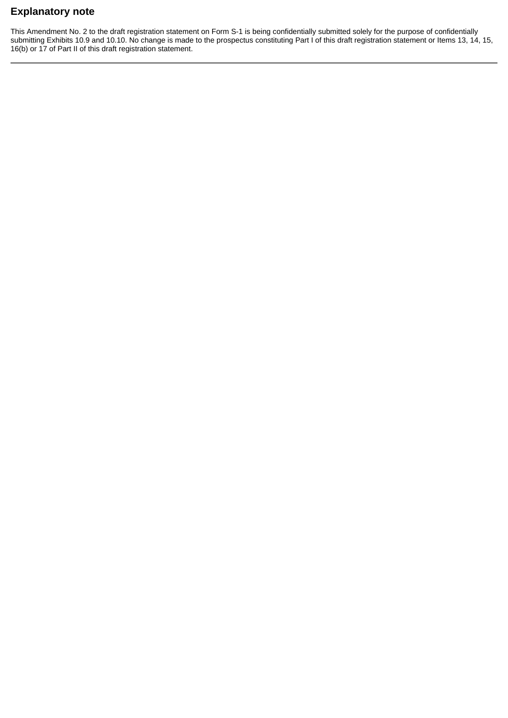# <span id="page-2-0"></span>**Explanatory note**

This Amendment No. 2 to the draft registration statement on Form S-1 is being confidentially submitted solely for the purpose of confidentially submitting Exhibits 10.9 and 10.10. No change is made to the prospectus constituting Part I of this draft registration statement or Items 13, 14, 15, 16(b) or 17 of Part II of this draft registration statement.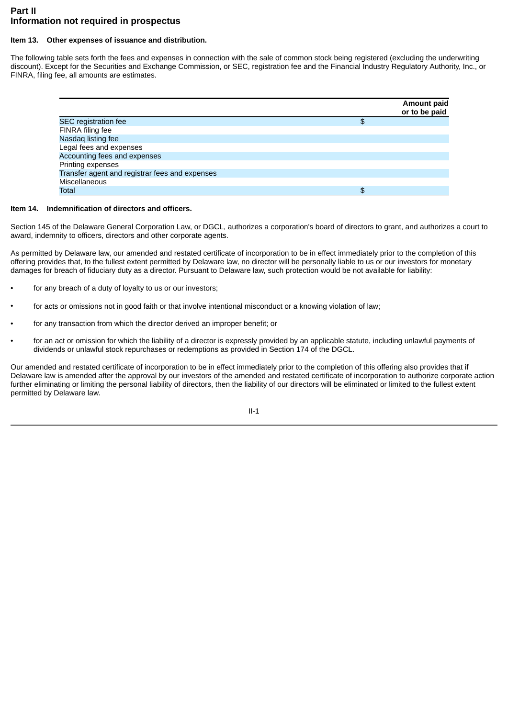# <span id="page-3-0"></span>**Part II Information not required in prospectus**

## <span id="page-3-1"></span>**Item 13. Other expenses of issuance and distribution.**

The following table sets forth the fees and expenses in connection with the sale of common stock being registered (excluding the underwriting discount). Except for the Securities and Exchange Commission, or SEC, registration fee and the Financial Industry Regulatory Authority, Inc., or FINRA, filing fee, all amounts are estimates.

|                                                | Amount paid<br>or to be paid |
|------------------------------------------------|------------------------------|
| <b>SEC</b> registration fee                    | \$                           |
| FINRA filing fee                               |                              |
| Nasdaq listing fee                             |                              |
| Legal fees and expenses                        |                              |
| Accounting fees and expenses                   |                              |
| Printing expenses                              |                              |
| Transfer agent and registrar fees and expenses |                              |
| <b>Miscellaneous</b>                           |                              |
| <b>Total</b>                                   |                              |

## <span id="page-3-2"></span>**Item 14. Indemnification of directors and officers.**

Section 145 of the Delaware General Corporation Law, or DGCL, authorizes a corporation's board of directors to grant, and authorizes a court to award, indemnity to officers, directors and other corporate agents.

As permitted by Delaware law, our amended and restated certificate of incorporation to be in effect immediately prior to the completion of this offering provides that, to the fullest extent permitted by Delaware law, no director will be personally liable to us or our investors for monetary damages for breach of fiduciary duty as a director. Pursuant to Delaware law, such protection would be not available for liability:

- for any breach of a duty of loyalty to us or our investors;
- for acts or omissions not in good faith or that involve intentional misconduct or a knowing violation of law;
- for any transaction from which the director derived an improper benefit; or
- for an act or omission for which the liability of a director is expressly provided by an applicable statute, including unlawful payments of dividends or unlawful stock repurchases or redemptions as provided in Section 174 of the DGCL.

Our amended and restated certificate of incorporation to be in effect immediately prior to the completion of this offering also provides that if Delaware law is amended after the approval by our investors of the amended and restated certificate of incorporation to authorize corporate action further eliminating or limiting the personal liability of directors, then the liability of our directors will be eliminated or limited to the fullest extent permitted by Delaware law.

II-1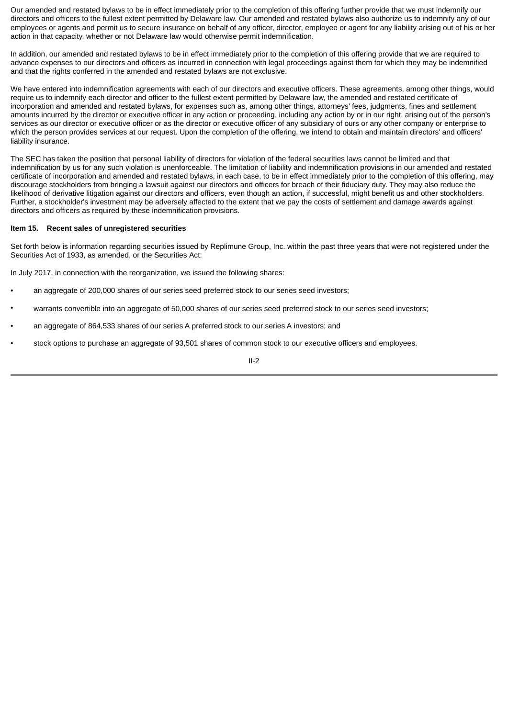Our amended and restated bylaws to be in effect immediately prior to the completion of this offering further provide that we must indemnify our directors and officers to the fullest extent permitted by Delaware law. Our amended and restated bylaws also authorize us to indemnify any of our employees or agents and permit us to secure insurance on behalf of any officer, director, employee or agent for any liability arising out of his or her action in that capacity, whether or not Delaware law would otherwise permit indemnification.

In addition, our amended and restated bylaws to be in effect immediately prior to the completion of this offering provide that we are required to advance expenses to our directors and officers as incurred in connection with legal proceedings against them for which they may be indemnified and that the rights conferred in the amended and restated bylaws are not exclusive.

We have entered into indemnification agreements with each of our directors and executive officers. These agreements, among other things, would require us to indemnify each director and officer to the fullest extent permitted by Delaware law, the amended and restated certificate of incorporation and amended and restated bylaws, for expenses such as, among other things, attorneys' fees, judgments, fines and settlement amounts incurred by the director or executive officer in any action or proceeding, including any action by or in our right, arising out of the person's services as our director or executive officer or as the director or executive officer of any subsidiary of ours or any other company or enterprise to which the person provides services at our request. Upon the completion of the offering, we intend to obtain and maintain directors' and officers' liability insurance.

The SEC has taken the position that personal liability of directors for violation of the federal securities laws cannot be limited and that indemnification by us for any such violation is unenforceable. The limitation of liability and indemnification provisions in our amended and restated certificate of incorporation and amended and restated bylaws, in each case, to be in effect immediately prior to the completion of this offering, may discourage stockholders from bringing a lawsuit against our directors and officers for breach of their fiduciary duty. They may also reduce the likelihood of derivative litigation against our directors and officers, even though an action, if successful, might benefit us and other stockholders. Further, a stockholder's investment may be adversely affected to the extent that we pay the costs of settlement and damage awards against directors and officers as required by these indemnification provisions.

### <span id="page-4-0"></span>**Item 15. Recent sales of unregistered securities**

Set forth below is information regarding securities issued by Replimune Group, Inc. within the past three years that were not registered under the Securities Act of 1933, as amended, or the Securities Act:

In July 2017, in connection with the reorganization, we issued the following shares:

- an aggregate of 200,000 shares of our series seed preferred stock to our series seed investors;
- warrants convertible into an aggregate of 50,000 shares of our series seed preferred stock to our series seed investors;
- an aggregate of 864,533 shares of our series A preferred stock to our series A investors; and
- stock options to purchase an aggregate of 93,501 shares of common stock to our executive officers and employees.

II-2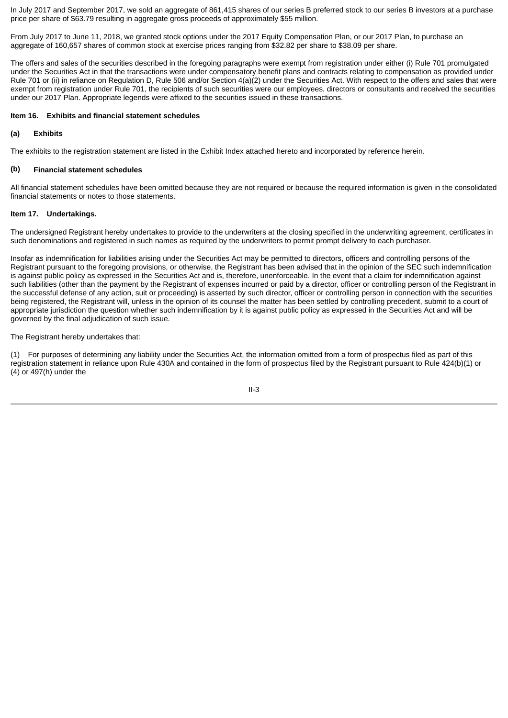In July 2017 and September 2017, we sold an aggregate of 861,415 shares of our series B preferred stock to our series B investors at a purchase price per share of \$63.79 resulting in aggregate gross proceeds of approximately \$55 million.

From July 2017 to June 11, 2018, we granted stock options under the 2017 Equity Compensation Plan, or our 2017 Plan, to purchase an aggregate of 160,657 shares of common stock at exercise prices ranging from \$32.82 per share to \$38.09 per share.

The offers and sales of the securities described in the foregoing paragraphs were exempt from registration under either (i) Rule 701 promulgated under the Securities Act in that the transactions were under compensatory benefit plans and contracts relating to compensation as provided under Rule 701 or (ii) in reliance on Regulation D, Rule 506 and/or Section 4(a)(2) under the Securities Act. With respect to the offers and sales that were exempt from registration under Rule 701, the recipients of such securities were our employees, directors or consultants and received the securities under our 2017 Plan. Appropriate legends were affixed to the securities issued in these transactions.

### <span id="page-5-0"></span>**Item 16. Exhibits and financial statement schedules**

### **(a) Exhibits**

The exhibits to the registration statement are listed in the Exhibit Index attached hereto and incorporated by reference herein.

#### **(b) Financial statement schedules**

All financial statement schedules have been omitted because they are not required or because the required information is given in the consolidated financial statements or notes to those statements.

#### <span id="page-5-1"></span>**Item 17. Undertakings.**

The undersigned Registrant hereby undertakes to provide to the underwriters at the closing specified in the underwriting agreement, certificates in such denominations and registered in such names as required by the underwriters to permit prompt delivery to each purchaser.

Insofar as indemnification for liabilities arising under the Securities Act may be permitted to directors, officers and controlling persons of the Registrant pursuant to the foregoing provisions, or otherwise, the Registrant has been advised that in the opinion of the SEC such indemnification is against public policy as expressed in the Securities Act and is, therefore, unenforceable. In the event that a claim for indemnification against such liabilities (other than the payment by the Registrant of expenses incurred or paid by a director, officer or controlling person of the Registrant in the successful defense of any action, suit or proceeding) is asserted by such director, officer or controlling person in connection with the securities being registered, the Registrant will, unless in the opinion of its counsel the matter has been settled by controlling precedent, submit to a court of appropriate jurisdiction the question whether such indemnification by it is against public policy as expressed in the Securities Act and will be governed by the final adjudication of such issue.

The Registrant hereby undertakes that:

(1) For purposes of determining any liability under the Securities Act, the information omitted from a form of prospectus filed as part of this registration statement in reliance upon Rule 430A and contained in the form of prospectus filed by the Registrant pursuant to Rule 424(b)(1) or  $(4)$  or 497(h) under the

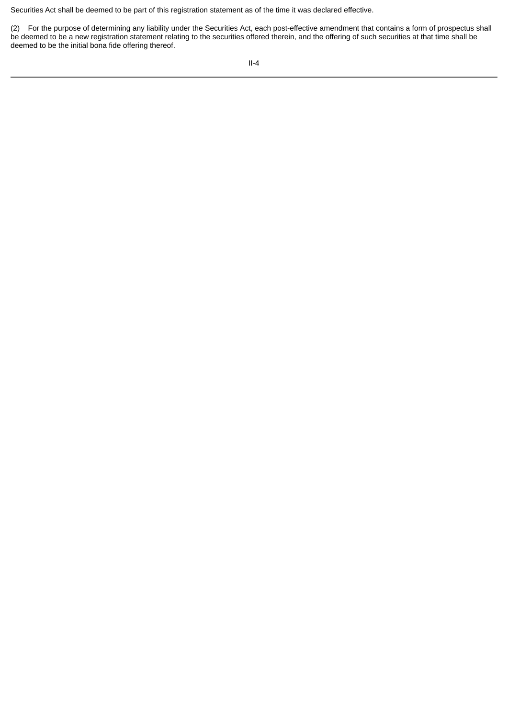Securities Act shall be deemed to be part of this registration statement as of the time it was declared effective.

(2) For the purpose of determining any liability under the Securities Act, each post-effective amendment that contains a form of prospectus shall be deemed to be a new registration statement relating to the securities offered therein, and the offering of such securities at that time shall be deemed to be the initial bona fide offering thereof.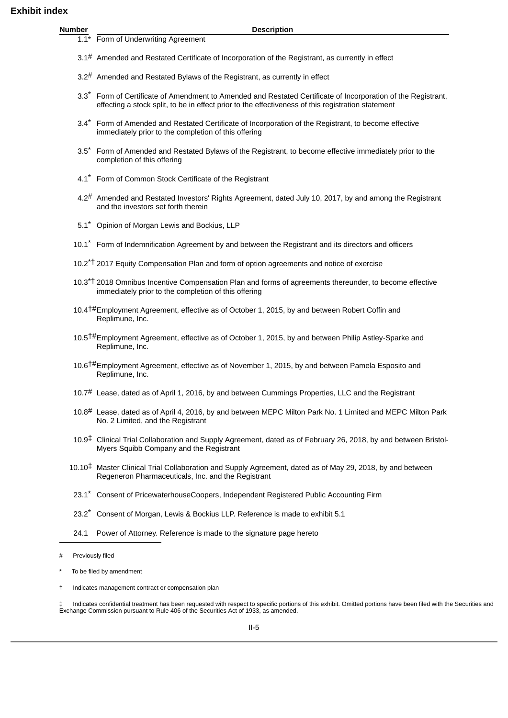<span id="page-7-0"></span>

| ıdex          |                                                                                                                                                                                                                                 |
|---------------|---------------------------------------------------------------------------------------------------------------------------------------------------------------------------------------------------------------------------------|
| <b>Number</b> | <b>Description</b>                                                                                                                                                                                                              |
|               | $1.1*$ Form of Underwriting Agreement                                                                                                                                                                                           |
|               | 3.1# Amended and Restated Certificate of Incorporation of the Registrant, as currently in effect                                                                                                                                |
|               | $3.2$ <sup>#</sup> Amended and Restated Bylaws of the Registrant, as currently in effect                                                                                                                                        |
|               | 3.3 <sup>*</sup> Form of Certificate of Amendment to Amended and Restated Certificate of Incorporation of the Registrant,<br>effecting a stock split, to be in effect prior to the effectiveness of this registration statement |
|               | 3.4* Form of Amended and Restated Certificate of Incorporation of the Registrant, to become effective<br>immediately prior to the completion of this offering                                                                   |
|               | 3.5 <sup>*</sup> Form of Amended and Restated Bylaws of the Registrant, to become effective immediately prior to the<br>completion of this offering                                                                             |
|               | 4.1* Form of Common Stock Certificate of the Registrant                                                                                                                                                                         |
|               | 4.2 <sup>#</sup> Amended and Restated Investors' Rights Agreement, dated July 10, 2017, by and among the Registrant<br>and the investors set forth therein                                                                      |
| $5.1^*$       | Opinion of Morgan Lewis and Bockius, LLP                                                                                                                                                                                        |
|               | 10.1* Form of Indemnification Agreement by and between the Registrant and its directors and officers                                                                                                                            |
|               | 10.2 <sup>*†</sup> 2017 Equity Compensation Plan and form of option agreements and notice of exercise                                                                                                                           |
|               | 10.3 <sup>*†</sup> 2018 Omnibus Incentive Compensation Plan and forms of agreements thereunder, to become effective<br>immediately prior to the completion of this offering                                                     |
|               | 10.4 <sup>†#</sup> Employment Agreement, effective as of October 1, 2015, by and between Robert Coffin and<br>Replimune, Inc.                                                                                                   |
|               | 10.5 <sup>†#</sup> Employment Agreement, effective as of October 1, 2015, by and between Philip Astley-Sparke and<br>Replimune, Inc.                                                                                            |
|               | 10.6 <sup>†#</sup> Employment Agreement, effective as of November 1, 2015, by and between Pamela Esposito and<br>Replimune, Inc.                                                                                                |
|               | $10.7#$ Lease, dated as of April 1, 2016, by and between Cummings Properties, LLC and the Registrant                                                                                                                            |
|               | $10.8#$ Lease, dated as of April 4, 2016, by and between MEPC Milton Park No. 1 Limited and MEPC Milton Park<br>No. 2 Limited, and the Registrant                                                                               |
|               | 10.9 <sup>‡</sup> Clinical Trial Collaboration and Supply Agreement, dated as of February 26, 2018, by and between Bristol-<br>Myers Squibb Company and the Registrant                                                          |
|               | 10.10 <sup>‡</sup> Master Clinical Trial Collaboration and Supply Agreement, dated as of May 29, 2018, by and between                                                                                                           |

- 23.1\* Consent of PricewaterhouseCoopers, Independent Registered Public Accounting Firm
- 23.2<sup>\*</sup> Consent of Morgan, Lewis & Bockius LLP. Reference is made to exhibit 5.1
- 24.1 Power of Attorney. Reference is made to the signature page hereto

Regeneron Pharmaceuticals, Inc. and the Registrant

‡ Indicates confidential treatment has been requested with respect to specific portions of this exhibit. Omitted portions have been filed with the Securities and Exchange Commission pursuant to Rule 406 of the Securities Act of 1933, as amended.

<sup>#</sup> Previously filed

To be filed by amendment

Indicates management contract or compensation plan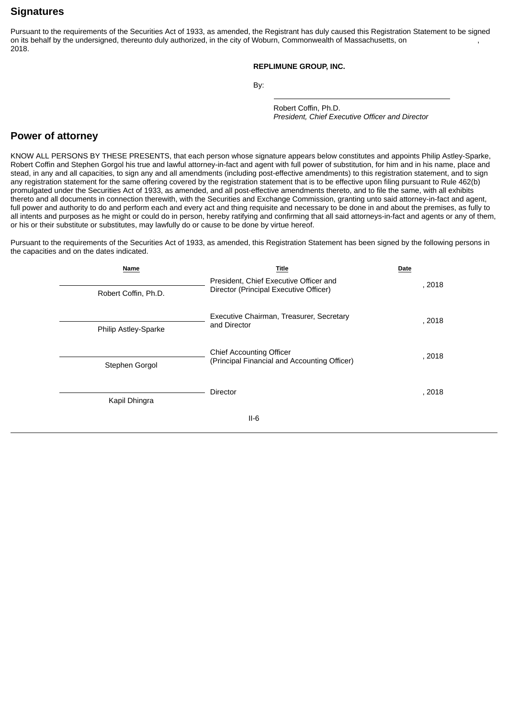# <span id="page-8-0"></span>**Signatures**

Pursuant to the requirements of the Securities Act of 1933, as amended, the Registrant has duly caused this Registration Statement to be signed on its behalf by the undersigned, thereunto duly authorized, in the city of Woburn, Commonwealth of Massachusetts, on 2018.

### **REPLIMUNE GROUP, INC.**

By:

Robert Coffin, Ph.D. *President, Chief Executive Officer and Director*

# <span id="page-8-1"></span>**Power of attorney**

KNOW ALL PERSONS BY THESE PRESENTS, that each person whose signature appears below constitutes and appoints Philip Astley-Sparke, Robert Coffin and Stephen Gorgol his true and lawful attorney-in-fact and agent with full power of substitution, for him and in his name, place and stead, in any and all capacities, to sign any and all amendments (including post-effective amendments) to this registration statement, and to sign any registration statement for the same offering covered by the registration statement that is to be effective upon filing pursuant to Rule 462(b) promulgated under the Securities Act of 1933, as amended, and all post-effective amendments thereto, and to file the same, with all exhibits thereto and all documents in connection therewith, with the Securities and Exchange Commission, granting unto said attorney-in-fact and agent, full power and authority to do and perform each and every act and thing requisite and necessary to be done in and about the premises, as fully to all intents and purposes as he might or could do in person, hereby ratifying and confirming that all said attorneys-in-fact and agents or any of them, or his or their substitute or substitutes, may lawfully do or cause to be done by virtue hereof.

Pursuant to the requirements of the Securities Act of 1933, as amended, this Registration Statement has been signed by the following persons in the capacities and on the dates indicated.

| Name                 | Title                                                                            | Date   |
|----------------------|----------------------------------------------------------------------------------|--------|
| Robert Coffin, Ph.D. | President, Chief Executive Officer and<br>Director (Principal Executive Officer) | , 2018 |
| Philip Astley-Sparke | Executive Chairman, Treasurer, Secretary<br>and Director                         | , 2018 |
| Stephen Gorgol       | <b>Chief Accounting Officer</b><br>(Principal Financial and Accounting Officer)  | , 2018 |
| Kapil Dhingra        | Director                                                                         | , 2018 |
|                      | $II-6$                                                                           |        |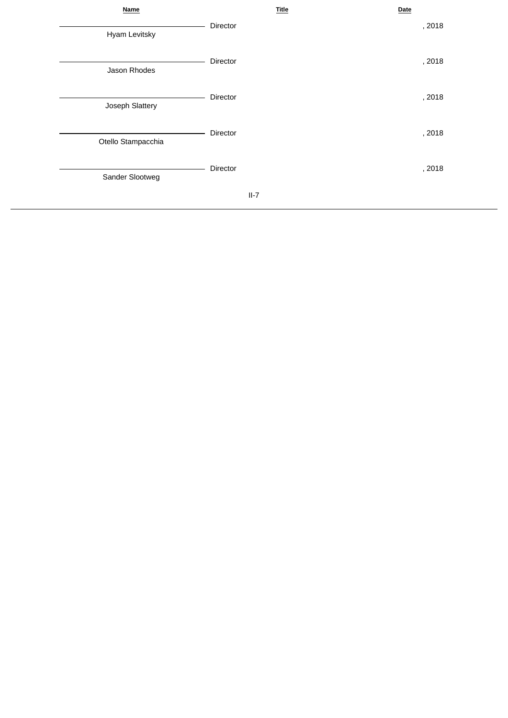| Name               | <b>Title</b> | Date   |
|--------------------|--------------|--------|
| Hyam Levitsky      | Director     | , 2018 |
| Jason Rhodes       | Director     | , 2018 |
| Joseph Slattery    | Director     | , 2018 |
| Otello Stampacchia | Director     | , 2018 |
| Sander Slootweg    | Director     | , 2018 |
|                    | $II-7$       |        |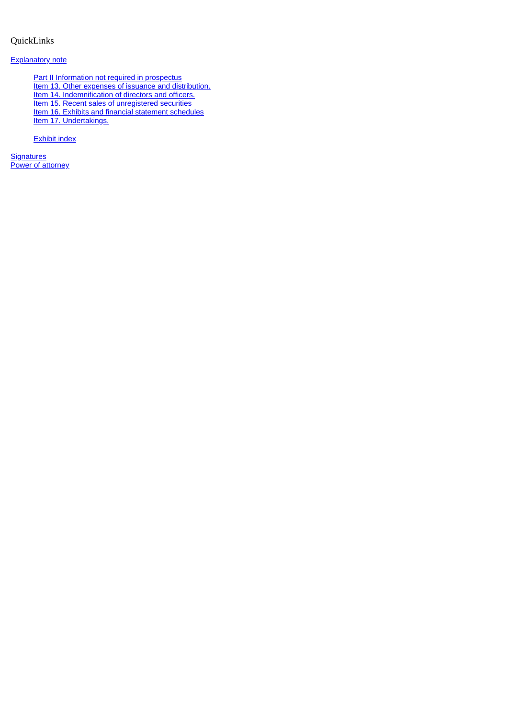# <span id="page-10-0"></span>QuickLinks

## [Explanatory note](#page-2-0)

[Part II Information not required in prospectus](#page-3-0) [Item 13. Other expenses of issuance and distribution.](#page-3-1) [Item 14. Indemnification of directors and officers.](#page-3-2) [Item 15. Recent sales of unregistered securities](#page-4-0) [Item 16. Exhibits and financial statement schedules](#page-5-0) [Item 17. Undertakings.](#page-5-1)

[Exhibit index](#page-7-0)

**[Signatures](#page-8-0)** [Power of attorney](#page-8-1)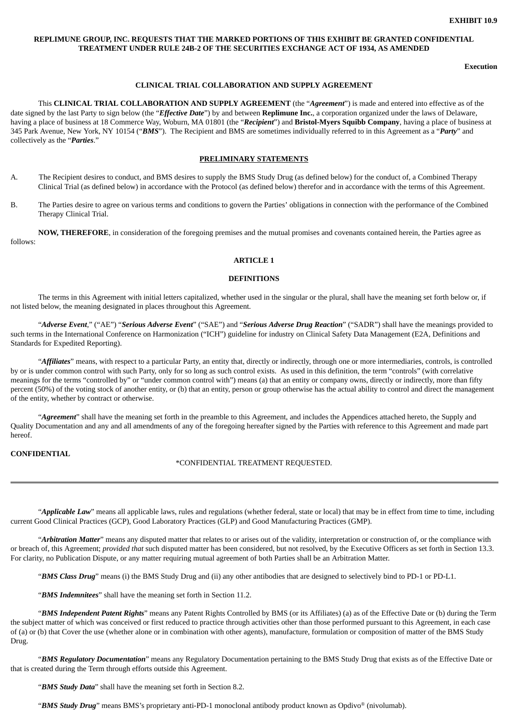## **REPLIMUNE GROUP, INC. REQUESTS THAT THE MARKED PORTIONS OF THIS EXHIBIT BE GRANTED CONFIDENTIAL TREATMENT UNDER RULE 24B-2 OF THE SECURITIES EXCHANGE ACT OF 1934, AS AMENDED**

**Execution**

#### **CLINICAL TRIAL COLLABORATION AND SUPPLY AGREEMENT**

This **CLINICAL TRIAL COLLABORATION AND SUPPLY AGREEMENT** (the "*Agreement*") is made and entered into effective as of the date signed by the last Party to sign below (the "*Effective Date*") by and between **Replimune Inc.**, a corporation organized under the laws of Delaware, having a place of business at 18 Commerce Way, Woburn, MA 01801 (the "*Recipient*") and **Bristol-Myers Squibb Company**, having a place of business at 345 Park Avenue, New York, NY 10154 ("*BMS*"). The Recipient and BMS are sometimes individually referred to in this Agreement as a "*Party*" and collectively as the "*Parties*."

#### **PRELIMINARY STATEMENTS**

- A*.* The Recipient desires to conduct, and BMS desires to supply the BMS Study Drug (as defined below) for the conduct of, a Combined Therapy Clinical Trial (as defined below) in accordance with the Protocol (as defined below) therefor and in accordance with the terms of this Agreement.
- B. The Parties desire to agree on various terms and conditions to govern the Parties' obligations in connection with the performance of the Combined Therapy Clinical Trial.

**NOW, THEREFORE**, in consideration of the foregoing premises and the mutual promises and covenants contained herein, the Parties agree as follows:

#### **ARTICLE 1**

#### **DEFINITIONS**

The terms in this Agreement with initial letters capitalized, whether used in the singular or the plural, shall have the meaning set forth below or, if not listed below, the meaning designated in places throughout this Agreement.

"*Adverse Event*," ("AE") "*Serious Adverse Event*" ("SAE") and "*Serious Adverse Drug Reaction*" ("SADR") shall have the meanings provided to such terms in the International Conference on Harmonization ("ICH") guideline for industry on Clinical Safety Data Management (E2A, Definitions and Standards for Expedited Reporting).

"*Affiliates*" means, with respect to a particular Party, an entity that, directly or indirectly, through one or more intermediaries, controls, is controlled by or is under common control with such Party, only for so long as such control exists. As used in this definition, the term "controls" (with correlative meanings for the terms "controlled by" or "under common control with") means (a) that an entity or company owns, directly or indirectly, more than fifty percent (50%) of the voting stock of another entity, or (b) that an entity, person or group otherwise has the actual ability to control and direct the management of the entity, whether by contract or otherwise.

"*Agreement*" shall have the meaning set forth in the preamble to this Agreement, and includes the Appendices attached hereto, the Supply and Quality Documentation and any and all amendments of any of the foregoing hereafter signed by the Parties with reference to this Agreement and made part hereof.

#### **CONFIDENTIAL**

\*CONFIDENTIAL TREATMENT REQUESTED.

"*Applicable Law*" means all applicable laws, rules and regulations (whether federal, state or local) that may be in effect from time to time, including current Good Clinical Practices (GCP), Good Laboratory Practices (GLP) and Good Manufacturing Practices (GMP).

"*Arbitration Matter*" means any disputed matter that relates to or arises out of the validity, interpretation or construction of, or the compliance with or breach of, this Agreement; *provided that* such disputed matter has been considered, but not resolved, by the Executive Officers as set forth in Section 13.3. For clarity, no Publication Dispute, or any matter requiring mutual agreement of both Parties shall be an Arbitration Matter.

"*BMS Class Drug*" means (i) the BMS Study Drug and (ii) any other antibodies that are designed to selectively bind to PD-1 or PD-L1.

"*BMS Indemnitees*" shall have the meaning set forth in Section 11.2.

"*BMS Independent Patent Rights*" means any Patent Rights Controlled by BMS (or its Affiliates) (a) as of the Effective Date or (b) during the Term the subject matter of which was conceived or first reduced to practice through activities other than those performed pursuant to this Agreement, in each case of (a) or (b) that Cover the use (whether alone or in combination with other agents), manufacture, formulation or composition of matter of the BMS Study Drug.

"*BMS Regulatory Documentation*" means any Regulatory Documentation pertaining to the BMS Study Drug that exists as of the Effective Date or that is created during the Term through efforts outside this Agreement.

"*BMS Study Data*" shall have the meaning set forth in Section 8.2.

"**BMS Study Drug**" means BMS's proprietary anti-PD-1 monoclonal antibody product known as Opdivo<sup>®</sup> (nivolumab).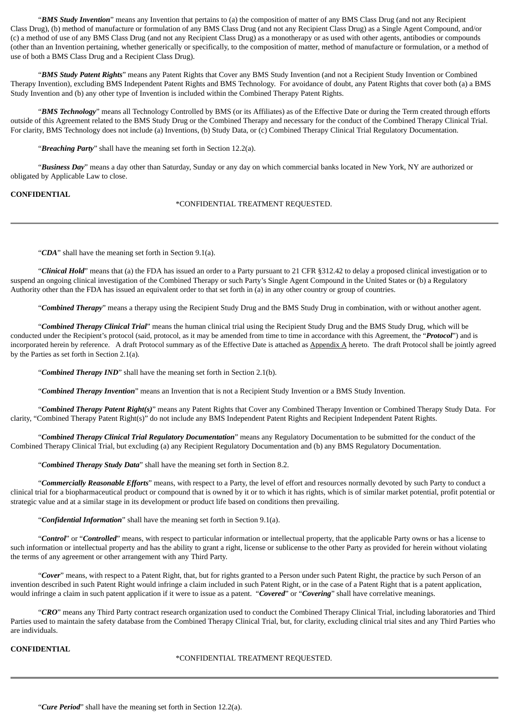"*BMS Study Invention*" means any Invention that pertains to (a) the composition of matter of any BMS Class Drug (and not any Recipient Class Drug), (b) method of manufacture or formulation of any BMS Class Drug (and not any Recipient Class Drug) as a Single Agent Compound, and/or (c) a method of use of any BMS Class Drug (and not any Recipient Class Drug) as a monotherapy or as used with other agents, antibodies or compounds (other than an Invention pertaining, whether generically or specifically, to the composition of matter, method of manufacture or formulation, or a method of use of both a BMS Class Drug and a Recipient Class Drug).

"*BMS Study Patent Rights*" means any Patent Rights that Cover any BMS Study Invention (and not a Recipient Study Invention or Combined Therapy Invention), excluding BMS Independent Patent Rights and BMS Technology. For avoidance of doubt, any Patent Rights that cover both (a) a BMS Study Invention and (b) any other type of Invention is included within the Combined Therapy Patent Rights.

"*BMS Technology*" means all Technology Controlled by BMS (or its Affiliates) as of the Effective Date or during the Term created through efforts outside of this Agreement related to the BMS Study Drug or the Combined Therapy and necessary for the conduct of the Combined Therapy Clinical Trial. For clarity, BMS Technology does not include (a) Inventions, (b) Study Data, or (c) Combined Therapy Clinical Trial Regulatory Documentation.

"*Breaching Party*" shall have the meaning set forth in Section 12.2(a).

"*Business Day*" means a day other than Saturday, Sunday or any day on which commercial banks located in New York, NY are authorized or obligated by Applicable Law to close.

### **CONFIDENTIAL**

\*CONFIDENTIAL TREATMENT REQUESTED.

"*CDA*" shall have the meaning set forth in Section 9.1(a).

"*Clinical Hold*" means that (a) the FDA has issued an order to a Party pursuant to 21 CFR §312.42 to delay a proposed clinical investigation or to suspend an ongoing clinical investigation of the Combined Therapy or such Party's Single Agent Compound in the United States or (b) a Regulatory Authority other than the FDA has issued an equivalent order to that set forth in (a) in any other country or group of countries.

"*Combined Therapy*" means a therapy using the Recipient Study Drug and the BMS Study Drug in combination, with or without another agent.

"*Combined Therapy Clinical Trial*" means the human clinical trial using the Recipient Study Drug and the BMS Study Drug, which will be conducted under the Recipient's protocol (said, protocol, as it may be amended from time to time in accordance with this Agreement, the "*Protocol*") and is incorporated herein by reference. A draft Protocol summary as of the Effective Date is attached as Appendix A hereto. The draft Protocol shall be jointly agreed by the Parties as set forth in Section 2.1(a).

"*Combined Therapy IND*" shall have the meaning set forth in Section 2.1(b).

"*Combined Therapy Invention*" means an Invention that is not a Recipient Study Invention or a BMS Study Invention.

"*Combined Therapy Patent Right(s)*" means any Patent Rights that Cover any Combined Therapy Invention or Combined Therapy Study Data. For clarity, "Combined Therapy Patent Right(s)" do not include any BMS Independent Patent Rights and Recipient Independent Patent Rights.

"*Combined Therapy Clinical Trial Regulatory Documentation*" means any Regulatory Documentation to be submitted for the conduct of the Combined Therapy Clinical Trial, but excluding (a) any Recipient Regulatory Documentation and (b) any BMS Regulatory Documentation.

"*Combined Therapy Study Data*" shall have the meaning set forth in Section 8.2.

"*Commercially Reasonable Efforts*" means, with respect to a Party, the level of effort and resources normally devoted by such Party to conduct a clinical trial for a biopharmaceutical product or compound that is owned by it or to which it has rights, which is of similar market potential, profit potential or strategic value and at a similar stage in its development or product life based on conditions then prevailing.

"*Confidential Information*" shall have the meaning set forth in Section 9.1(a).

"*Control*" or "*Controlled*" means, with respect to particular information or intellectual property, that the applicable Party owns or has a license to such information or intellectual property and has the ability to grant a right, license or sublicense to the other Party as provided for herein without violating the terms of any agreement or other arrangement with any Third Party.

"*Cover*" means, with respect to a Patent Right, that, but for rights granted to a Person under such Patent Right, the practice by such Person of an invention described in such Patent Right would infringe a claim included in such Patent Right, or in the case of a Patent Right that is a patent application, would infringe a claim in such patent application if it were to issue as a patent. "*Covered*" or "*Covering*" shall have correlative meanings.

"*CRO*" means any Third Party contract research organization used to conduct the Combined Therapy Clinical Trial, including laboratories and Third Parties used to maintain the safety database from the Combined Therapy Clinical Trial, but, for clarity, excluding clinical trial sites and any Third Parties who are individuals.

## **CONFIDENTIAL**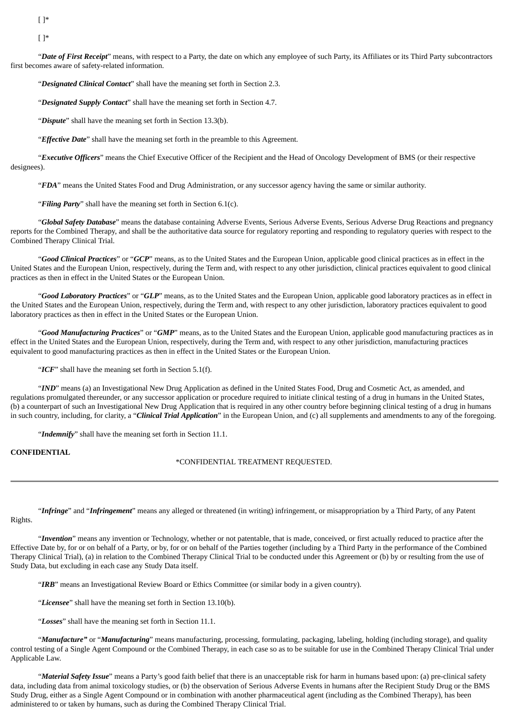[ ]\*

[ ]\*

"*Date of First Receipt*" means, with respect to a Party, the date on which any employee of such Party, its Affiliates or its Third Party subcontractors first becomes aware of safety-related information.

"*Designated Clinical Contact*" shall have the meaning set forth in Section 2.3.

"*Designated Supply Contact*" shall have the meaning set forth in Section 4.7.

"*Dispute*" shall have the meaning set forth in Section 13.3(b).

"*Effective Date*" shall have the meaning set forth in the preamble to this Agreement.

"*Executive Officers*" means the Chief Executive Officer of the Recipient and the Head of Oncology Development of BMS (or their respective designees).

"*FDA*" means the United States Food and Drug Administration, or any successor agency having the same or similar authority.

"*Filing Party*" shall have the meaning set forth in Section 6.1(c).

"*Global Safety Database*" means the database containing Adverse Events, Serious Adverse Events, Serious Adverse Drug Reactions and pregnancy reports for the Combined Therapy, and shall be the authoritative data source for regulatory reporting and responding to regulatory queries with respect to the Combined Therapy Clinical Trial.

"*Good Clinical Practices*" or "*GCP*" means, as to the United States and the European Union, applicable good clinical practices as in effect in the United States and the European Union, respectively, during the Term and, with respect to any other jurisdiction, clinical practices equivalent to good clinical practices as then in effect in the United States or the European Union.

"*Good Laboratory Practices*" or "*GLP*" means, as to the United States and the European Union, applicable good laboratory practices as in effect in the United States and the European Union, respectively, during the Term and, with respect to any other jurisdiction, laboratory practices equivalent to good laboratory practices as then in effect in the United States or the European Union.

"*Good Manufacturing Practices*" or "*GMP*" means, as to the United States and the European Union, applicable good manufacturing practices as in effect in the United States and the European Union, respectively, during the Term and, with respect to any other jurisdiction, manufacturing practices equivalent to good manufacturing practices as then in effect in the United States or the European Union.

"*ICF*" shall have the meaning set forth in Section 5.1(f).

"*IND*" means (a) an Investigational New Drug Application as defined in the United States Food, Drug and Cosmetic Act, as amended, and regulations promulgated thereunder, or any successor application or procedure required to initiate clinical testing of a drug in humans in the United States, (b) a counterpart of such an Investigational New Drug Application that is required in any other country before beginning clinical testing of a drug in humans in such country, including, for clarity, a "*Clinical Trial Application*" in the European Union, and (c) all supplements and amendments to any of the foregoing.

"*Indemnify*" shall have the meaning set forth in Section 11.1.

**CONFIDENTIAL**

\*CONFIDENTIAL TREATMENT REQUESTED.

"*Infringe*" and "*Infringement*" means any alleged or threatened (in writing) infringement, or misappropriation by a Third Party, of any Patent Rights.

"*Invention*" means any invention or Technology, whether or not patentable, that is made, conceived, or first actually reduced to practice after the Effective Date by, for or on behalf of a Party, or by, for or on behalf of the Parties together (including by a Third Party in the performance of the Combined Therapy Clinical Trial), (a) in relation to the Combined Therapy Clinical Trial to be conducted under this Agreement or (b) by or resulting from the use of Study Data, but excluding in each case any Study Data itself.

"*IRB*" means an Investigational Review Board or Ethics Committee (or similar body in a given country).

"*Licensee*" shall have the meaning set forth in Section 13.10(b).

"*Losses*" shall have the meaning set forth in Section 11.1.

"*Manufacture"* or "*Manufacturing*" means manufacturing, processing, formulating, packaging, labeling, holding (including storage), and quality control testing of a Single Agent Compound or the Combined Therapy, in each case so as to be suitable for use in the Combined Therapy Clinical Trial under Applicable Law.

"*Material Safety Issue*" means a Party's good faith belief that there is an unacceptable risk for harm in humans based upon: (a) pre-clinical safety data, including data from animal toxicology studies, or (b) the observation of Serious Adverse Events in humans after the Recipient Study Drug or the BMS Study Drug, either as a Single Agent Compound or in combination with another pharmaceutical agent (including as the Combined Therapy), has been administered to or taken by humans, such as during the Combined Therapy Clinical Trial.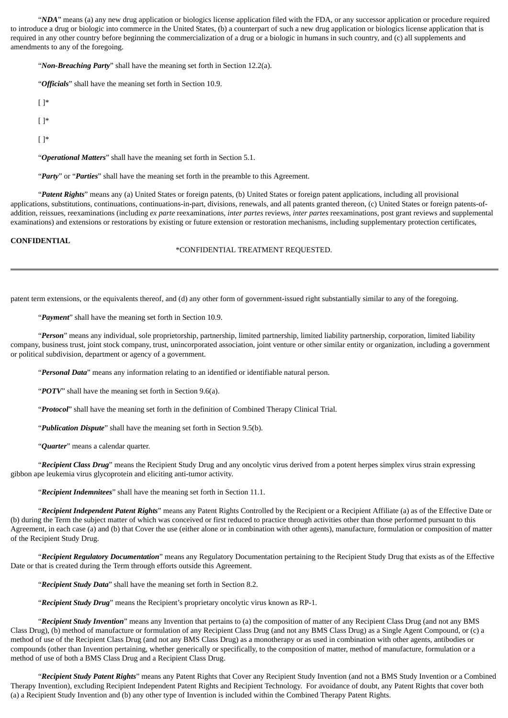"*NDA*" means (a) any new drug application or biologics license application filed with the FDA, or any successor application or procedure required to introduce a drug or biologic into commerce in the United States, (b) a counterpart of such a new drug application or biologics license application that is required in any other country before beginning the commercialization of a drug or a biologic in humans in such country, and (c) all supplements and amendments to any of the foregoing.

"*Non-Breaching Party*" shall have the meaning set forth in Section 12.2(a).

"*Officials*" shall have the meaning set forth in Section 10.9.

| $\lceil \cdot \rceil^*$                                                                                    |
|------------------------------------------------------------------------------------------------------------|
| $\lceil \cdot \rceil^*$                                                                                    |
| $\lceil \cdot \rceil^*$                                                                                    |
| "Operational Matters" shall have the meaning set forth in Section 5.1.                                     |
| " <b>Party</b> " or " <b>Parties</b> " shall have the meaning set forth in the preamble to this Agreement. |

"*Patent Rights*" means any (a) United States or foreign patents, (b) United States or foreign patent applications, including all provisional applications, substitutions, continuations, continuations-in-part, divisions, renewals, and all patents granted thereon, (c) United States or foreign patents-ofaddition, reissues, reexaminations (including *ex parte* reexaminations, *inter partes* reviews, *inter partes* reexaminations, post grant reviews and supplemental examinations) and extensions or restorations by existing or future extension or restoration mechanisms, including supplementary protection certificates,

## **CONFIDENTIAL**

#### \*CONFIDENTIAL TREATMENT REQUESTED.

patent term extensions, or the equivalents thereof, and (d) any other form of government-issued right substantially similar to any of the foregoing.

"*Payment*" shall have the meaning set forth in Section 10.9.

"*Person*" means any individual, sole proprietorship, partnership, limited partnership, limited liability partnership, corporation, limited liability company, business trust, joint stock company, trust, unincorporated association, joint venture or other similar entity or organization, including a government or political subdivision, department or agency of a government.

"*Personal Data*" means any information relating to an identified or identifiable natural person.

"*POTV*" shall have the meaning set forth in Section 9.6(a).

"*Protocol*" shall have the meaning set forth in the definition of Combined Therapy Clinical Trial.

"*Publication Dispute*" shall have the meaning set forth in Section 9.5(b).

"*Quarter*" means a calendar quarter.

"*Recipient Class Drug*" means the Recipient Study Drug and any oncolytic virus derived from a potent herpes simplex virus strain expressing gibbon ape leukemia virus glycoprotein and eliciting anti-tumor activity.

"*Recipient Indemnitees*" shall have the meaning set forth in Section 11.1.

"*Recipient Independent Patent Rights*" means any Patent Rights Controlled by the Recipient or a Recipient Affiliate (a) as of the Effective Date or (b) during the Term the subject matter of which was conceived or first reduced to practice through activities other than those performed pursuant to this Agreement, in each case (a) and (b) that Cover the use (either alone or in combination with other agents), manufacture, formulation or composition of matter of the Recipient Study Drug.

"*Recipient Regulatory Documentation*" means any Regulatory Documentation pertaining to the Recipient Study Drug that exists as of the Effective Date or that is created during the Term through efforts outside this Agreement.

"*Recipient Study Data*" shall have the meaning set forth in Section 8.2.

"*Recipient Study Drug*" means the Recipient's proprietary oncolytic virus known as RP-1.

"*Recipient Study Invention*" means any Invention that pertains to (a) the composition of matter of any Recipient Class Drug (and not any BMS Class Drug), (b) method of manufacture or formulation of any Recipient Class Drug (and not any BMS Class Drug) as a Single Agent Compound, or (c) a method of use of the Recipient Class Drug (and not any BMS Class Drug) as a monotherapy or as used in combination with other agents, antibodies or compounds (other than Invention pertaining, whether generically or specifically, to the composition of matter, method of manufacture, formulation or a method of use of both a BMS Class Drug and a Recipient Class Drug.

"*Recipient Study Patent Rights*" means any Patent Rights that Cover any Recipient Study Invention (and not a BMS Study Invention or a Combined Therapy Invention), excluding Recipient Independent Patent Rights and Recipient Technology. For avoidance of doubt, any Patent Rights that cover both (a) a Recipient Study Invention and (b) any other type of Invention is included within the Combined Therapy Patent Rights.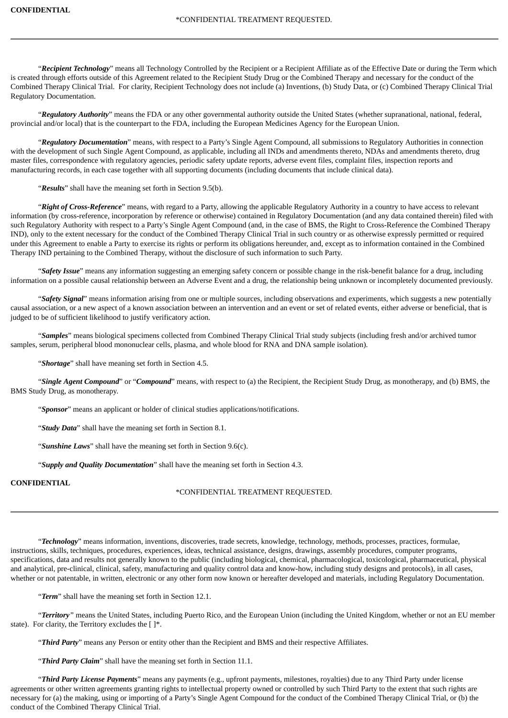"*Recipient Technology*" means all Technology Controlled by the Recipient or a Recipient Affiliate as of the Effective Date or during the Term which is created through efforts outside of this Agreement related to the Recipient Study Drug or the Combined Therapy and necessary for the conduct of the Combined Therapy Clinical Trial. For clarity, Recipient Technology does not include (a) Inventions, (b) Study Data, or (c) Combined Therapy Clinical Trial Regulatory Documentation.

"*Regulatory Authority*" means the FDA or any other governmental authority outside the United States (whether supranational, national, federal, provincial and/or local) that is the counterpart to the FDA, including the European Medicines Agency for the European Union.

"*Regulatory Documentation*" means, with respect to a Party's Single Agent Compound, all submissions to Regulatory Authorities in connection with the development of such Single Agent Compound, as applicable, including all INDs and amendments thereto, NDAs and amendments thereto, drug master files, correspondence with regulatory agencies, periodic safety update reports, adverse event files, complaint files, inspection reports and manufacturing records, in each case together with all supporting documents (including documents that include clinical data).

"*Results*" shall have the meaning set forth in Section 9.5(b).

"*Right of Cross-Reference*" means, with regard to a Party, allowing the applicable Regulatory Authority in a country to have access to relevant information (by cross-reference, incorporation by reference or otherwise) contained in Regulatory Documentation (and any data contained therein) filed with such Regulatory Authority with respect to a Party's Single Agent Compound (and, in the case of BMS, the Right to Cross-Reference the Combined Therapy IND), only to the extent necessary for the conduct of the Combined Therapy Clinical Trial in such country or as otherwise expressly permitted or required under this Agreement to enable a Party to exercise its rights or perform its obligations hereunder, and, except as to information contained in the Combined Therapy IND pertaining to the Combined Therapy, without the disclosure of such information to such Party.

"*Safety Issue*" means any information suggesting an emerging safety concern or possible change in the risk-benefit balance for a drug, including information on a possible causal relationship between an Adverse Event and a drug, the relationship being unknown or incompletely documented previously.

"*Safety Signal*" means information arising from one or multiple sources, including observations and experiments, which suggests a new potentially causal association, or a new aspect of a known association between an intervention and an event or set of related events, either adverse or beneficial, that is judged to be of sufficient likelihood to justify verificatory action.

"*Samples*" means biological specimens collected from Combined Therapy Clinical Trial study subjects (including fresh and/or archived tumor samples, serum, peripheral blood mononuclear cells, plasma, and whole blood for RNA and DNA sample isolation).

"*Shortage*" shall have meaning set forth in Section 4.5.

"*Single Agent Compound*" or "*Compound*" means, with respect to (a) the Recipient, the Recipient Study Drug, as monotherapy, and (b) BMS, the BMS Study Drug, as monotherapy.

"*Sponsor*" means an applicant or holder of clinical studies applications/notifications.

"*Study Data*" shall have the meaning set forth in Section 8.1.

"*Sunshine Laws*" shall have the meaning set forth in Section 9.6(c).

"*Supply and Quality Documentation*" shall have the meaning set forth in Section 4.3.

## **CONFIDENTIAL**

\*CONFIDENTIAL TREATMENT REQUESTED.

"*Technology*" means information, inventions, discoveries, trade secrets, knowledge, technology, methods, processes, practices, formulae, instructions, skills, techniques, procedures, experiences, ideas, technical assistance, designs, drawings, assembly procedures, computer programs, specifications, data and results not generally known to the public (including biological, chemical, pharmacological, toxicological, pharmaceutical, physical and analytical, pre-clinical, clinical, safety, manufacturing and quality control data and know-how, including study designs and protocols), in all cases, whether or not patentable, in written, electronic or any other form now known or hereafter developed and materials, including Regulatory Documentation.

"*Term*" shall have the meaning set forth in Section 12.1.

"*Territory"* means the United States, including Puerto Rico, and the European Union (including the United Kingdom, whether or not an EU member state). For clarity, the Territory excludes the  $[ ]^*$ .

"*Third Party*" means any Person or entity other than the Recipient and BMS and their respective Affiliates.

"*Third Party Claim*" shall have the meaning set forth in Section 11.1.

"*Third Party License Payments*" means any payments (e.g., upfront payments, milestones, royalties) due to any Third Party under license agreements or other written agreements granting rights to intellectual property owned or controlled by such Third Party to the extent that such rights are necessary for (a) the making, using or importing of a Party's Single Agent Compound for the conduct of the Combined Therapy Clinical Trial, or (b) the conduct of the Combined Therapy Clinical Trial.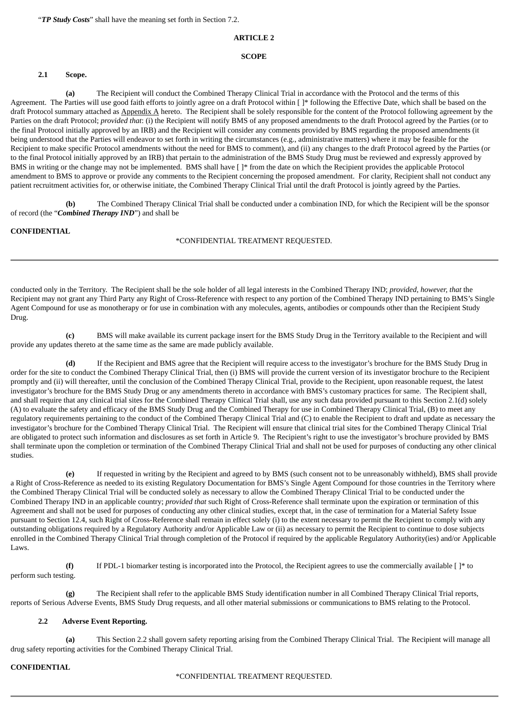"*TP Study Costs*" shall have the meaning set forth in Section 7.2.

#### **ARTICLE 2**

#### **SCOPE**

### **2.1 Scope.**

**(a)** The Recipient will conduct the Combined Therapy Clinical Trial in accordance with the Protocol and the terms of this Agreement. The Parties will use good faith efforts to jointly agree on a draft Protocol within [ ]\* following the Effective Date, which shall be based on the draft Protocol summary attached as Appendix A hereto. The Recipient shall be solely responsible for the content of the Protocol following agreement by the Parties on the draft Protocol; *provided that*: (i) the Recipient will notify BMS of any proposed amendments to the draft Protocol agreed by the Parties (or to the final Protocol initially approved by an IRB) and the Recipient will consider any comments provided by BMS regarding the proposed amendments (it being understood that the Parties will endeavor to set forth in writing the circumstances (e.g., administrative matters) where it may be feasible for the Recipient to make specific Protocol amendments without the need for BMS to comment), and (ii) any changes to the draft Protocol agreed by the Parties (or to the final Protocol initially approved by an IRB) that pertain to the administration of the BMS Study Drug must be reviewed and expressly approved by BMS in writing or the change may not be implemented. BMS shall have [ ]\* from the date on which the Recipient provides the applicable Protocol amendment to BMS to approve or provide any comments to the Recipient concerning the proposed amendment. For clarity, Recipient shall not conduct any patient recruitment activities for, or otherwise initiate, the Combined Therapy Clinical Trial until the draft Protocol is jointly agreed by the Parties.

**(b)** The Combined Therapy Clinical Trial shall be conducted under a combination IND, for which the Recipient will be the sponsor of record (the "*Combined Therapy IND*") and shall be

## **CONFIDENTIAL**

### \*CONFIDENTIAL TREATMENT REQUESTED.

conducted only in the Territory. The Recipient shall be the sole holder of all legal interests in the Combined Therapy IND; *provided, however, that* the Recipient may not grant any Third Party any Right of Cross-Reference with respect to any portion of the Combined Therapy IND pertaining to BMS's Single Agent Compound for use as monotherapy or for use in combination with any molecules, agents, antibodies or compounds other than the Recipient Study Drug.

**(c)** BMS will make available its current package insert for the BMS Study Drug in the Territory available to the Recipient and will provide any updates thereto at the same time as the same are made publicly available.

**(d)** If the Recipient and BMS agree that the Recipient will require access to the investigator's brochure for the BMS Study Drug in order for the site to conduct the Combined Therapy Clinical Trial, then (i) BMS will provide the current version of its investigator brochure to the Recipient promptly and (ii) will thereafter, until the conclusion of the Combined Therapy Clinical Trial, provide to the Recipient, upon reasonable request, the latest investigator's brochure for the BMS Study Drug or any amendments thereto in accordance with BMS's customary practices for same. The Recipient shall, and shall require that any clinical trial sites for the Combined Therapy Clinical Trial shall, use any such data provided pursuant to this Section 2.1(d) solely (A) to evaluate the safety and efficacy of the BMS Study Drug and the Combined Therapy for use in Combined Therapy Clinical Trial, (B) to meet any regulatory requirements pertaining to the conduct of the Combined Therapy Clinical Trial and (C) to enable the Recipient to draft and update as necessary the investigator's brochure for the Combined Therapy Clinical Trial. The Recipient will ensure that clinical trial sites for the Combined Therapy Clinical Trial are obligated to protect such information and disclosures as set forth in Article 9. The Recipient's right to use the investigator's brochure provided by BMS shall terminate upon the completion or termination of the Combined Therapy Clinical Trial and shall not be used for purposes of conducting any other clinical studies.

**(e)** If requested in writing by the Recipient and agreed to by BMS (such consent not to be unreasonably withheld), BMS shall provide a Right of Cross-Reference as needed to its existing Regulatory Documentation for BMS's Single Agent Compound for those countries in the Territory where the Combined Therapy Clinical Trial will be conducted solely as necessary to allow the Combined Therapy Clinical Trial to be conducted under the Combined Therapy IND in an applicable country; *provided that* such Right of Cross-Reference shall terminate upon the expiration or termination of this Agreement and shall not be used for purposes of conducting any other clinical studies, except that, in the case of termination for a Material Safety Issue pursuant to Section 12.4, such Right of Cross-Reference shall remain in effect solely (i) to the extent necessary to permit the Recipient to comply with any outstanding obligations required by a Regulatory Authority and/or Applicable Law or (ii) as necessary to permit the Recipient to continue to dose subjects enrolled in the Combined Therapy Clinical Trial through completion of the Protocol if required by the applicable Regulatory Authority(ies) and/or Applicable Laws.

**(f)** If PDL-1 biomarker testing is incorporated into the Protocol, the Recipient agrees to use the commercially available [ ]\* to perform such testing.

**(g)** The Recipient shall refer to the applicable BMS Study identification number in all Combined Therapy Clinical Trial reports, reports of Serious Adverse Events, BMS Study Drug requests, and all other material submissions or communications to BMS relating to the Protocol.

### **2.2 Adverse Event Reporting.**

**(a)** This Section 2.2 shall govern safety reporting arising from the Combined Therapy Clinical Trial. The Recipient will manage all drug safety reporting activities for the Combined Therapy Clinical Trial.

### **CONFIDENTIAL**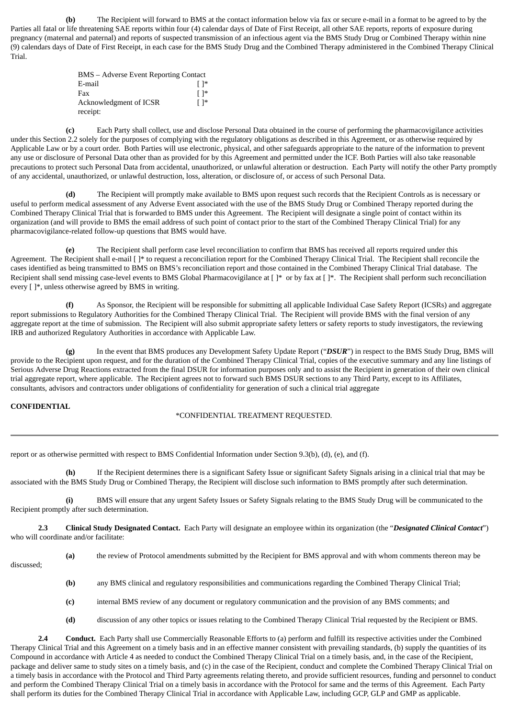**(b)** The Recipient will forward to BMS at the contact information below via fax or secure e-mail in a format to be agreed to by the Parties all fatal or life threatening SAE reports within four (4) calendar days of Date of First Receipt, all other SAE reports, reports of exposure during pregnancy (maternal and paternal) and reports of suspected transmission of an infectious agent via the BMS Study Drug or Combined Therapy within nine (9) calendars days of Date of First Receipt, in each case for the BMS Study Drug and the Combined Therapy administered in the Combined Therapy Clinical Trial.

| BMS – Adverse Event Reporting Contact |                         |
|---------------------------------------|-------------------------|
| E-mail                                | ⊺ 1*                    |
| Fax                                   | ⊺ 1*                    |
| Acknowledgment of ICSR                | $\lceil \cdot \rceil^*$ |
| receipt:                              |                         |

**(c)** Each Party shall collect, use and disclose Personal Data obtained in the course of performing the pharmacovigilance activities under this Section 2.2 solely for the purposes of complying with the regulatory obligations as described in this Agreement, or as otherwise required by Applicable Law or by a court order. Both Parties will use electronic, physical, and other safeguards appropriate to the nature of the information to prevent any use or disclosure of Personal Data other than as provided for by this Agreement and permitted under the ICF. Both Parties will also take reasonable precautions to protect such Personal Data from accidental, unauthorized, or unlawful alteration or destruction. Each Party will notify the other Party promptly of any accidental, unauthorized, or unlawful destruction, loss, alteration, or disclosure of, or access of such Personal Data.

**(d)** The Recipient will promptly make available to BMS upon request such records that the Recipient Controls as is necessary or useful to perform medical assessment of any Adverse Event associated with the use of the BMS Study Drug or Combined Therapy reported during the Combined Therapy Clinical Trial that is forwarded to BMS under this Agreement. The Recipient will designate a single point of contact within its organization (and will provide to BMS the email address of such point of contact prior to the start of the Combined Therapy Clinical Trial) for any pharmacovigilance-related follow-up questions that BMS would have.

**(e)** The Recipient shall perform case level reconciliation to confirm that BMS has received all reports required under this Agreement. The Recipient shall e-mail [<sup>]\*</sup> to request a reconciliation report for the Combined Therapy Clinical Trial. The Recipient shall reconcile the cases identified as being transmitted to BMS on BMS's reconciliation report and those contained in the Combined Therapy Clinical Trial database. The Recipient shall send missing case-level events to BMS Global Pharmacovigilance at [ ]\* or by fax at [ ]\*. The Recipient shall perform such reconciliation every [ ]\*, unless otherwise agreed by BMS in writing.

**(f)** As Sponsor, the Recipient will be responsible for submitting all applicable Individual Case Safety Report (ICSRs) and aggregate report submissions to Regulatory Authorities for the Combined Therapy Clinical Trial. The Recipient will provide BMS with the final version of any aggregate report at the time of submission. The Recipient will also submit appropriate safety letters or safety reports to study investigators, the reviewing IRB and authorized Regulatory Authorities in accordance with Applicable Law.

**(g)** In the event that BMS produces any Development Safety Update Report ("*DSUR*") in respect to the BMS Study Drug, BMS will provide to the Recipient upon request, and for the duration of the Combined Therapy Clinical Trial, copies of the executive summary and any line listings of Serious Adverse Drug Reactions extracted from the final DSUR for information purposes only and to assist the Recipient in generation of their own clinical trial aggregate report, where applicable. The Recipient agrees not to forward such BMS DSUR sections to any Third Party, except to its Affiliates, consultants, advisors and contractors under obligations of confidentiality for generation of such a clinical trial aggregate

### **CONFIDENTIAL**

## \*CONFIDENTIAL TREATMENT REQUESTED.

report or as otherwise permitted with respect to BMS Confidential Information under Section 9.3(b), (d), (e), and (f).

**(h)** If the Recipient determines there is a significant Safety Issue or significant Safety Signals arising in a clinical trial that may be associated with the BMS Study Drug or Combined Therapy, the Recipient will disclose such information to BMS promptly after such determination.

**(i)** BMS will ensure that any urgent Safety Issues or Safety Signals relating to the BMS Study Drug will be communicated to the Recipient promptly after such determination.

**2.3 Clinical Study Designated Contact.** Each Party will designate an employee within its organization (the "*Designated Clinical Contact*") who will coordinate and/or facilitate:

**(a)** the review of Protocol amendments submitted by the Recipient for BMS approval and with whom comments thereon may be discussed;

- **(b)** any BMS clinical and regulatory responsibilities and communications regarding the Combined Therapy Clinical Trial;
- **(c)** internal BMS review of any document or regulatory communication and the provision of any BMS comments; and
- **(d)** discussion of any other topics or issues relating to the Combined Therapy Clinical Trial requested by the Recipient or BMS.

**2.4 Conduct.** Each Party shall use Commercially Reasonable Efforts to (a) perform and fulfill its respective activities under the Combined Therapy Clinical Trial and this Agreement on a timely basis and in an effective manner consistent with prevailing standards, (b) supply the quantities of its Compound in accordance with Article 4 as needed to conduct the Combined Therapy Clinical Trial on a timely basis, and, in the case of the Recipient, package and deliver same to study sites on a timely basis, and (c) in the case of the Recipient, conduct and complete the Combined Therapy Clinical Trial on a timely basis in accordance with the Protocol and Third Party agreements relating thereto, and provide sufficient resources, funding and personnel to conduct and perform the Combined Therapy Clinical Trial on a timely basis in accordance with the Protocol for same and the terms of this Agreement. Each Party shall perform its duties for the Combined Therapy Clinical Trial in accordance with Applicable Law, including GCP, GLP and GMP as applicable.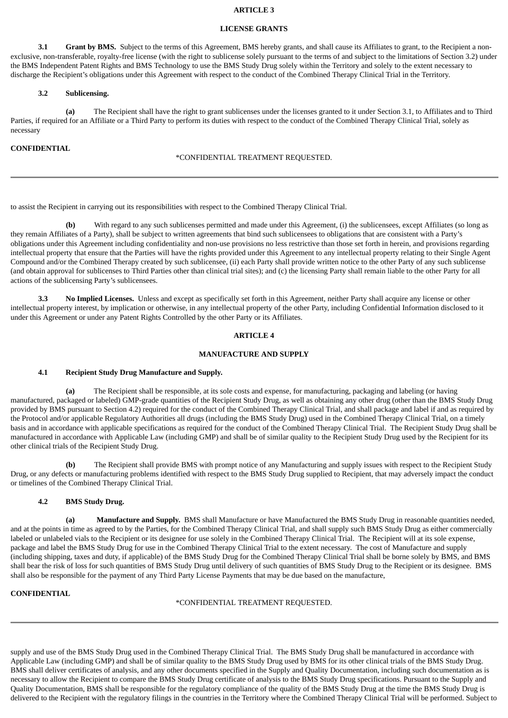## **ARTICLE 3**

### **LICENSE GRANTS**

**3.1 Grant by BMS.** Subject to the terms of this Agreement, BMS hereby grants, and shall cause its Affiliates to grant, to the Recipient a nonexclusive, non-transferable, royalty-free license (with the right to sublicense solely pursuant to the terms of and subject to the limitations of Section 3.2) under the BMS Independent Patent Rights and BMS Technology to use the BMS Study Drug solely within the Territory and solely to the extent necessary to discharge the Recipient's obligations under this Agreement with respect to the conduct of the Combined Therapy Clinical Trial in the Territory.

#### **3.2 Sublicensing.**

**(a)** The Recipient shall have the right to grant sublicenses under the licenses granted to it under Section 3.1, to Affiliates and to Third Parties, if required for an Affiliate or a Third Party to perform its duties with respect to the conduct of the Combined Therapy Clinical Trial, solely as necessary

#### **CONFIDENTIAL**

#### \*CONFIDENTIAL TREATMENT REQUESTED.

to assist the Recipient in carrying out its responsibilities with respect to the Combined Therapy Clinical Trial.

**(b)** With regard to any such sublicenses permitted and made under this Agreement, (i) the sublicensees, except Affiliates (so long as they remain Affiliates of a Party), shall be subject to written agreements that bind such sublicensees to obligations that are consistent with a Party's obligations under this Agreement including confidentiality and non-use provisions no less restrictive than those set forth in herein, and provisions regarding intellectual property that ensure that the Parties will have the rights provided under this Agreement to any intellectual property relating to their Single Agent Compound and/or the Combined Therapy created by such sublicensee, (ii) each Party shall provide written notice to the other Party of any such sublicense (and obtain approval for sublicenses to Third Parties other than clinical trial sites); and (c) the licensing Party shall remain liable to the other Party for all actions of the sublicensing Party's sublicensees.

**3.3 No Implied Licenses.** Unless and except as specifically set forth in this Agreement, neither Party shall acquire any license or other intellectual property interest, by implication or otherwise, in any intellectual property of the other Party, including Confidential Information disclosed to it under this Agreement or under any Patent Rights Controlled by the other Party or its Affiliates.

#### **ARTICLE 4**

#### **MANUFACTURE AND SUPPLY**

#### **4.1 Recipient Study Drug Manufacture and Supply.**

**(a)** The Recipient shall be responsible, at its sole costs and expense, for manufacturing, packaging and labeling (or having manufactured, packaged or labeled) GMP-grade quantities of the Recipient Study Drug, as well as obtaining any other drug (other than the BMS Study Drug provided by BMS pursuant to Section 4.2) required for the conduct of the Combined Therapy Clinical Trial, and shall package and label if and as required by the Protocol and/or applicable Regulatory Authorities all drugs (including the BMS Study Drug) used in the Combined Therapy Clinical Trial, on a timely basis and in accordance with applicable specifications as required for the conduct of the Combined Therapy Clinical Trial. The Recipient Study Drug shall be manufactured in accordance with Applicable Law (including GMP) and shall be of similar quality to the Recipient Study Drug used by the Recipient for its other clinical trials of the Recipient Study Drug.

**(b)** The Recipient shall provide BMS with prompt notice of any Manufacturing and supply issues with respect to the Recipient Study Drug, or any defects or manufacturing problems identified with respect to the BMS Study Drug supplied to Recipient, that may adversely impact the conduct or timelines of the Combined Therapy Clinical Trial.

### **4.2 BMS Study Drug.**

**(a) Manufacture and Supply.** BMS shall Manufacture or have Manufactured the BMS Study Drug in reasonable quantities needed, and at the points in time as agreed to by the Parties, for the Combined Therapy Clinical Trial, and shall supply such BMS Study Drug as either commercially labeled or unlabeled vials to the Recipient or its designee for use solely in the Combined Therapy Clinical Trial. The Recipient will at its sole expense, package and label the BMS Study Drug for use in the Combined Therapy Clinical Trial to the extent necessary. The cost of Manufacture and supply (including shipping, taxes and duty, if applicable) of the BMS Study Drug for the Combined Therapy Clinical Trial shall be borne solely by BMS, and BMS shall bear the risk of loss for such quantities of BMS Study Drug until delivery of such quantities of BMS Study Drug to the Recipient or its designee. BMS shall also be responsible for the payment of any Third Party License Payments that may be due based on the manufacture,

### **CONFIDENTIAL**

\*CONFIDENTIAL TREATMENT REQUESTED.

supply and use of the BMS Study Drug used in the Combined Therapy Clinical Trial. The BMS Study Drug shall be manufactured in accordance with Applicable Law (including GMP) and shall be of similar quality to the BMS Study Drug used by BMS for its other clinical trials of the BMS Study Drug. BMS shall deliver certificates of analysis, and any other documents specified in the Supply and Quality Documentation, including such documentation as is necessary to allow the Recipient to compare the BMS Study Drug certificate of analysis to the BMS Study Drug specifications. Pursuant to the Supply and Quality Documentation, BMS shall be responsible for the regulatory compliance of the quality of the BMS Study Drug at the time the BMS Study Drug is delivered to the Recipient with the regulatory filings in the countries in the Territory where the Combined Therapy Clinical Trial will be performed. Subject to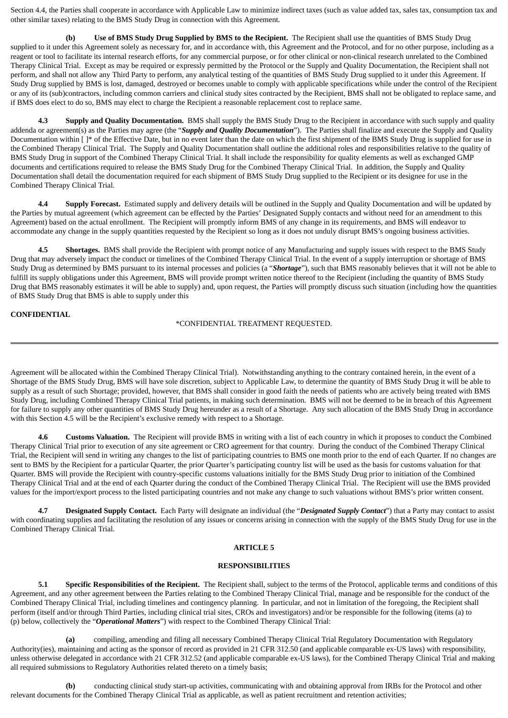Section 4.4, the Parties shall cooperate in accordance with Applicable Law to minimize indirect taxes (such as value added tax, sales tax, consumption tax and other similar taxes) relating to the BMS Study Drug in connection with this Agreement.

**(b) Use of BMS Study Drug Supplied by BMS to the Recipient.** The Recipient shall use the quantities of BMS Study Drug supplied to it under this Agreement solely as necessary for, and in accordance with, this Agreement and the Protocol, and for no other purpose, including as a reagent or tool to facilitate its internal research efforts, for any commercial purpose, or for other clinical or non-clinical research unrelated to the Combined Therapy Clinical Trial. Except as may be required or expressly permitted by the Protocol or the Supply and Quality Documentation, the Recipient shall not perform, and shall not allow any Third Party to perform, any analytical testing of the quantities of BMS Study Drug supplied to it under this Agreement. If Study Drug supplied by BMS is lost, damaged, destroyed or becomes unable to comply with applicable specifications while under the control of the Recipient or any of its (sub)contractors, including common carriers and clinical study sites contracted by the Recipient, BMS shall not be obligated to replace same, and if BMS does elect to do so, BMS may elect to charge the Recipient a reasonable replacement cost to replace same.

**4.3 Supply and Quality Documentation.** BMS shall supply the BMS Study Drug to the Recipient in accordance with such supply and quality addenda or agreement(s) as the Parties may agree (the "*Supply and Quality Documentation*"). The Parties shall finalize and execute the Supply and Quality Documentation within  $[ ]^*$  of the Effective Date, but in no event later than the date on which the first shipment of the BMS Study Drug is supplied for use in the Combined Therapy Clinical Trial. The Supply and Quality Documentation shall outline the additional roles and responsibilities relative to the quality of BMS Study Drug in support of the Combined Therapy Clinical Trial. It shall include the responsibility for quality elements as well as exchanged GMP documents and certifications required to release the BMS Study Drug for the Combined Therapy Clinical Trial. In addition, the Supply and Quality Documentation shall detail the documentation required for each shipment of BMS Study Drug supplied to the Recipient or its designee for use in the Combined Therapy Clinical Trial.

**4.4 Supply Forecast.** Estimated supply and delivery details will be outlined in the Supply and Quality Documentation and will be updated by the Parties by mutual agreement (which agreement can be effected by the Parties' Designated Supply contacts and without need for an amendment to this Agreement) based on the actual enrollment. The Recipient will promptly inform BMS of any change in its requirements, and BMS will endeavor to accommodate any change in the supply quantities requested by the Recipient so long as it does not unduly disrupt BMS's ongoing business activities.

**4.5 Shortages.** BMS shall provide the Recipient with prompt notice of any Manufacturing and supply issues with respect to the BMS Study Drug that may adversely impact the conduct or timelines of the Combined Therapy Clinical Trial. In the event of a supply interruption or shortage of BMS Study Drug as determined by BMS pursuant to its internal processes and policies (a "*Shortage*"), such that BMS reasonably believes that it will not be able to fulfill its supply obligations under this Agreement, BMS will provide prompt written notice thereof to the Recipient (including the quantity of BMS Study Drug that BMS reasonably estimates it will be able to supply) and, upon request, the Parties will promptly discuss such situation (including how the quantities of BMS Study Drug that BMS is able to supply under this

### **CONFIDENTIAL**

\*CONFIDENTIAL TREATMENT REQUESTED.

Agreement will be allocated within the Combined Therapy Clinical Trial). Notwithstanding anything to the contrary contained herein, in the event of a Shortage of the BMS Study Drug, BMS will have sole discretion, subject to Applicable Law, to determine the quantity of BMS Study Drug it will be able to supply as a result of such Shortage; provided, however, that BMS shall consider in good faith the needs of patients who are actively being treated with BMS Study Drug, including Combined Therapy Clinical Trial patients, in making such determination. BMS will not be deemed to be in breach of this Agreement for failure to supply any other quantities of BMS Study Drug hereunder as a result of a Shortage. Any such allocation of the BMS Study Drug in accordance with this Section 4.5 will be the Recipient's exclusive remedy with respect to a Shortage.

**4.6 Customs Valuation.** The Recipient will provide BMS in writing with a list of each country in which it proposes to conduct the Combined Therapy Clinical Trial prior to execution of any site agreement or CRO agreement for that country. During the conduct of the Combined Therapy Clinical Trial, the Recipient will send in writing any changes to the list of participating countries to BMS one month prior to the end of each Quarter. If no changes are sent to BMS by the Recipient for a particular Quarter, the prior Quarter's participating country list will be used as the basis for customs valuation for that Quarter. BMS will provide the Recipient with country-specific customs valuations initially for the BMS Study Drug prior to initiation of the Combined Therapy Clinical Trial and at the end of each Quarter during the conduct of the Combined Therapy Clinical Trial. The Recipient will use the BMS provided values for the import/export process to the listed participating countries and not make any change to such valuations without BMS's prior written consent.

**4.7 Designated Supply Contact.** Each Party will designate an individual (the "*Designated Supply Contact*") that a Party may contact to assist with coordinating supplies and facilitating the resolution of any issues or concerns arising in connection with the supply of the BMS Study Drug for use in the Combined Therapy Clinical Trial.

### **ARTICLE 5**

#### **RESPONSIBILITIES**

**5.1 Specific Responsibilities of the Recipient.** The Recipient shall, subject to the terms of the Protocol, applicable terms and conditions of this Agreement, and any other agreement between the Parties relating to the Combined Therapy Clinical Trial, manage and be responsible for the conduct of the Combined Therapy Clinical Trial, including timelines and contingency planning. In particular, and not in limitation of the foregoing, the Recipient shall perform (itself and/or through Third Parties, including clinical trial sites, CROs and investigators) and/or be responsible for the following (items (a) to (p) below, collectively the "*Operational Matters*") with respect to the Combined Therapy Clinical Trial:

**(a)** compiling, amending and filing all necessary Combined Therapy Clinical Trial Regulatory Documentation with Regulatory Authority(ies), maintaining and acting as the sponsor of record as provided in 21 CFR 312.50 (and applicable comparable ex-US laws) with responsibility, unless otherwise delegated in accordance with 21 CFR 312.52 (and applicable comparable ex-US laws), for the Combined Therapy Clinical Trial and making all required submissions to Regulatory Authorities related thereto on a timely basis;

**(b)** conducting clinical study start-up activities, communicating with and obtaining approval from IRBs for the Protocol and other relevant documents for the Combined Therapy Clinical Trial as applicable, as well as patient recruitment and retention activities;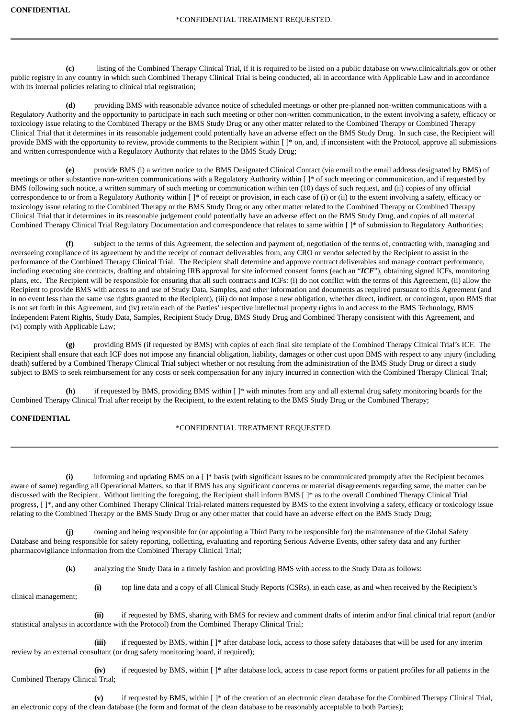**(c)** listing of the Combined Therapy Clinical Trial, if it is required to be listed on a public database on www.clinicaltrials.gov or other public registry in any country in which such Combined Therapy Clinical Trial is being conducted, all in accordance with Applicable Law and in accordance with its internal policies relating to clinical trial registration;

**(d)** providing BMS with reasonable advance notice of scheduled meetings or other pre-planned non-written communications with a Regulatory Authority and the opportunity to participate in each such meeting or other non-written communication, to the extent involving a safety, efficacy or toxicology issue relating to the Combined Therapy or the BMS Study Drug or any other matter related to the Combined Therapy or Combined Therapy Clinical Trial that it determines in its reasonable judgement could potentially have an adverse effect on the BMS Study Drug. In such case, the Recipient will provide BMS with the opportunity to review, provide comments to the Recipient within [ ]\* on, and, if inconsistent with the Protocol, approve all submissions and written correspondence with a Regulatory Authority that relates to the BMS Study Drug;

**(e)** provide BMS (i) a written notice to the BMS Designated Clinical Contact (via email to the email address designated by BMS) of meetings or other substantive non-written communications with a Regulatory Authority within [ ]\* of such meeting or communication, and if requested by BMS following such notice, a written summary of such meeting or communication within ten (10) days of such request, and (ii) copies of any official correspondence to or from a Regulatory Authority within [ ]\* of receipt or provision, in each case of (i) or (ii) to the extent involving a safety, efficacy or toxicology issue relating to the Combined Therapy or the BMS Study Drug or any other matter related to the Combined Therapy or Combined Therapy Clinical Trial that it determines in its reasonable judgement could potentially have an adverse effect on the BMS Study Drug, and copies of all material Combined Therapy Clinical Trial Regulatory Documentation and correspondence that relates to same within [ ]\* of submission to Regulatory Authorities;

subject to the terms of this Agreement, the selection and payment of, negotiation of the terms of, contracting with, managing and overseeing compliance of its agreement by and the receipt of contract deliverables from, any CRO or vendor selected by the Recipient to assist in the performance of the Combined Therapy Clinical Trial. The Recipient shall determine and approve contract deliverables and manage contract performance, including executing site contracts, drafting and obtaining IRB approval for site informed consent forms (each an "*ICF*"), obtaining signed ICFs, monitoring plans, etc. The Recipient will be responsible for ensuring that all such contracts and ICFs: (i) do not conflict with the terms of this Agreement, (ii) allow the Recipient to provide BMS with access to and use of Study Data, Samples, and other information and documents as required pursuant to this Agreement (and in no event less than the same use rights granted to the Recipient), (iii) do not impose a new obligation, whether direct, indirect, or contingent, upon BMS that is not set forth in this Agreement, and (iv) retain each of the Parties' respective intellectual property rights in and access to the BMS Technology, BMS Independent Patent Rights, Study Data, Samples, Recipient Study Drug, BMS Study Drug and Combined Therapy consistent with this Agreement, and (vi) comply with Applicable Law;

**(g)** providing BMS (if requested by BMS) with copies of each final site template of the Combined Therapy Clinical Trial's ICF. The Recipient shall ensure that each ICF does not impose any financial obligation, liability, damages or other cost upon BMS with respect to any injury (including death) suffered by a Combined Therapy Clinical Trial subject whether or not resulting from the administration of the BMS Study Drug or direct a study subject to BMS to seek reimbursement for any costs or seek compensation for any injury incurred in connection with the Combined Therapy Clinical Trial;

**(h)** if requested by BMS, providing BMS within [ ]\* with minutes from any and all external drug safety monitoring boards for the Combined Therapy Clinical Trial after receipt by the Recipient, to the extent relating to the BMS Study Drug or the Combined Therapy;

## **CONFIDENTIAL**

## \*CONFIDENTIAL TREATMENT REQUESTED.

**(i)** informing and updating BMS on a [ ]\* basis (with significant issues to be communicated promptly after the Recipient becomes aware of same) regarding all Operational Matters, so that if BMS has any significant concerns or material disagreements regarding same, the matter can be discussed with the Recipient. Without limiting the foregoing, the Recipient shall inform BMS [ ]\* as to the overall Combined Therapy Clinical Trial progress,  $[ ]^*$ , and any other Combined Therapy Clinical Trial-related matters requested by BMS to the extent involving a safety, efficacy or toxicology issue relating to the Combined Therapy or the BMS Study Drug or any other matter that could have an adverse effect on the BMS Study Drug;

**(j)** owning and being responsible for (or appointing a Third Party to be responsible for) the maintenance of the Global Safety Database and being responsible for safety reporting, collecting, evaluating and reporting Serious Adverse Events, other safety data and any further pharmacovigilance information from the Combined Therapy Clinical Trial;

**(k)** analyzing the Study Data in a timely fashion and providing BMS with access to the Study Data as follows:

**(i)** top line data and a copy of all Clinical Study Reports (CSRs), in each case, as and when received by the Recipient's clinical management;

**(ii)** if requested by BMS, sharing with BMS for review and comment drafts of interim and/or final clinical trial report (and/or statistical analysis in accordance with the Protocol) from the Combined Therapy Clinical Trial;

**(iii)** if requested by BMS, within [ ]\* after database lock, access to those safety databases that will be used for any interim review by an external consultant (or drug safety monitoring board, if required);

**(iv)** if requested by BMS, within [ ]\* after database lock, access to case report forms or patient profiles for all patients in the Combined Therapy Clinical Trial;

**(v)** if requested by BMS, within [ ]\* of the creation of an electronic clean database for the Combined Therapy Clinical Trial, an electronic copy of the clean database (the form and format of the clean database to be reasonably acceptable to both Parties);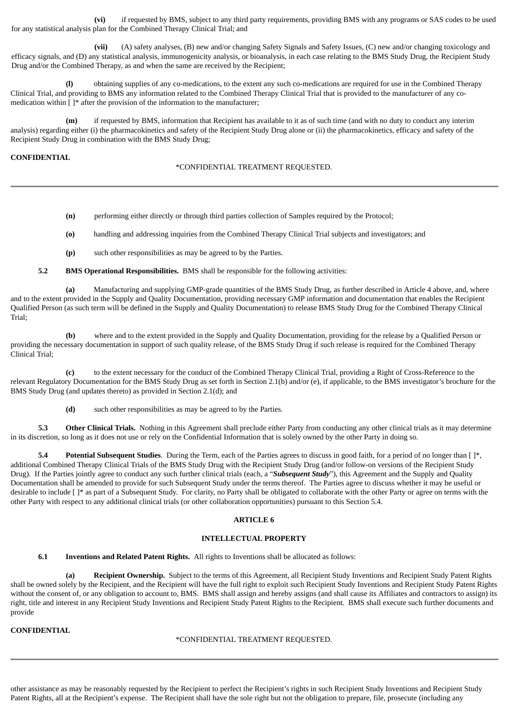**(vi)** if requested by BMS, subject to any third party requirements, providing BMS with any programs or SAS codes to be used for any statistical analysis plan for the Combined Therapy Clinical Trial; and

**(vii)** (A) safety analyses, (B) new and/or changing Safety Signals and Safety Issues, (C) new and/or changing toxicology and efficacy signals, and (D) any statistical analysis, immunogenicity analysis, or bioanalysis, in each case relating to the BMS Study Drug, the Recipient Study Drug and/or the Combined Therapy, as and when the same are received by the Recipient;

**(l)** obtaining supplies of any co-medications, to the extent any such co-medications are required for use in the Combined Therapy Clinical Trial, and providing to BMS any information related to the Combined Therapy Clinical Trial that is provided to the manufacturer of any comedication within  $[$   $]$ <sup>\*</sup> after the provision of the information to the manufacturer;

**(m)** if requested by BMS, information that Recipient has available to it as of such time (and with no duty to conduct any interim analysis) regarding either (i) the pharmacokinetics and safety of the Recipient Study Drug alone or (ii) the pharmacokinetics, efficacy and safety of the Recipient Study Drug in combination with the BMS Study Drug;

#### **CONFIDENTIAL**

#### \*CONFIDENTIAL TREATMENT REQUESTED.

- **(n)** performing either directly or through third parties collection of Samples required by the Protocol;
- **(o)** handling and addressing inquiries from the Combined Therapy Clinical Trial subjects and investigators; and
- **(p)** such other responsibilities as may be agreed to by the Parties.

**5.2 BMS Operational Responsibilities.** BMS shall be responsible for the following activities:

**(a)** Manufacturing and supplying GMP-grade quantities of the BMS Study Drug, as further described in Article 4 above, and, where and to the extent provided in the Supply and Quality Documentation, providing necessary GMP information and documentation that enables the Recipient Qualified Person (as such term will be defined in the Supply and Quality Documentation) to release BMS Study Drug for the Combined Therapy Clinical Trial;

**(b)** where and to the extent provided in the Supply and Quality Documentation, providing for the release by a Qualified Person or providing the necessary documentation in support of such quality release, of the BMS Study Drug if such release is required for the Combined Therapy Clinical Trial;

**(c)** to the extent necessary for the conduct of the Combined Therapy Clinical Trial, providing a Right of Cross-Reference to the relevant Regulatory Documentation for the BMS Study Drug as set forth in Section 2.1(b) and/or (e), if applicable, to the BMS investigator's brochure for the BMS Study Drug (and updates thereto) as provided in Section 2.1(d); and

**(d)** such other responsibilities as may be agreed to by the Parties.

**5.3 Other Clinical Trials.** Nothing in this Agreement shall preclude either Party from conducting any other clinical trials as it may determine in its discretion, so long as it does not use or rely on the Confidential Information that is solely owned by the other Party in doing so.

**5.4 Potential Subsequent Studies**. During the Term, each of the Parties agrees to discuss in good faith, for a period of no longer than [ ]\*, additional Combined Therapy Clinical Trials of the BMS Study Drug with the Recipient Study Drug (and/or follow-on versions of the Recipient Study Drug). If the Parties jointly agree to conduct any such further clinical trials (each, a "*Subsequent Study*"), this Agreement and the Supply and Quality Documentation shall be amended to provide for such Subsequent Study under the terms thereof. The Parties agree to discuss whether it may be useful or desirable to include [ ]\* as part of a Subsequent Study. For clarity, no Party shall be obligated to collaborate with the other Party or agree on terms with the other Party with respect to any additional clinical trials (or other collaboration opportunities) pursuant to this Section 5.4.

### **ARTICLE 6**

#### **INTELLECTUAL PROPERTY**

**6.1 Inventions and Related Patent Rights.** All rights to Inventions shall be allocated as follows:

**(a) Recipient Ownership.** Subject to the terms of this Agreement, all Recipient Study Inventions and Recipient Study Patent Rights shall be owned solely by the Recipient, and the Recipient will have the full right to exploit such Recipient Study Inventions and Recipient Study Patent Rights without the consent of, or any obligation to account to, BMS. BMS shall assign and hereby assigns (and shall cause its Affiliates and contractors to assign) its right, title and interest in any Recipient Study Inventions and Recipient Study Patent Rights to the Recipient. BMS shall execute such further documents and provide

### **CONFIDENTIAL**

#### \*CONFIDENTIAL TREATMENT REQUESTED.

other assistance as may be reasonably requested by the Recipient to perfect the Recipient's rights in such Recipient Study Inventions and Recipient Study Patent Rights, all at the Recipient's expense. The Recipient shall have the sole right but not the obligation to prepare, file, prosecute (including any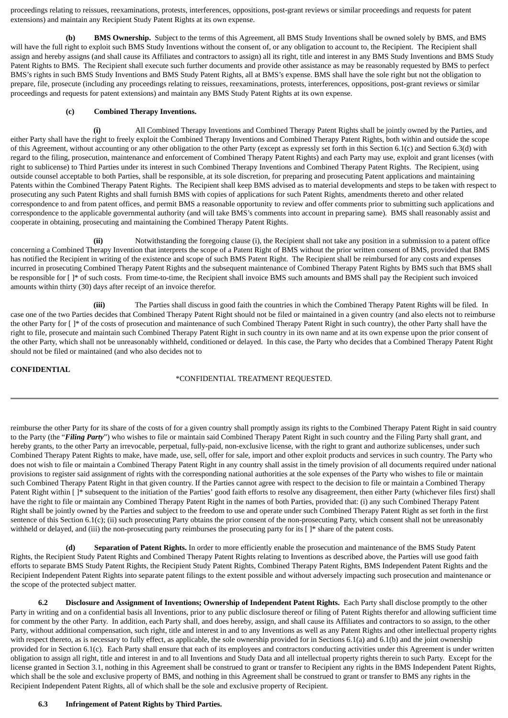proceedings relating to reissues, reexaminations, protests, interferences, oppositions, post-grant reviews or similar proceedings and requests for patent extensions) and maintain any Recipient Study Patent Rights at its own expense.

**(b) BMS Ownership.** Subject to the terms of this Agreement, all BMS Study Inventions shall be owned solely by BMS, and BMS will have the full right to exploit such BMS Study Inventions without the consent of, or any obligation to account to, the Recipient. The Recipient shall assign and hereby assigns (and shall cause its Affiliates and contractors to assign) all its right, title and interest in any BMS Study Inventions and BMS Study Patent Rights to BMS. The Recipient shall execute such further documents and provide other assistance as may be reasonably requested by BMS to perfect BMS's rights in such BMS Study Inventions and BMS Study Patent Rights, all at BMS's expense. BMS shall have the sole right but not the obligation to prepare, file, prosecute (including any proceedings relating to reissues, reexaminations, protests, interferences, oppositions, post-grant reviews or similar proceedings and requests for patent extensions) and maintain any BMS Study Patent Rights at its own expense.

### **(c) Combined Therapy Inventions.**

**(i)** All Combined Therapy Inventions and Combined Therapy Patent Rights shall be jointly owned by the Parties, and either Party shall have the right to freely exploit the Combined Therapy Inventions and Combined Therapy Patent Rights, both within and outside the scope of this Agreement, without accounting or any other obligation to the other Party (except as expressly set forth in this Section 6.1(c) and Section 6.3(d) with regard to the filing, prosecution, maintenance and enforcement of Combined Therapy Patent Rights) and each Party may use, exploit and grant licenses (with right to sublicense) to Third Parties under its interest in such Combined Therapy Inventions and Combined Therapy Patent Rights. The Recipient, using outside counsel acceptable to both Parties, shall be responsible, at its sole discretion, for preparing and prosecuting Patent applications and maintaining Patents within the Combined Therapy Patent Rights. The Recipient shall keep BMS advised as to material developments and steps to be taken with respect to prosecuting any such Patent Rights and shall furnish BMS with copies of applications for such Patent Rights, amendments thereto and other related correspondence to and from patent offices, and permit BMS a reasonable opportunity to review and offer comments prior to submitting such applications and correspondence to the applicable governmental authority (and will take BMS's comments into account in preparing same). BMS shall reasonably assist and cooperate in obtaining, prosecuting and maintaining the Combined Therapy Patent Rights.

**(ii)** Notwithstanding the foregoing clause (i), the Recipient shall not take any position in a submission to a patent office concerning a Combined Therapy Invention that interprets the scope of a Patent Right of BMS without the prior written consent of BMS, provided that BMS has notified the Recipient in writing of the existence and scope of such BMS Patent Right. The Recipient shall be reimbursed for any costs and expenses incurred in prosecuting Combined Therapy Patent Rights and the subsequent maintenance of Combined Therapy Patent Rights by BMS such that BMS shall be responsible for [ ]\* of such costs. From time-to-time, the Recipient shall invoice BMS such amounts and BMS shall pay the Recipient such invoiced amounts within thirty (30) days after receipt of an invoice therefor.

**(iii)** The Parties shall discuss in good faith the countries in which the Combined Therapy Patent Rights will be filed. In case one of the two Parties decides that Combined Therapy Patent Right should not be filed or maintained in a given country (and also elects not to reimburse the other Party for [ ]\* of the costs of prosecution and maintenance of such Combined Therapy Patent Right in such country), the other Party shall have the right to file, prosecute and maintain such Combined Therapy Patent Right in such country in its own name and at its own expense upon the prior consent of the other Party, which shall not be unreasonably withheld, conditioned or delayed. In this case, the Party who decides that a Combined Therapy Patent Right should not be filed or maintained (and who also decides not to

### **CONFIDENTIAL**

### \*CONFIDENTIAL TREATMENT REQUESTED.

reimburse the other Party for its share of the costs of for a given country shall promptly assign its rights to the Combined Therapy Patent Right in said country to the Party (the "*Filing Party*") who wishes to file or maintain said Combined Therapy Patent Right in such country and the Filing Party shall grant, and hereby grants, to the other Party an irrevocable, perpetual, fully-paid, non-exclusive license, with the right to grant and authorize sublicenses, under such Combined Therapy Patent Rights to make, have made, use, sell, offer for sale, import and other exploit products and services in such country. The Party who does not wish to file or maintain a Combined Therapy Patent Right in any country shall assist in the timely provision of all documents required under national provisions to register said assignment of rights with the corresponding national authorities at the sole expenses of the Party who wishes to file or maintain such Combined Therapy Patent Right in that given country. If the Parties cannot agree with respect to the decision to file or maintain a Combined Therapy Patent Right within []\* subsequent to the initiation of the Parties' good faith efforts to resolve any disagreement, then either Party (whichever files first) shall have the right to file or maintain any Combined Therapy Patent Right in the names of both Parties, provided that: (i) any such Combined Therapy Patent Right shall be jointly owned by the Parties and subject to the freedom to use and operate under such Combined Therapy Patent Right as set forth in the first sentence of this Section 6.1(c); (ii) such prosecuting Party obtains the prior consent of the non-prosecuting Party, which consent shall not be unreasonably withheld or delayed, and (iii) the non-prosecuting party reimburses the prosecuting party for its  $[ ]^*$  share of the patent costs.

**(d) Separation of Patent Rights.** In order to more efficiently enable the prosecution and maintenance of the BMS Study Patent Rights, the Recipient Study Patent Rights and Combined Therapy Patent Rights relating to Inventions as described above, the Parties will use good faith efforts to separate BMS Study Patent Rights, the Recipient Study Patent Rights, Combined Therapy Patent Rights, BMS Independent Patent Rights and the Recipient Independent Patent Rights into separate patent filings to the extent possible and without adversely impacting such prosecution and maintenance or the scope of the protected subject matter.

**6.2 Disclosure and Assignment of Inventions; Ownership of Independent Patent Rights.** Each Party shall disclose promptly to the other Party in writing and on a confidential basis all Inventions, prior to any public disclosure thereof or filing of Patent Rights therefor and allowing sufficient time for comment by the other Party. In addition, each Party shall, and does hereby, assign, and shall cause its Affiliates and contractors to so assign, to the other Party, without additional compensation, such right, title and interest in and to any Inventions as well as any Patent Rights and other intellectual property rights with respect thereto, as is necessary to fully effect, as applicable, the sole ownership provided for in Sections 6.1(a) and 6.1(b) and the joint ownership provided for in Section 6.1(c). Each Party shall ensure that each of its employees and contractors conducting activities under this Agreement is under written obligation to assign all right, title and interest in and to all Inventions and Study Data and all intellectual property rights therein to such Party. Except for the license granted in Section 3.1, nothing in this Agreement shall be construed to grant or transfer to Recipient any rights in the BMS Independent Patent Rights, which shall be the sole and exclusive property of BMS, and nothing in this Agreement shall be construed to grant or transfer to BMS any rights in the Recipient Independent Patent Rights, all of which shall be the sole and exclusive property of Recipient.

## **6.3 Infringement of Patent Rights by Third Parties.**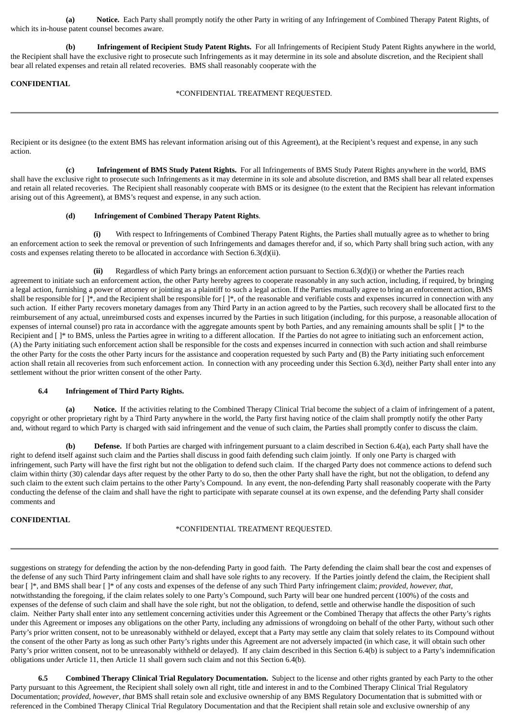**(a) Notice.** Each Party shall promptly notify the other Party in writing of any Infringement of Combined Therapy Patent Rights, of which its in-house patent counsel becomes aware.

**(b) Infringement of Recipient Study Patent Rights.** For all Infringements of Recipient Study Patent Rights anywhere in the world, the Recipient shall have the exclusive right to prosecute such Infringements as it may determine in its sole and absolute discretion, and the Recipient shall bear all related expenses and retain all related recoveries. BMS shall reasonably cooperate with the

### **CONFIDENTIAL**

### \*CONFIDENTIAL TREATMENT REQUESTED.

Recipient or its designee (to the extent BMS has relevant information arising out of this Agreement), at the Recipient's request and expense, in any such action.

**(c) Infringement of BMS Study Patent Rights.** For all Infringements of BMS Study Patent Rights anywhere in the world, BMS shall have the exclusive right to prosecute such Infringements as it may determine in its sole and absolute discretion, and BMS shall bear all related expenses and retain all related recoveries. The Recipient shall reasonably cooperate with BMS or its designee (to the extent that the Recipient has relevant information arising out of this Agreement), at BMS's request and expense, in any such action.

### **(d) Infringement of Combined Therapy Patent Rights**.

**(i)** With respect to Infringements of Combined Therapy Patent Rights, the Parties shall mutually agree as to whether to bring an enforcement action to seek the removal or prevention of such Infringements and damages therefor and, if so, which Party shall bring such action, with any costs and expenses relating thereto to be allocated in accordance with Section 6.3(d)(ii).

**(ii)** Regardless of which Party brings an enforcement action pursuant to Section 6.3(d)(i) or whether the Parties reach agreement to initiate such an enforcement action, the other Party hereby agrees to cooperate reasonably in any such action, including, if required, by bringing a legal action, furnishing a power of attorney or jointing as a plaintiff to such a legal action. If the Parties mutually agree to bring an enforcement action, BMS shall be responsible for  $[ ]^*$ , and the Recipient shall be responsible for  $[ ]^*$ , of the reasonable and verifiable costs and expenses incurred in connection with any such action. If either Party recovers monetary damages from any Third Party in an action agreed to by the Parties, such recovery shall be allocated first to the reimbursement of any actual, unreimbursed costs and expenses incurred by the Parties in such litigation (including, for this purpose, a reasonable allocation of expenses of internal counsel) pro rata in accordance with the aggregate amounts spent by both Parties, and any remaining amounts shall be split [ ]\* to the Recipient and []\* to BMS, unless the Parties agree in writing to a different allocation. If the Parties do not agree to initiating such an enforcement action, (A) the Party initiating such enforcement action shall be responsible for the costs and expenses incurred in connection with such action and shall reimburse the other Party for the costs the other Party incurs for the assistance and cooperation requested by such Party and (B) the Party initiating such enforcement action shall retain all recoveries from such enforcement action. In connection with any proceeding under this Section 6.3(d), neither Party shall enter into any settlement without the prior written consent of the other Party.

#### **6.4 Infringement of Third Party Rights.**

**(a) Notice.** If the activities relating to the Combined Therapy Clinical Trial become the subject of a claim of infringement of a patent, copyright or other proprietary right by a Third Party anywhere in the world, the Party first having notice of the claim shall promptly notify the other Party and, without regard to which Party is charged with said infringement and the venue of such claim, the Parties shall promptly confer to discuss the claim.

**(b) Defense.** If both Parties are charged with infringement pursuant to a claim described in Section 6.4(a), each Party shall have the right to defend itself against such claim and the Parties shall discuss in good faith defending such claim jointly. If only one Party is charged with infringement, such Party will have the first right but not the obligation to defend such claim. If the charged Party does not commence actions to defend such claim within thirty (30) calendar days after request by the other Party to do so, then the other Party shall have the right, but not the obligation, to defend any such claim to the extent such claim pertains to the other Party's Compound. In any event, the non-defending Party shall reasonably cooperate with the Party conducting the defense of the claim and shall have the right to participate with separate counsel at its own expense, and the defending Party shall consider comments and

## **CONFIDENTIAL**

## \*CONFIDENTIAL TREATMENT REQUESTED.

suggestions on strategy for defending the action by the non-defending Party in good faith. The Party defending the claim shall bear the cost and expenses of the defense of any such Third Party infringement claim and shall have sole rights to any recovery. If the Parties jointly defend the claim, the Recipient shall bear [ ]\*, and BMS shall bear [ ]\* of any costs and expenses of the defense of any such Third Party infringement claim; *provided, however, that,* notwithstanding the foregoing, if the claim relates solely to one Party's Compound, such Party will bear one hundred percent (100%) of the costs and expenses of the defense of such claim and shall have the sole right, but not the obligation, to defend, settle and otherwise handle the disposition of such claim. Neither Party shall enter into any settlement concerning activities under this Agreement or the Combined Therapy that affects the other Party's rights under this Agreement or imposes any obligations on the other Party, including any admissions of wrongdoing on behalf of the other Party, without such other Party's prior written consent, not to be unreasonably withheld or delayed, except that a Party may settle any claim that solely relates to its Compound without the consent of the other Party as long as such other Party's rights under this Agreement are not adversely impacted (in which case, it will obtain such other Party's prior written consent, not to be unreasonably withheld or delayed). If any claim described in this Section 6.4(b) is subject to a Party's indemnification obligations under Article 11, then Article 11 shall govern such claim and not this Section 6.4(b).

**6.5 Combined Therapy Clinical Trial Regulatory Documentation.** Subject to the license and other rights granted by each Party to the other Party pursuant to this Agreement, the Recipient shall solely own all right, title and interest in and to the Combined Therapy Clinical Trial Regulatory Documentation; *provided*, *however*, *that* BMS shall retain sole and exclusive ownership of any BMS Regulatory Documentation that is submitted with or referenced in the Combined Therapy Clinical Trial Regulatory Documentation and that the Recipient shall retain sole and exclusive ownership of any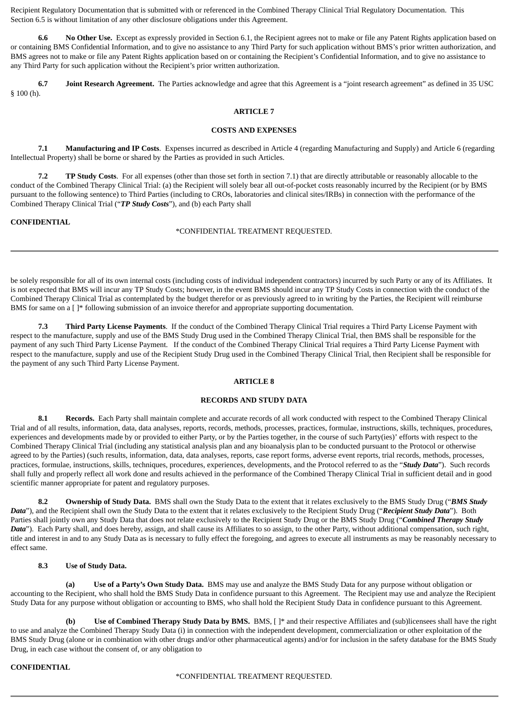Recipient Regulatory Documentation that is submitted with or referenced in the Combined Therapy Clinical Trial Regulatory Documentation. This Section 6.5 is without limitation of any other disclosure obligations under this Agreement.

**6.6 No Other Use.** Except as expressly provided in Section 6.1, the Recipient agrees not to make or file any Patent Rights application based on or containing BMS Confidential Information, and to give no assistance to any Third Party for such application without BMS's prior written authorization, and BMS agrees not to make or file any Patent Rights application based on or containing the Recipient's Confidential Information, and to give no assistance to any Third Party for such application without the Recipient's prior written authorization.

**6.7 Joint Research Agreement.** The Parties acknowledge and agree that this Agreement is a "joint research agreement" as defined in 35 USC § 100 (h).

#### **ARTICLE 7**

#### **COSTS AND EXPENSES**

**7.1 Manufacturing and IP Costs**. Expenses incurred as described in Article 4 (regarding Manufacturing and Supply) and Article 6 (regarding Intellectual Property) shall be borne or shared by the Parties as provided in such Articles.

**7.2 TP Study Costs**. For all expenses (other than those set forth in section 7.1) that are directly attributable or reasonably allocable to the conduct of the Combined Therapy Clinical Trial: (a) the Recipient will solely bear all out-of-pocket costs reasonably incurred by the Recipient (or by BMS pursuant to the following sentence) to Third Parties (including to CROs, laboratories and clinical sites/IRBs) in connection with the performance of the Combined Therapy Clinical Trial ("*TP Study Costs*"), and (b) each Party shall

#### **CONFIDENTIAL**

#### \*CONFIDENTIAL TREATMENT REQUESTED.

be solely responsible for all of its own internal costs (including costs of individual independent contractors) incurred by such Party or any of its Affiliates. It is not expected that BMS will incur any TP Study Costs; however, in the event BMS should incur any TP Study Costs in connection with the conduct of the Combined Therapy Clinical Trial as contemplated by the budget therefor or as previously agreed to in writing by the Parties, the Recipient will reimburse BMS for same on a  $[ ]^*$  following submission of an invoice therefor and appropriate supporting documentation.

**7.3 Third Party License Payments**. If the conduct of the Combined Therapy Clinical Trial requires a Third Party License Payment with respect to the manufacture, supply and use of the BMS Study Drug used in the Combined Therapy Clinical Trial, then BMS shall be responsible for the payment of any such Third Party License Payment. If the conduct of the Combined Therapy Clinical Trial requires a Third Party License Payment with respect to the manufacture, supply and use of the Recipient Study Drug used in the Combined Therapy Clinical Trial, then Recipient shall be responsible for the payment of any such Third Party License Payment.

## **ARTICLE 8**

## **RECORDS AND STUDY DATA**

**8.1 Records.** Each Party shall maintain complete and accurate records of all work conducted with respect to the Combined Therapy Clinical Trial and of all results, information, data, data analyses, reports, records, methods, processes, practices, formulae, instructions, skills, techniques, procedures, experiences and developments made by or provided to either Party, or by the Parties together, in the course of such Party(ies)' efforts with respect to the Combined Therapy Clinical Trial (including any statistical analysis plan and any bioanalysis plan to be conducted pursuant to the Protocol or otherwise agreed to by the Parties) (such results, information, data, data analyses, reports, case report forms, adverse event reports, trial records, methods, processes, practices, formulae, instructions, skills, techniques, procedures, experiences, developments, and the Protocol referred to as the "*Study Data*"). Such records shall fully and properly reflect all work done and results achieved in the performance of the Combined Therapy Clinical Trial in sufficient detail and in good scientific manner appropriate for patent and regulatory purposes.

**8.2 Ownership of Study Data.** BMS shall own the Study Data to the extent that it relates exclusively to the BMS Study Drug ("*BMS Study Data*"), and the Recipient shall own the Study Data to the extent that it relates exclusively to the Recipient Study Drug ("*Recipient Study Data*"). Both Parties shall jointly own any Study Data that does not relate exclusively to the Recipient Study Drug or the BMS Study Drug ("*Combined Therapy Study Data*"). Each Party shall, and does hereby, assign, and shall cause its Affiliates to so assign, to the other Party, without additional compensation, such right, title and interest in and to any Study Data as is necessary to fully effect the foregoing, and agrees to execute all instruments as may be reasonably necessary to effect same.

### **8.3 Use of Study Data.**

**(a) Use of a Party's Own Study Data.** BMS may use and analyze the BMS Study Data for any purpose without obligation or accounting to the Recipient, who shall hold the BMS Study Data in confidence pursuant to this Agreement. The Recipient may use and analyze the Recipient Study Data for any purpose without obligation or accounting to BMS, who shall hold the Recipient Study Data in confidence pursuant to this Agreement.

**(b) Use of Combined Therapy Study Data by BMS.** BMS, [ ]\* and their respective Affiliates and (sub)licensees shall have the right to use and analyze the Combined Therapy Study Data (i) in connection with the independent development, commercialization or other exploitation of the BMS Study Drug (alone or in combination with other drugs and/or other pharmaceutical agents) and/or for inclusion in the safety database for the BMS Study Drug, in each case without the consent of, or any obligation to

### **CONFIDENTIAL**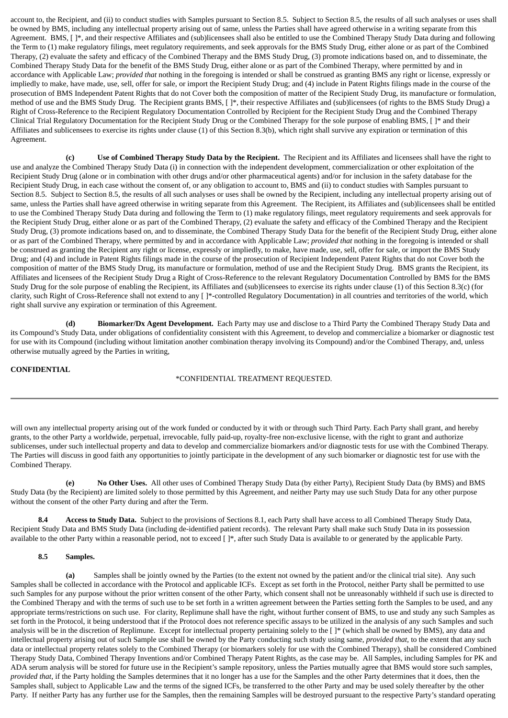account to, the Recipient, and (ii) to conduct studies with Samples pursuant to Section 8.5. Subject to Section 8.5, the results of all such analyses or uses shall be owned by BMS, including any intellectual property arising out of same, unless the Parties shall have agreed otherwise in a writing separate from this Agreement. BMS,  $[ ]^*$ , and their respective Affiliates and (sub)licensees shall also be entitled to use the Combined Therapy Study Data during and following the Term to (1) make regulatory filings, meet regulatory requirements, and seek approvals for the BMS Study Drug, either alone or as part of the Combined Therapy, (2) evaluate the safety and efficacy of the Combined Therapy and the BMS Study Drug, (3) promote indications based on, and to disseminate, the Combined Therapy Study Data for the benefit of the BMS Study Drug, either alone or as part of the Combined Therapy, where permitted by and in accordance with Applicable Law; *provided that* nothing in the foregoing is intended or shall be construed as granting BMS any right or license, expressly or impliedly to make, have made, use, sell, offer for sale, or import the Recipient Study Drug; and (4) include in Patent Rights filings made in the course of the prosecution of BMS Independent Patent Rights that do not Cover both the composition of matter of the Recipient Study Drug, its manufacture or formulation, method of use and the BMS Study Drug. The Recipient grants BMS, [ ]\*, their respective Affiliates and (sub)licensees (of rights to the BMS Study Drug) a Right of Cross-Reference to the Recipient Regulatory Documentation Controlled by Recipient for the Recipient Study Drug and the Combined Therapy Clinical Trial Regulatory Documentation for the Recipient Study Drug or the Combined Therapy for the sole purpose of enabling BMS, [ ]\* and their Affiliates and sublicensees to exercise its rights under clause (1) of this Section 8.3(b), which right shall survive any expiration or termination of this Agreement.

**(c) Use of Combined Therapy Study Data by the Recipient.** The Recipient and its Affiliates and licensees shall have the right to use and analyze the Combined Therapy Study Data (i) in connection with the independent development, commercialization or other exploitation of the Recipient Study Drug (alone or in combination with other drugs and/or other pharmaceutical agents) and/or for inclusion in the safety database for the Recipient Study Drug, in each case without the consent of, or any obligation to account to, BMS and (ii) to conduct studies with Samples pursuant to Section 8.5. Subject to Section 8.5, the results of all such analyses or uses shall be owned by the Recipient, including any intellectual property arising out of same, unless the Parties shall have agreed otherwise in writing separate from this Agreement. The Recipient, its Affiliates and (sub)licensees shall be entitled to use the Combined Therapy Study Data during and following the Term to (1) make regulatory filings, meet regulatory requirements and seek approvals for the Recipient Study Drug, either alone or as part of the Combined Therapy, (2) evaluate the safety and efficacy of the Combined Therapy and the Recipient Study Drug, (3) promote indications based on, and to disseminate, the Combined Therapy Study Data for the benefit of the Recipient Study Drug, either alone or as part of the Combined Therapy, where permitted by and in accordance with Applicable Law; *provided that* nothing in the foregoing is intended or shall be construed as granting the Recipient any right or license, expressly or impliedly, to make, have made, use, sell, offer for sale, or import the BMS Study Drug; and (4) and include in Patent Rights filings made in the course of the prosecution of Recipient Independent Patent Rights that do not Cover both the composition of matter of the BMS Study Drug, its manufacture or formulation, method of use and the Recipient Study Drug. BMS grants the Recipient, its Affiliates and licensees of the Recipient Study Drug a Right of Cross-Reference to the relevant Regulatory Documentation Controlled by BMS for the BMS Study Drug for the sole purpose of enabling the Recipient, its Affiliates and (sub)licensees to exercise its rights under clause (1) of this Section 8.3(c) (for clarity, such Right of Cross-Reference shall not extend to any [ ]\*-controlled Regulatory Documentation) in all countries and territories of the world, which right shall survive any expiration or termination of this Agreement.

**(d) Biomarker/Dx Agent Development.** Each Party may use and disclose to a Third Party the Combined Therapy Study Data and its Compound's Study Data, under obligations of confidentiality consistent with this Agreement, to develop and commercialize a biomarker or diagnostic test for use with its Compound (including without limitation another combination therapy involving its Compound) and/or the Combined Therapy, and, unless otherwise mutually agreed by the Parties in writing,

## **CONFIDENTIAL**

### \*CONFIDENTIAL TREATMENT REQUESTED.

will own any intellectual property arising out of the work funded or conducted by it with or through such Third Party. Each Party shall grant, and hereby grants, to the other Party a worldwide, perpetual, irrevocable, fully paid-up, royalty-free non-exclusive license, with the right to grant and authorize sublicenses, under such intellectual property and data to develop and commercialize biomarkers and/or diagnostic tests for use with the Combined Therapy. The Parties will discuss in good faith any opportunities to jointly participate in the development of any such biomarker or diagnostic test for use with the Combined Therapy.

**(e) No Other Uses.** All other uses of Combined Therapy Study Data (by either Party), Recipient Study Data (by BMS) and BMS Study Data (by the Recipient) are limited solely to those permitted by this Agreement, and neither Party may use such Study Data for any other purpose without the consent of the other Party during and after the Term.

**8.4 Access to Study Data.** Subject to the provisions of Sections 8.1, each Party shall have access to all Combined Therapy Study Data, Recipient Study Data and BMS Study Data (including de-identified patient records). The relevant Party shall make such Study Data in its possession available to the other Party within a reasonable period, not to exceed [ ]\*, after such Study Data is available to or generated by the applicable Party.

#### **8.5 Samples.**

**(a)** Samples shall be jointly owned by the Parties (to the extent not owned by the patient and/or the clinical trial site). Any such Samples shall be collected in accordance with the Protocol and applicable ICFs. Except as set forth in the Protocol, neither Party shall be permitted to use such Samples for any purpose without the prior written consent of the other Party, which consent shall not be unreasonably withheld if such use is directed to the Combined Therapy and with the terms of such use to be set forth in a written agreement between the Parties setting forth the Samples to be used, and any appropriate terms/restrictions on such use. For clarity, Replimune shall have the right, without further consent of BMS, to use and study any such Samples as set forth in the Protocol, it being understood that if the Protocol does not reference specific assays to be utilized in the analysis of any such Samples and such analysis will be in the discretion of Replimune. Except for intellectual property pertaining solely to the [ ]\* (which shall be owned by BMS), any data and intellectual property arising out of such Sample use shall be owned by the Party conducting such study using same, *provided that,* to the extent that any such data or intellectual property relates solely to the Combined Therapy (or biomarkers solely for use with the Combined Therapy), shall be considered Combined Therapy Study Data, Combined Therapy Inventions and/or Combined Therapy Patent Rights, as the case may be. All Samples, including Samples for PK and ADA serum analysis will be stored for future use in the Recipient's sample repository, unless the Parties mutually agree that BMS would store such samples, *provided that*, if the Party holding the Samples determines that it no longer has a use for the Samples and the other Party determines that it does, then the Samples shall, subject to Applicable Law and the terms of the signed ICFs, be transferred to the other Party and may be used solely thereafter by the other Party. If neither Party has any further use for the Samples, then the remaining Samples will be destroyed pursuant to the respective Party's standard operating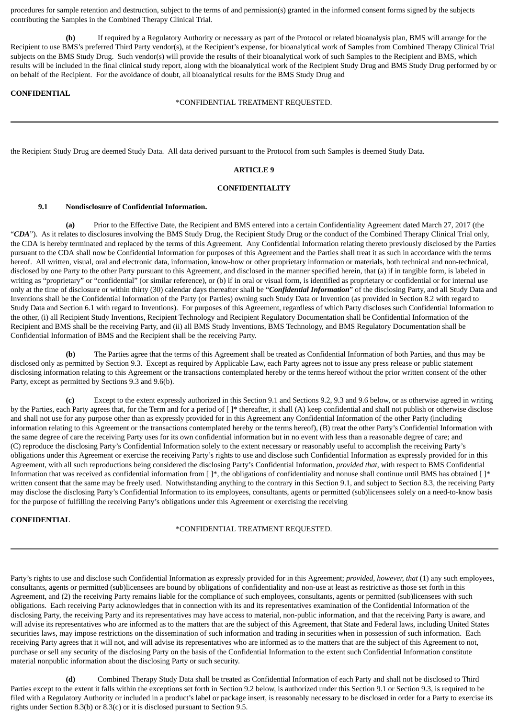procedures for sample retention and destruction, subject to the terms of and permission(s) granted in the informed consent forms signed by the subjects contributing the Samples in the Combined Therapy Clinical Trial.

**(b)** If required by a Regulatory Authority or necessary as part of the Protocol or related bioanalysis plan, BMS will arrange for the Recipient to use BMS's preferred Third Party vendor(s), at the Recipient's expense, for bioanalytical work of Samples from Combined Therapy Clinical Trial subjects on the BMS Study Drug. Such vendor(s) will provide the results of their bioanalytical work of such Samples to the Recipient and BMS, which results will be included in the final clinical study report, along with the bioanalytical work of the Recipient Study Drug and BMS Study Drug performed by or on behalf of the Recipient. For the avoidance of doubt, all bioanalytical results for the BMS Study Drug and

### **CONFIDENTIAL**

\*CONFIDENTIAL TREATMENT REQUESTED.

the Recipient Study Drug are deemed Study Data. All data derived pursuant to the Protocol from such Samples is deemed Study Data.

### **ARTICLE 9**

#### **CONFIDENTIALITY**

#### **9.1 Nondisclosure of Confidential Information.**

**(a)** Prior to the Effective Date, the Recipient and BMS entered into a certain Confidentiality Agreement dated March 27, 2017 (the "*CDA*"). As it relates to disclosures involving the BMS Study Drug, the Recipient Study Drug or the conduct of the Combined Therapy Clinical Trial only, the CDA is hereby terminated and replaced by the terms of this Agreement. Any Confidential Information relating thereto previously disclosed by the Parties pursuant to the CDA shall now be Confidential Information for purposes of this Agreement and the Parties shall treat it as such in accordance with the terms hereof. All written, visual, oral and electronic data, information, know-how or other proprietary information or materials, both technical and non-technical, disclosed by one Party to the other Party pursuant to this Agreement, and disclosed in the manner specified herein, that (a) if in tangible form, is labeled in writing as "proprietary" or "confidential" (or similar reference), or (b) if in oral or visual form, is identified as proprietary or confidential or for internal use only at the time of disclosure or within thirty (30) calendar days thereafter shall be "*Confidential Information*" of the disclosing Party, and all Study Data and Inventions shall be the Confidential Information of the Party (or Parties) owning such Study Data or Invention (as provided in Section 8.2 with regard to Study Data and Section 6.1 with regard to Inventions). For purposes of this Agreement, regardless of which Party discloses such Confidential Information to the other, (i) all Recipient Study Inventions, Recipient Technology and Recipient Regulatory Documentation shall be Confidential Information of the Recipient and BMS shall be the receiving Party, and (ii) all BMS Study Inventions, BMS Technology, and BMS Regulatory Documentation shall be Confidential Information of BMS and the Recipient shall be the receiving Party.

**(b)** The Parties agree that the terms of this Agreement shall be treated as Confidential Information of both Parties, and thus may be disclosed only as permitted by Section 9.3. Except as required by Applicable Law, each Party agrees not to issue any press release or public statement disclosing information relating to this Agreement or the transactions contemplated hereby or the terms hereof without the prior written consent of the other Party, except as permitted by Sections 9.3 and 9.6(b).

**(c)** Except to the extent expressly authorized in this Section 9.1 and Sections 9.2, 9.3 and 9.6 below, or as otherwise agreed in writing by the Parties, each Party agrees that, for the Term and for a period of  $[ ]^*$  thereafter, it shall (A) keep confidential and shall not publish or otherwise disclose and shall not use for any purpose other than as expressly provided for in this Agreement any Confidential Information of the other Party (including information relating to this Agreement or the transactions contemplated hereby or the terms hereof), (B) treat the other Party's Confidential Information with the same degree of care the receiving Party uses for its own confidential information but in no event with less than a reasonable degree of care; and (C) reproduce the disclosing Party's Confidential Information solely to the extent necessary or reasonably useful to accomplish the receiving Party's obligations under this Agreement or exercise the receiving Party's rights to use and disclose such Confidential Information as expressly provided for in this Agreement, with all such reproductions being considered the disclosing Party's Confidential Information, *provided that*, with respect to BMS Confidential Information that was received as confidential information from [ ]\*, the obligations of confidentiality and nonuse shall continue until BMS has obtained [ ]\* written consent that the same may be freely used. Notwithstanding anything to the contrary in this Section 9.1, and subject to Section 8.3, the receiving Party may disclose the disclosing Party's Confidential Information to its employees, consultants, agents or permitted (sub)licensees solely on a need-to-know basis for the purpose of fulfilling the receiving Party's obligations under this Agreement or exercising the receiving

## **CONFIDENTIAL**

\*CONFIDENTIAL TREATMENT REQUESTED.

Party's rights to use and disclose such Confidential Information as expressly provided for in this Agreement; *provided, however, that* (1) any such employees, consultants, agents or permitted (sub)licensees are bound by obligations of confidentiality and non-use at least as restrictive as those set forth in this Agreement, and (2) the receiving Party remains liable for the compliance of such employees, consultants, agents or permitted (sub)licensees with such obligations. Each receiving Party acknowledges that in connection with its and its representatives examination of the Confidential Information of the disclosing Party, the receiving Party and its representatives may have access to material, non-public information, and that the receiving Party is aware, and will advise its representatives who are informed as to the matters that are the subject of this Agreement, that State and Federal laws, including United States securities laws, may impose restrictions on the dissemination of such information and trading in securities when in possession of such information. Each receiving Party agrees that it will not, and will advise its representatives who are informed as to the matters that are the subject of this Agreement to not, purchase or sell any security of the disclosing Party on the basis of the Confidential Information to the extent such Confidential Information constitute material nonpublic information about the disclosing Party or such security.

**(d)** Combined Therapy Study Data shall be treated as Confidential Information of each Party and shall not be disclosed to Third Parties except to the extent it falls within the exceptions set forth in Section 9.2 below, is authorized under this Section 9.1 or Section 9.3, is required to be filed with a Regulatory Authority or included in a product's label or package insert, is reasonably necessary to be disclosed in order for a Party to exercise its rights under Section 8.3(b) or 8.3(c) or it is disclosed pursuant to Section 9.5.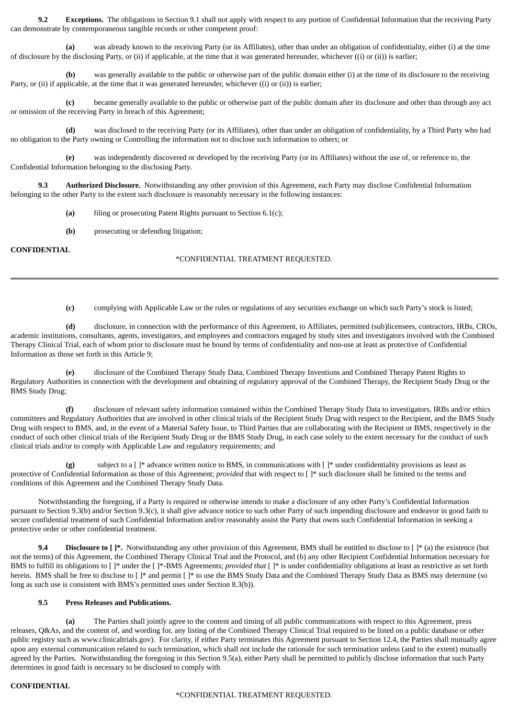**9.2 Exceptions.** The obligations in Section 9.1 shall not apply with respect to any portion of Confidential Information that the receiving Party can demonstrate by contemporaneous tangible records or other competent proof:

**(a)** was already known to the receiving Party (or its Affiliates), other than under an obligation of confidentiality, either (i) at the time of disclosure by the disclosing Party, or (ii) if applicable, at the time that it was generated hereunder, whichever ((i) or (ii)) is earlier;

**(b)** was generally available to the public or otherwise part of the public domain either (i) at the time of its disclosure to the receiving Party, or (ii) if applicable, at the time that it was generated hereunder, whichever ((i) or (ii)) is earlier;

**(c)** became generally available to the public or otherwise part of the public domain after its disclosure and other than through any act or omission of the receiving Party in breach of this Agreement;

**(d)** was disclosed to the receiving Party (or its Affiliates), other than under an obligation of confidentiality, by a Third Party who had no obligation to the Party owning or Controlling the information not to disclose such information to others; or

**(e)** was independently discovered or developed by the receiving Party (or its Affiliates) without the use of, or reference to, the Confidential Information belonging to the disclosing Party.

**9.3 Authorized Disclosure.** Notwithstanding any other provision of this Agreement, each Party may disclose Confidential Information belonging to the other Party to the extent such disclosure is reasonably necessary in the following instances:

- **(a)** filing or prosecuting Patent Rights pursuant to Section 6.1(c);
- **(b)** prosecuting or defending litigation;

## **CONFIDENTIAL**

## \*CONFIDENTIAL TREATMENT REQUESTED.

**(c)** complying with Applicable Law or the rules or regulations of any securities exchange on which such Party's stock is listed;

**(d)** disclosure, in connection with the performance of this Agreement, to Affiliates, permitted (sub)licensees, contractors, IRBs, CROs, academic institutions, consultants, agents, investigators, and employees and contractors engaged by study sites and investigators involved with the Combined Therapy Clinical Trial, each of whom prior to disclosure must be bound by terms of confidentiality and non-use at least as protective of Confidential Information as those set forth in this Article 9;

**(e)** disclosure of the Combined Therapy Study Data, Combined Therapy Inventions and Combined Therapy Patent Rights to Regulatory Authorities in connection with the development and obtaining of regulatory approval of the Combined Therapy, the Recipient Study Drug or the BMS Study Drug;

**(f)** disclosure of relevant safety information contained within the Combined Therapy Study Data to investigators, IRBs and/or ethics committees and Regulatory Authorities that are involved in other clinical trials of the Recipient Study Drug with respect to the Recipient, and the BMS Study Drug with respect to BMS, and, in the event of a Material Safety Issue, to Third Parties that are collaborating with the Recipient or BMS, respectively in the conduct of such other clinical trials of the Recipient Study Drug or the BMS Study Drug, in each case solely to the extent necessary for the conduct of such clinical trials and/or to comply with Applicable Law and regulatory requirements; and

**(g)** subject to a [ ]\* advance written notice to BMS, in communications with [ ]\* under confidentiality provisions as least as protective of Confidential Information as those of this Agreement; *provided* that with respect to [ ]\* such disclosure shall be limited to the terms and conditions of this Agreement and the Combined Therapy Study Data.

Notwithstanding the foregoing, if a Party is required or otherwise intends to make a disclosure of any other Party's Confidential Information pursuant to Section 9.3(b) and/or Section 9.3(c), it shall give advance notice to such other Party of such impending disclosure and endeavor in good faith to secure confidential treatment of such Confidential Information and/or reasonably assist the Party that owns such Confidential Information in seeking a protective order or other confidential treatment.

**9.4 Disclosure to**  $[$   $]$ \*. Notwithstanding any other provision of this Agreement, BMS shall be entitled to disclose to  $[$   $]$   $*$  (a) the existence (but not the terms) of this Agreement, the Combined Therapy Clinical Trial and the Protocol, and (b) any other Recipient Confidential Information necessary for BMS to fulfill its obligations to [ ]\* under the [ ]\*-BMS Agreements; *provided that* [ ]\* is under confidentiality obligations at least as restrictive as set forth herein. BMS shall be free to disclose to [ ]\* and permit [ ]\* to use the BMS Study Data and the Combined Therapy Study Data as BMS may determine (so long as such use is consistent with BMS's permitted uses under Section 8.3(b)).

### **9.5 Press Releases and Publications.**

**(a)** The Parties shall jointly agree to the content and timing of all public communications with respect to this Agreement, press releases, Q&As, and the content of, and wording for, any listing of the Combined Therapy Clinical Trial required to be listed on a public database or other public registry such as www.clinicaltrials.gov). For clarity, if either Party terminates this Agreement pursuant to Section 12.4, the Parties shall mutually agree upon any external communication related to such termination, which shall not include the rationale for such termination unless (and to the extent) mutually agreed by the Parties. Notwithstanding the foregoing in this Section 9.5(a), either Party shall be permitted to publicly disclose information that such Party determines in good faith is necessary to be disclosed to comply with

### **CONFIDENTIAL**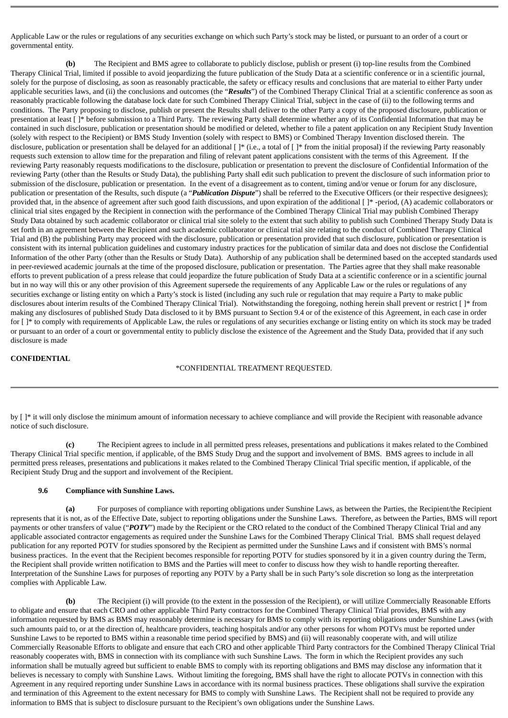Applicable Law or the rules or regulations of any securities exchange on which such Party's stock may be listed, or pursuant to an order of a court or governmental entity.

**(b)** The Recipient and BMS agree to collaborate to publicly disclose, publish or present (i) top-line results from the Combined Therapy Clinical Trial, limited if possible to avoid jeopardizing the future publication of the Study Data at a scientific conference or in a scientific journal, solely for the purpose of disclosing, as soon as reasonably practicable, the safety or efficacy results and conclusions that are material to either Party under applicable securities laws, and (ii) the conclusions and outcomes (the "*Results*") of the Combined Therapy Clinical Trial at a scientific conference as soon as reasonably practicable following the database lock date for such Combined Therapy Clinical Trial, subject in the case of (ii) to the following terms and conditions. The Party proposing to disclose, publish or present the Results shall deliver to the other Party a copy of the proposed disclosure, publication or presentation at least [ ]\* before submission to a Third Party. The reviewing Party shall determine whether any of its Confidential Information that may be contained in such disclosure, publication or presentation should be modified or deleted, whether to file a patent application on any Recipient Study Invention (solely with respect to the Recipient) or BMS Study Invention (solely with respect to BMS) or Combined Therapy Invention disclosed therein. The disclosure, publication or presentation shall be delayed for an additional []\* (i.e., a total of []\* from the initial proposal) if the reviewing Party reasonably requests such extension to allow time for the preparation and filing of relevant patent applications consistent with the terms of this Agreement. If the reviewing Party reasonably requests modifications to the disclosure, publication or presentation to prevent the disclosure of Confidential Information of the reviewing Party (other than the Results or Study Data), the publishing Party shall edit such publication to prevent the disclosure of such information prior to submission of the disclosure, publication or presentation. In the event of a disagreement as to content, timing and/or venue or forum for any disclosure, publication or presentation of the Results, such dispute (a "*Publication Dispute*") shall be referred to the Executive Officers (or their respective designees); provided that, in the absence of agreement after such good faith discussions, and upon expiration of the additional [ ]\* -period, (A) academic collaborators or clinical trial sites engaged by the Recipient in connection with the performance of the Combined Therapy Clinical Trial may publish Combined Therapy Study Data obtained by such academic collaborator or clinical trial site solely to the extent that such ability to publish such Combined Therapy Study Data is set forth in an agreement between the Recipient and such academic collaborator or clinical trial site relating to the conduct of Combined Therapy Clinical Trial and (B) the publishing Party may proceed with the disclosure, publication or presentation provided that such disclosure, publication or presentation is consistent with its internal publication guidelines and customary industry practices for the publication of similar data and does not disclose the Confidential Information of the other Party (other than the Results or Study Data). Authorship of any publication shall be determined based on the accepted standards used in peer-reviewed academic journals at the time of the proposed disclosure, publication or presentation. The Parties agree that they shall make reasonable efforts to prevent publication of a press release that could jeopardize the future publication of Study Data at a scientific conference or in a scientific journal but in no way will this or any other provision of this Agreement supersede the requirements of any Applicable Law or the rules or regulations of any securities exchange or listing entity on which a Party's stock is listed (including any such rule or regulation that may require a Party to make public disclosures about interim results of the Combined Therapy Clinical Trial). Notwithstanding the foregoing, nothing herein shall prevent or restrict [ ]\* from making any disclosures of published Study Data disclosed to it by BMS pursuant to Section 9.4 or of the existence of this Agreement, in each case in order for [ ]\* to comply with requirements of Applicable Law, the rules or regulations of any securities exchange or listing entity on which its stock may be traded or pursuant to an order of a court or governmental entity to publicly disclose the existence of the Agreement and the Study Data, provided that if any such disclosure is made

#### **CONFIDENTIAL**

#### \*CONFIDENTIAL TREATMENT REQUESTED.

by  $[ ]^*$  it will only disclose the minimum amount of information necessary to achieve compliance and will provide the Recipient with reasonable advance notice of such disclosure.

**(c)** The Recipient agrees to include in all permitted press releases, presentations and publications it makes related to the Combined Therapy Clinical Trial specific mention, if applicable, of the BMS Study Drug and the support and involvement of BMS. BMS agrees to include in all permitted press releases, presentations and publications it makes related to the Combined Therapy Clinical Trial specific mention, if applicable, of the Recipient Study Drug and the support and involvement of the Recipient.

#### **9.6 Compliance with Sunshine Laws.**

**(a)** For purposes of compliance with reporting obligations under Sunshine Laws, as between the Parties, the Recipient/the Recipient represents that it is not, as of the Effective Date, subject to reporting obligations under the Sunshine Laws. Therefore, as between the Parties, BMS will report payments or other transfers of value ("POTV") made by the Recipient or the CRO related to the conduct of the Combined Therapy Clinical Trial and any applicable associated contractor engagements as required under the Sunshine Laws for the Combined Therapy Clinical Trial. BMS shall request delayed publication for any reported POTV for studies sponsored by the Recipient as permitted under the Sunshine Laws and if consistent with BMS's normal business practices. In the event that the Recipient becomes responsible for reporting POTV for studies sponsored by it in a given country during the Term, the Recipient shall provide written notification to BMS and the Parties will meet to confer to discuss how they wish to handle reporting thereafter. Interpretation of the Sunshine Laws for purposes of reporting any POTV by a Party shall be in such Party's sole discretion so long as the interpretation complies with Applicable Law.

**(b)** The Recipient (i) will provide (to the extent in the possession of the Recipient), or will utilize Commercially Reasonable Efforts to obligate and ensure that each CRO and other applicable Third Party contractors for the Combined Therapy Clinical Trial provides, BMS with any information requested by BMS as BMS may reasonably determine is necessary for BMS to comply with its reporting obligations under Sunshine Laws (with such amounts paid to, or at the direction of, healthcare providers, teaching hospitals and/or any other persons for whom POTVs must be reported under Sunshine Laws to be reported to BMS within a reasonable time period specified by BMS) and (ii) will reasonably cooperate with, and will utilize Commercially Reasonable Efforts to obligate and ensure that each CRO and other applicable Third Party contractors for the Combined Therapy Clinical Trial reasonably cooperates with, BMS in connection with its compliance with such Sunshine Laws. The form in which the Recipient provides any such information shall be mutually agreed but sufficient to enable BMS to comply with its reporting obligations and BMS may disclose any information that it believes is necessary to comply with Sunshine Laws. Without limiting the foregoing, BMS shall have the right to allocate POTVs in connection with this Agreement in any required reporting under Sunshine Laws in accordance with its normal business practices. These obligations shall survive the expiration and termination of this Agreement to the extent necessary for BMS to comply with Sunshine Laws. The Recipient shall not be required to provide any information to BMS that is subject to disclosure pursuant to the Recipient's own obligations under the Sunshine Laws.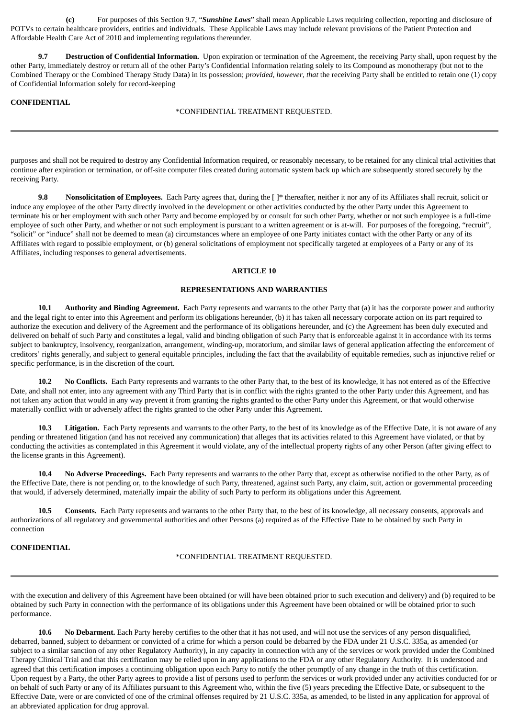**(c)** For purposes of this Section 9.7, "*Sunshine Laws*" shall mean Applicable Laws requiring collection, reporting and disclosure of POTVs to certain healthcare providers, entities and individuals. These Applicable Laws may include relevant provisions of the Patient Protection and Affordable Health Care Act of 2010 and implementing regulations thereunder.

**9.7 Destruction of Confidential Information.** Upon expiration or termination of the Agreement, the receiving Party shall, upon request by the other Party, immediately destroy or return all of the other Party's Confidential Information relating solely to its Compound as monotherapy (but not to the Combined Therapy or the Combined Therapy Study Data) in its possession; *provided*, *however*, *that* the receiving Party shall be entitled to retain one (1) copy of Confidential Information solely for record-keeping

#### **CONFIDENTIAL**

#### \*CONFIDENTIAL TREATMENT REQUESTED.

purposes and shall not be required to destroy any Confidential Information required, or reasonably necessary, to be retained for any clinical trial activities that continue after expiration or termination, or off-site computer files created during automatic system back up which are subsequently stored securely by the receiving Party.

**9.8 Nonsolicitation of Employees.** Each Party agrees that, during the [ ]\* thereafter, neither it nor any of its Affiliates shall recruit, solicit or induce any employee of the other Party directly involved in the development or other activities conducted by the other Party under this Agreement to terminate his or her employment with such other Party and become employed by or consult for such other Party, whether or not such employee is a full-time employee of such other Party, and whether or not such employment is pursuant to a written agreement or is at-will. For purposes of the foregoing, "recruit", "solicit" or "induce" shall not be deemed to mean (a) circumstances where an employee of one Party initiates contact with the other Party or any of its Affiliates with regard to possible employment, or (b) general solicitations of employment not specifically targeted at employees of a Party or any of its Affiliates, including responses to general advertisements.

### **ARTICLE 10**

#### **REPRESENTATIONS AND WARRANTIES**

**10.1 Authority and Binding Agreement.** Each Party represents and warrants to the other Party that (a) it has the corporate power and authority and the legal right to enter into this Agreement and perform its obligations hereunder, (b) it has taken all necessary corporate action on its part required to authorize the execution and delivery of the Agreement and the performance of its obligations hereunder, and (c) the Agreement has been duly executed and delivered on behalf of such Party and constitutes a legal, valid and binding obligation of such Party that is enforceable against it in accordance with its terms subject to bankruptcy, insolvency, reorganization, arrangement, winding-up, moratorium, and similar laws of general application affecting the enforcement of creditors' rights generally, and subject to general equitable principles, including the fact that the availability of equitable remedies, such as injunctive relief or specific performance, is in the discretion of the court.

**10.2 No Conflicts.** Each Party represents and warrants to the other Party that, to the best of its knowledge, it has not entered as of the Effective Date, and shall not enter, into any agreement with any Third Party that is in conflict with the rights granted to the other Party under this Agreement, and has not taken any action that would in any way prevent it from granting the rights granted to the other Party under this Agreement, or that would otherwise materially conflict with or adversely affect the rights granted to the other Party under this Agreement.

**10.3 Litigation.** Each Party represents and warrants to the other Party, to the best of its knowledge as of the Effective Date, it is not aware of any pending or threatened litigation (and has not received any communication) that alleges that its activities related to this Agreement have violated, or that by conducting the activities as contemplated in this Agreement it would violate, any of the intellectual property rights of any other Person (after giving effect to the license grants in this Agreement).

**10.4 No Adverse Proceedings.** Each Party represents and warrants to the other Party that, except as otherwise notified to the other Party, as of the Effective Date, there is not pending or, to the knowledge of such Party, threatened, against such Party, any claim, suit, action or governmental proceeding that would, if adversely determined, materially impair the ability of such Party to perform its obligations under this Agreement.

**10.5 Consents.** Each Party represents and warrants to the other Party that, to the best of its knowledge, all necessary consents, approvals and authorizations of all regulatory and governmental authorities and other Persons (a) required as of the Effective Date to be obtained by such Party in connection

### **CONFIDENTIAL**

\*CONFIDENTIAL TREATMENT REQUESTED.

with the execution and delivery of this Agreement have been obtained (or will have been obtained prior to such execution and delivery) and (b) required to be obtained by such Party in connection with the performance of its obligations under this Agreement have been obtained or will be obtained prior to such performance.

**10.6 No Debarment.** Each Party hereby certifies to the other that it has not used, and will not use the services of any person disqualified, debarred, banned, subject to debarment or convicted of a crime for which a person could be debarred by the FDA under 21 U.S.C. 335a, as amended (or subject to a similar sanction of any other Regulatory Authority), in any capacity in connection with any of the services or work provided under the Combined Therapy Clinical Trial and that this certification may be relied upon in any applications to the FDA or any other Regulatory Authority. It is understood and agreed that this certification imposes a continuing obligation upon each Party to notify the other promptly of any change in the truth of this certification. Upon request by a Party, the other Party agrees to provide a list of persons used to perform the services or work provided under any activities conducted for or on behalf of such Party or any of its Affiliates pursuant to this Agreement who, within the five (5) years preceding the Effective Date, or subsequent to the Effective Date, were or are convicted of one of the criminal offenses required by 21 U.S.C. 335a, as amended, to be listed in any application for approval of an abbreviated application for drug approval.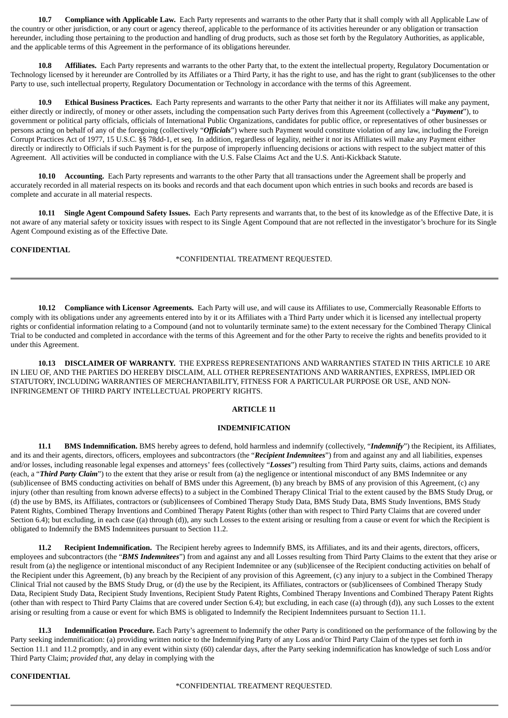**10.7 Compliance with Applicable Law.** Each Party represents and warrants to the other Party that it shall comply with all Applicable Law of the country or other jurisdiction, or any court or agency thereof, applicable to the performance of its activities hereunder or any obligation or transaction hereunder, including those pertaining to the production and handling of drug products, such as those set forth by the Regulatory Authorities, as applicable, and the applicable terms of this Agreement in the performance of its obligations hereunder.

**10.8 Affiliates.** Each Party represents and warrants to the other Party that, to the extent the intellectual property, Regulatory Documentation or Technology licensed by it hereunder are Controlled by its Affiliates or a Third Party, it has the right to use, and has the right to grant (sub)licenses to the other Party to use, such intellectual property, Regulatory Documentation or Technology in accordance with the terms of this Agreement.

**10.9 Ethical Business Practices.** Each Party represents and warrants to the other Party that neither it nor its Affiliates will make any payment, either directly or indirectly, of money or other assets, including the compensation such Party derives from this Agreement (collectively a "*Payment*"), to government or political party officials, officials of International Public Organizations, candidates for public office, or representatives of other businesses or persons acting on behalf of any of the foregoing (collectively "*Officials*") where such Payment would constitute violation of any law, including the Foreign Corrupt Practices Act of 1977, 15 U.S.C. §§ 78dd-1, et seq. In addition, regardless of legality, neither it nor its Affiliates will make any Payment either directly or indirectly to Officials if such Payment is for the purpose of improperly influencing decisions or actions with respect to the subject matter of this Agreement. All activities will be conducted in compliance with the U.S. False Claims Act and the U.S. Anti-Kickback Statute.

**10.10 Accounting.** Each Party represents and warrants to the other Party that all transactions under the Agreement shall be properly and accurately recorded in all material respects on its books and records and that each document upon which entries in such books and records are based is complete and accurate in all material respects.

**10.11 Single Agent Compound Safety Issues.** Each Party represents and warrants that, to the best of its knowledge as of the Effective Date, it is not aware of any material safety or toxicity issues with respect to its Single Agent Compound that are not reflected in the investigator's brochure for its Single Agent Compound existing as of the Effective Date.

## **CONFIDENTIAL**

### \*CONFIDENTIAL TREATMENT REQUESTED.

**10.12 Compliance with Licensor Agreements.** Each Party will use, and will cause its Affiliates to use, Commercially Reasonable Efforts to comply with its obligations under any agreements entered into by it or its Affiliates with a Third Party under which it is licensed any intellectual property rights or confidential information relating to a Compound (and not to voluntarily terminate same) to the extent necessary for the Combined Therapy Clinical Trial to be conducted and completed in accordance with the terms of this Agreement and for the other Party to receive the rights and benefits provided to it under this Agreement.

**10.13 DISCLAIMER OF WARRANTY.** THE EXPRESS REPRESENTATIONS AND WARRANTIES STATED IN THIS ARTICLE 10 ARE IN LIEU OF, AND THE PARTIES DO HEREBY DISCLAIM, ALL OTHER REPRESENTATIONS AND WARRANTIES, EXPRESS, IMPLIED OR STATUTORY, INCLUDING WARRANTIES OF MERCHANTABILITY, FITNESS FOR A PARTICULAR PURPOSE OR USE, AND NON-INFRINGEMENT OF THIRD PARTY INTELLECTUAL PROPERTY RIGHTS.

## **ARTICLE 11**

#### **INDEMNIFICATION**

**11.1 BMS Indemnification.** BMS hereby agrees to defend, hold harmless and indemnify (collectively, "*Indemnify*") the Recipient, its Affiliates, and its and their agents, directors, officers, employees and subcontractors (the "*Recipient Indemnitees*") from and against any and all liabilities, expenses and/or losses, including reasonable legal expenses and attorneys' fees (collectively "*Losses*") resulting from Third Party suits, claims, actions and demands (each, a "*Third Party Claim*") to the extent that they arise or result from (a) the negligence or intentional misconduct of any BMS Indemnitee or any (sub)licensee of BMS conducting activities on behalf of BMS under this Agreement, (b) any breach by BMS of any provision of this Agreement, (c) any injury (other than resulting from known adverse effects) to a subject in the Combined Therapy Clinical Trial to the extent caused by the BMS Study Drug, or (d) the use by BMS, its Affiliates, contractors or (sub)licensees of Combined Therapy Study Data, BMS Study Data, BMS Study Inventions, BMS Study Patent Rights, Combined Therapy Inventions and Combined Therapy Patent Rights (other than with respect to Third Party Claims that are covered under Section 6.4); but excluding, in each case ((a) through (d)), any such Losses to the extent arising or resulting from a cause or event for which the Recipient is obligated to Indemnify the BMS Indemnitees pursuant to Section 11.2.

**11.2 Recipient Indemnification.** The Recipient hereby agrees to Indemnify BMS, its Affiliates, and its and their agents, directors, officers, employees and subcontractors (the "*BMS Indemnitees*") from and against any and all Losses resulting from Third Party Claims to the extent that they arise or result from (a) the negligence or intentional misconduct of any Recipient Indemnitee or any (sub)licensee of the Recipient conducting activities on behalf of the Recipient under this Agreement, (b) any breach by the Recipient of any provision of this Agreement, (c) any injury to a subject in the Combined Therapy Clinical Trial not caused by the BMS Study Drug, or (d) the use by the Recipient, its Affiliates, contractors or (sub)licensees of Combined Therapy Study Data, Recipient Study Data, Recipient Study Inventions, Recipient Study Patent Rights, Combined Therapy Inventions and Combined Therapy Patent Rights (other than with respect to Third Party Claims that are covered under Section 6.4); but excluding, in each case ((a) through (d)), any such Losses to the extent arising or resulting from a cause or event for which BMS is obligated to Indemnify the Recipient Indemnitees pursuant to Section 11.1.

**11.3 Indemnification Procedure.** Each Party's agreement to Indemnify the other Party is conditioned on the performance of the following by the Party seeking indemnification: (a) providing written notice to the Indemnifying Party of any Loss and/or Third Party Claim of the types set forth in Section 11.1 and 11.2 promptly, and in any event within sixty (60) calendar days, after the Party seeking indemnification has knowledge of such Loss and/or Third Party Claim; *provided that*, any delay in complying with the

### **CONFIDENTIAL**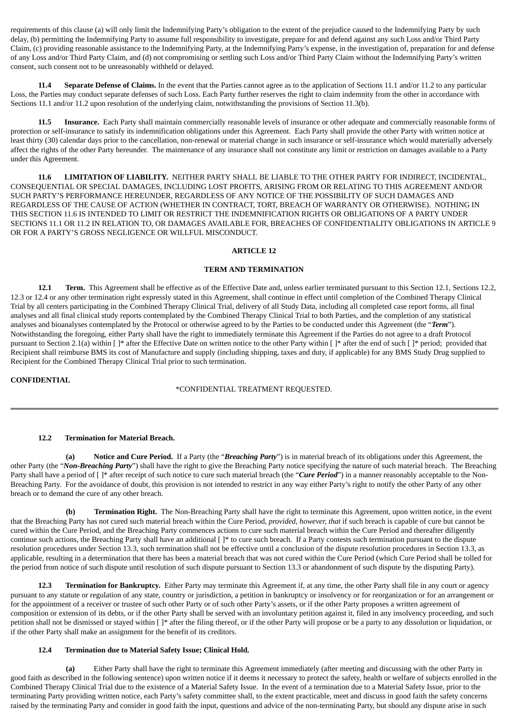requirements of this clause (a) will only limit the Indemnifying Party's obligation to the extent of the prejudice caused to the Indemnifying Party by such delay, (b) permitting the Indemnifying Party to assume full responsibility to investigate, prepare for and defend against any such Loss and/or Third Party Claim, (c) providing reasonable assistance to the Indemnifying Party, at the Indemnifying Party's expense, in the investigation of, preparation for and defense of any Loss and/or Third Party Claim, and (d) not compromising or settling such Loss and/or Third Party Claim without the Indemnifying Party's written consent, such consent not to be unreasonably withheld or delayed.

**11.4 Separate Defense of Claims.** In the event that the Parties cannot agree as to the application of Sections 11.1 and/or 11.2 to any particular Loss, the Parties may conduct separate defenses of such Loss. Each Party further reserves the right to claim indemnity from the other in accordance with Sections 11.1 and/or 11.2 upon resolution of the underlying claim, notwithstanding the provisions of Section 11.3(b).

**11.5 Insurance.** Each Party shall maintain commercially reasonable levels of insurance or other adequate and commercially reasonable forms of protection or self-insurance to satisfy its indemnification obligations under this Agreement. Each Party shall provide the other Party with written notice at least thirty (30) calendar days prior to the cancellation, non-renewal or material change in such insurance or self-insurance which would materially adversely affect the rights of the other Party hereunder. The maintenance of any insurance shall not constitute any limit or restriction on damages available to a Party under this Agreement.

**11.6 LIMITATION OF LIABILITY.** NEITHER PARTY SHALL BE LIABLE TO THE OTHER PARTY FOR INDIRECT, INCIDENTAL, CONSEQUENTIAL OR SPECIAL DAMAGES, INCLUDING LOST PROFITS, ARISING FROM OR RELATING TO THIS AGREEMENT AND/OR SUCH PARTY'S PERFORMANCE HEREUNDER, REGARDLESS OF ANY NOTICE OF THE POSSIBILITY OF SUCH DAMAGES AND REGARDLESS OF THE CAUSE OF ACTION (WHETHER IN CONTRACT, TORT, BREACH OF WARRANTY OR OTHERWISE). NOTHING IN THIS SECTION 11.6 IS INTENDED TO LIMIT OR RESTRICT THE INDEMNIFICATION RIGHTS OR OBLIGATIONS OF A PARTY UNDER SECTIONS 11.1 OR 11.2 IN RELATION TO, OR DAMAGES AVAILABLE FOR, BREACHES OF CONFIDENTIALITY OBLIGATIONS IN ARTICLE 9 OR FOR A PARTY'S GROSS NEGLIGENCE OR WILLFUL MISCONDUCT.

#### **ARTICLE 12**

### **TERM AND TERMINATION**

**12.1 Term.** This Agreement shall be effective as of the Effective Date and, unless earlier terminated pursuant to this Section 12.1, Sections 12.2, 12.3 or 12.4 or any other termination right expressly stated in this Agreement, shall continue in effect until completion of the Combined Therapy Clinical Trial by all centers participating in the Combined Therapy Clinical Trial, delivery of all Study Data, including all completed case report forms, all final analyses and all final clinical study reports contemplated by the Combined Therapy Clinical Trial to both Parties, and the completion of any statistical analyses and bioanalyses contemplated by the Protocol or otherwise agreed to by the Parties to be conducted under this Agreement (the "*Term*"). Notwithstanding the foregoing, either Party shall have the right to immediately terminate this Agreement if the Parties do not agree to a draft Protocol pursuant to Section 2.1(a) within [ ]\* after the Effective Date on written notice to the other Party within [ ]\* after the end of such [ ]\* period; provided that Recipient shall reimburse BMS its cost of Manufacture and supply (including shipping, taxes and duty, if applicable) for any BMS Study Drug supplied to Recipient for the Combined Therapy Clinical Trial prior to such termination.

#### **CONFIDENTIAL**

#### \*CONFIDENTIAL TREATMENT REQUESTED.

#### **12.2 Termination for Material Breach.**

**(a) Notice and Cure Period.** If a Party (the "*Breaching Party*") is in material breach of its obligations under this Agreement, the other Party (the "*Non-Breaching Party*") shall have the right to give the Breaching Party notice specifying the nature of such material breach. The Breaching Party shall have a period of [<sup>3\*</sup> after receipt of such notice to cure such material breach (the "*Cure Period*") in a manner reasonably acceptable to the Non-Breaching Party. For the avoidance of doubt, this provision is not intended to restrict in any way either Party's right to notify the other Party of any other breach or to demand the cure of any other breach.

**(b) Termination Right.** The Non-Breaching Party shall have the right to terminate this Agreement, upon written notice, in the event that the Breaching Party has not cured such material breach within the Cure Period, *provided, however, that* if such breach is capable of cure but cannot be cured within the Cure Period, and the Breaching Party commences actions to cure such material breach within the Cure Period and thereafter diligently continue such actions, the Breaching Party shall have an additional [ ]\* to cure such breach. If a Party contests such termination pursuant to the dispute resolution procedures under Section 13.3, such termination shall not be effective until a conclusion of the dispute resolution procedures in Section 13.3, as applicable, resulting in a determination that there has been a material breach that was not cured within the Cure Period (which Cure Period shall be tolled for the period from notice of such dispute until resolution of such dispute pursuant to Section 13.3 or abandonment of such dispute by the disputing Party).

**12.3 Termination for Bankruptcy.** Either Party may terminate this Agreement if, at any time, the other Party shall file in any court or agency pursuant to any statute or regulation of any state, country or jurisdiction, a petition in bankruptcy or insolvency or for reorganization or for an arrangement or for the appointment of a receiver or trustee of such other Party or of such other Party's assets, or if the other Party proposes a written agreement of composition or extension of its debts, or if the other Party shall be served with an involuntary petition against it, filed in any insolvency proceeding, and such petition shall not be dismissed or stayed within [ ]\* after the filing thereof, or if the other Party will propose or be a party to any dissolution or liquidation, or if the other Party shall make an assignment for the benefit of its creditors.

#### **12.4 Termination due to Material Safety Issue; Clinical Hold.**

**(a)** Either Party shall have the right to terminate this Agreement immediately (after meeting and discussing with the other Party in good faith as described in the following sentence) upon written notice if it deems it necessary to protect the safety, health or welfare of subjects enrolled in the Combined Therapy Clinical Trial due to the existence of a Material Safety Issue. In the event of a termination due to a Material Safety Issue, prior to the terminating Party providing written notice, each Party's safety committee shall, to the extent practicable, meet and discuss in good faith the safety concerns raised by the terminating Party and consider in good faith the input, questions and advice of the non-terminating Party, but should any dispute arise in such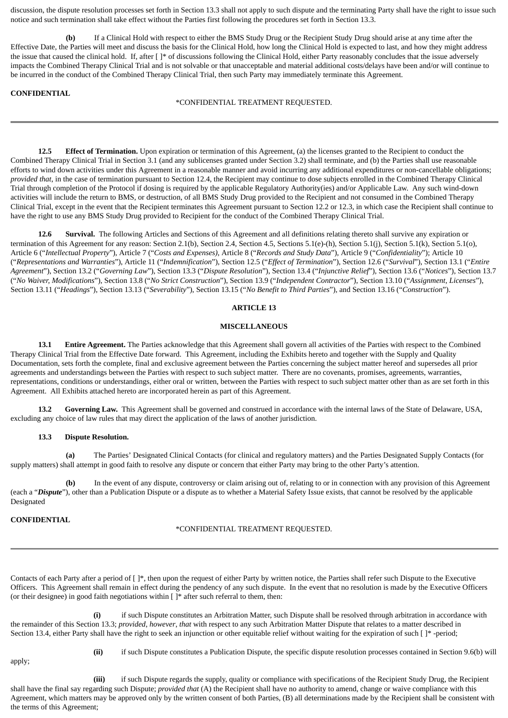discussion, the dispute resolution processes set forth in Section 13.3 shall not apply to such dispute and the terminating Party shall have the right to issue such notice and such termination shall take effect without the Parties first following the procedures set forth in Section 13.3.

**(b)** If a Clinical Hold with respect to either the BMS Study Drug or the Recipient Study Drug should arise at any time after the Effective Date, the Parties will meet and discuss the basis for the Clinical Hold, how long the Clinical Hold is expected to last, and how they might address the issue that caused the clinical hold. If, after [ ]\* of discussions following the Clinical Hold, either Party reasonably concludes that the issue adversely impacts the Combined Therapy Clinical Trial and is not solvable or that unacceptable and material additional costs/delays have been and/or will continue to be incurred in the conduct of the Combined Therapy Clinical Trial, then such Party may immediately terminate this Agreement.

### **CONFIDENTIAL**

\*CONFIDENTIAL TREATMENT REQUESTED.

**12.5 Effect of Termination.** Upon expiration or termination of this Agreement, (a) the licenses granted to the Recipient to conduct the Combined Therapy Clinical Trial in Section 3.1 (and any sublicenses granted under Section 3.2) shall terminate, and (b) the Parties shall use reasonable efforts to wind down activities under this Agreement in a reasonable manner and avoid incurring any additional expenditures or non-cancellable obligations; *provided that*, in the case of termination pursuant to Section 12.4, the Recipient may continue to dose subjects enrolled in the Combined Therapy Clinical Trial through completion of the Protocol if dosing is required by the applicable Regulatory Authority(ies) and/or Applicable Law. Any such wind-down activities will include the return to BMS, or destruction, of all BMS Study Drug provided to the Recipient and not consumed in the Combined Therapy Clinical Trial, except in the event that the Recipient terminates this Agreement pursuant to Section 12.2 or 12.3, in which case the Recipient shall continue to have the right to use any BMS Study Drug provided to Recipient for the conduct of the Combined Therapy Clinical Trial.

**12.6 Survival.** The following Articles and Sections of this Agreement and all definitions relating thereto shall survive any expiration or termination of this Agreement for any reason: Section 2.1(b), Section 2.4, Section 4.5, Sections 5.1(e)-(h), Section 5.1(i), Section 5.1(k), Section 5.1(o), Article 6 ("*Intellectual Property*"), Article 7 ("*Costs and Expenses)*, Article 8 ("*Records and Study Data*"), Article 9 ("*Confidentiality*"); Article 10 ("*Representations and Warranties*"), Article 11 ("*Indemnification*"), Section 12.5 ("*Effect of Termination*"), Section 12.6 ("*Survival*"), Section 13.1 ("*Entire Agreement*"), Section 13.2 ("*Governing Law*"), Section 13.3 ("*Dispute Resolution*"), Section 13.4 ("*Injunctive Relief*"), Section 13.6 ("*Notices*"), Section 13.7 ("*No Waiver, Modifications*"), Section 13.8 ("*No Strict Construction*"), Section 13.9 ("*Independent Contractor*"), Section 13.10 ("*Assignment, Licenses*"), Section 13.11 ("*Headings*"), Section 13.13 ("*Severability*"), Section 13.15 ("*No Benefit to Third Parties*"), and Section 13.16 ("*Construction*").

#### **ARTICLE 13**

#### **MISCELLANEOUS**

**13.1 Entire Agreement.** The Parties acknowledge that this Agreement shall govern all activities of the Parties with respect to the Combined Therapy Clinical Trial from the Effective Date forward. This Agreement, including the Exhibits hereto and together with the Supply and Quality Documentation, sets forth the complete, final and exclusive agreement between the Parties concerning the subject matter hereof and supersedes all prior agreements and understandings between the Parties with respect to such subject matter. There are no covenants, promises, agreements, warranties, representations, conditions or understandings, either oral or written, between the Parties with respect to such subject matter other than as are set forth in this Agreement. All Exhibits attached hereto are incorporated herein as part of this Agreement.

**13.2 Governing Law.** This Agreement shall be governed and construed in accordance with the internal laws of the State of Delaware, USA, excluding any choice of law rules that may direct the application of the laws of another jurisdiction.

#### **13.3 Dispute Resolution.**

**(a)** The Parties' Designated Clinical Contacts (for clinical and regulatory matters) and the Parties Designated Supply Contacts (for supply matters) shall attempt in good faith to resolve any dispute or concern that either Party may bring to the other Party's attention.

**(b)** In the event of any dispute, controversy or claim arising out of, relating to or in connection with any provision of this Agreement (each a "*Dispute*"), other than a Publication Dispute or a dispute as to whether a Material Safety Issue exists, that cannot be resolved by the applicable Designated

## **CONFIDENTIAL**

## \*CONFIDENTIAL TREATMENT REQUESTED.

Contacts of each Party after a period of [ ]\*, then upon the request of either Party by written notice, the Parties shall refer such Dispute to the Executive Officers. This Agreement shall remain in effect during the pendency of any such dispute. In the event that no resolution is made by the Executive Officers (or their designee) in good faith negotiations within [ ]\* after such referral to them, then:

**(i)** if such Dispute constitutes an Arbitration Matter, such Dispute shall be resolved through arbitration in accordance with the remainder of this Section 13.3; *provided*, *however*, *that* with respect to any such Arbitration Matter Dispute that relates to a matter described in Section 13.4, either Party shall have the right to seek an injunction or other equitable relief without waiting for the expiration of such [ ]\* -period;

- apply;
- **(ii)** if such Dispute constitutes a Publication Dispute, the specific dispute resolution processes contained in Section 9.6(b) will

**(iii)** if such Dispute regards the supply, quality or compliance with specifications of the Recipient Study Drug, the Recipient shall have the final say regarding such Dispute; *provided that* (A) the Recipient shall have no authority to amend, change or waive compliance with this Agreement, which matters may be approved only by the written consent of both Parties, (B) all determinations made by the Recipient shall be consistent with the terms of this Agreement;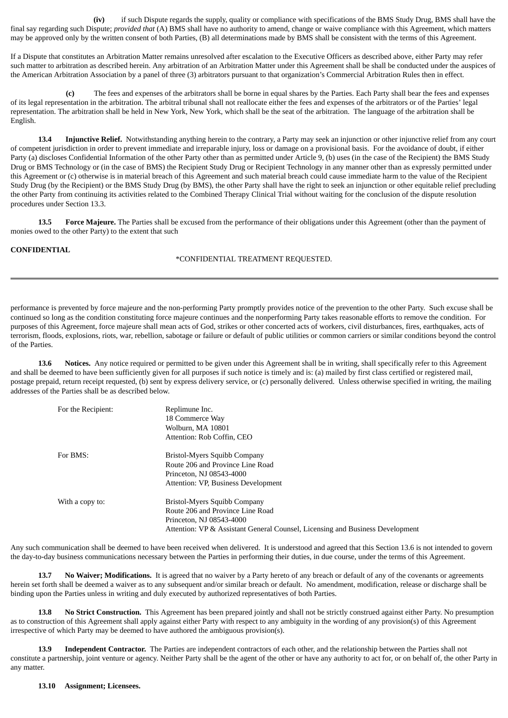**(iv)** if such Dispute regards the supply, quality or compliance with specifications of the BMS Study Drug, BMS shall have the final say regarding such Dispute; *provided that* (A) BMS shall have no authority to amend, change or waive compliance with this Agreement, which matters may be approved only by the written consent of both Parties, (B) all determinations made by BMS shall be consistent with the terms of this Agreement.

If a Dispute that constitutes an Arbitration Matter remains unresolved after escalation to the Executive Officers as described above, either Party may refer such matter to arbitration as described herein. Any arbitration of an Arbitration Matter under this Agreement shall be shall be conducted under the auspices of the American Arbitration Association by a panel of three (3) arbitrators pursuant to that organization's Commercial Arbitration Rules then in effect.

**(c)** The fees and expenses of the arbitrators shall be borne in equal shares by the Parties. Each Party shall bear the fees and expenses of its legal representation in the arbitration. The arbitral tribunal shall not reallocate either the fees and expenses of the arbitrators or of the Parties' legal representation. The arbitration shall be held in New York, New York, which shall be the seat of the arbitration. The language of the arbitration shall be English.

**13.4 Injunctive Relief.** Notwithstanding anything herein to the contrary, a Party may seek an injunction or other injunctive relief from any court of competent jurisdiction in order to prevent immediate and irreparable injury, loss or damage on a provisional basis. For the avoidance of doubt, if either Party (a) discloses Confidential Information of the other Party other than as permitted under Article 9, (b) uses (in the case of the Recipient) the BMS Study Drug or BMS Technology or (in the case of BMS) the Recipient Study Drug or Recipient Technology in any manner other than as expressly permitted under this Agreement or (c) otherwise is in material breach of this Agreement and such material breach could cause immediate harm to the value of the Recipient Study Drug (by the Recipient) or the BMS Study Drug (by BMS), the other Party shall have the right to seek an injunction or other equitable relief precluding the other Party from continuing its activities related to the Combined Therapy Clinical Trial without waiting for the conclusion of the dispute resolution procedures under Section 13.3.

**13.5 Force Majeure.** The Parties shall be excused from the performance of their obligations under this Agreement (other than the payment of monies owed to the other Party) to the extent that such

### **CONFIDENTIAL**

#### \*CONFIDENTIAL TREATMENT REQUESTED.

performance is prevented by force majeure and the non-performing Party promptly provides notice of the prevention to the other Party. Such excuse shall be continued so long as the condition constituting force majeure continues and the nonperforming Party takes reasonable efforts to remove the condition. For purposes of this Agreement, force majeure shall mean acts of God, strikes or other concerted acts of workers, civil disturbances, fires, earthquakes, acts of terrorism, floods, explosions, riots, war, rebellion, sabotage or failure or default of public utilities or common carriers or similar conditions beyond the control of the Parties.

**13.6 Notices.** Any notice required or permitted to be given under this Agreement shall be in writing, shall specifically refer to this Agreement and shall be deemed to have been sufficiently given for all purposes if such notice is timely and is: (a) mailed by first class certified or registered mail, postage prepaid, return receipt requested, (b) sent by express delivery service, or (c) personally delivered. Unless otherwise specified in writing, the mailing addresses of the Parties shall be as described below.

| For the Recipient: | Replimune Inc.<br>18 Commerce Way<br>Wolburn, MA 10801<br>Attention: Rob Coffin, CEO                                                                                          |
|--------------------|-------------------------------------------------------------------------------------------------------------------------------------------------------------------------------|
| For BMS:           | Bristol-Myers Squibb Company<br>Route 206 and Province Line Road<br>Princeton, NJ 08543-4000<br>Attention: VP, Business Development                                           |
| With a copy to:    | Bristol-Myers Squibb Company<br>Route 206 and Province Line Road<br>Princeton, NJ 08543-4000<br>Attention: VP & Assistant General Counsel, Licensing and Business Development |

Any such communication shall be deemed to have been received when delivered. It is understood and agreed that this Section 13.6 is not intended to govern the day-to-day business communications necessary between the Parties in performing their duties, in due course, under the terms of this Agreement.

**13.7 No Waiver; Modifications.** It is agreed that no waiver by a Party hereto of any breach or default of any of the covenants or agreements herein set forth shall be deemed a waiver as to any subsequent and/or similar breach or default. No amendment, modification, release or discharge shall be binding upon the Parties unless in writing and duly executed by authorized representatives of both Parties.

**13.8 No Strict Construction.** This Agreement has been prepared jointly and shall not be strictly construed against either Party. No presumption as to construction of this Agreement shall apply against either Party with respect to any ambiguity in the wording of any provision(s) of this Agreement irrespective of which Party may be deemed to have authored the ambiguous provision(s).

**13.9 Independent Contractor.** The Parties are independent contractors of each other, and the relationship between the Parties shall not constitute a partnership, joint venture or agency. Neither Party shall be the agent of the other or have any authority to act for, or on behalf of, the other Party in any matter.

**13.10 Assignment; Licensees.**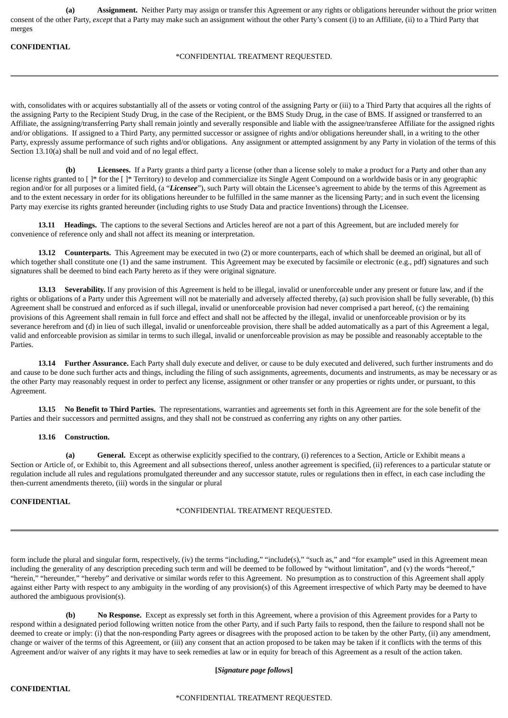**(a) Assignment.** Neither Party may assign or transfer this Agreement or any rights or obligations hereunder without the prior written consent of the other Party, *except* that a Party may make such an assignment without the other Party's consent (i) to an Affiliate, (ii) to a Third Party that merges

#### **CONFIDENTIAL**

### \*CONFIDENTIAL TREATMENT REQUESTED.

with, consolidates with or acquires substantially all of the assets or voting control of the assigning Party or (iii) to a Third Party that acquires all the rights of the assigning Party to the Recipient Study Drug, in the case of the Recipient, or the BMS Study Drug, in the case of BMS. If assigned or transferred to an Affiliate, the assigning/transferring Party shall remain jointly and severally responsible and liable with the assignee/transferee Affiliate for the assigned rights and/or obligations. If assigned to a Third Party, any permitted successor or assignee of rights and/or obligations hereunder shall, in a writing to the other Party, expressly assume performance of such rights and/or obligations. Any assignment or attempted assignment by any Party in violation of the terms of this Section 13.10(a) shall be null and void and of no legal effect.

**(b) Licensees.** If a Party grants a third party a license (other than a license solely to make a product for a Party and other than any license rights granted to []\* for the []\* Territory) to develop and commercialize its Single Agent Compound on a worldwide basis or in any geographic region and/or for all purposes or a limited field, (a "*Licensee*"), such Party will obtain the Licensee's agreement to abide by the terms of this Agreement as and to the extent necessary in order for its obligations hereunder to be fulfilled in the same manner as the licensing Party; and in such event the licensing Party may exercise its rights granted hereunder (including rights to use Study Data and practice Inventions) through the Licensee.

**13.11 Headings.** The captions to the several Sections and Articles hereof are not a part of this Agreement, but are included merely for convenience of reference only and shall not affect its meaning or interpretation.

**13.12 Counterparts.** This Agreement may be executed in two (2) or more counterparts, each of which shall be deemed an original, but all of which together shall constitute one (1) and the same instrument. This Agreement may be executed by facsimile or electronic (e.g., pdf) signatures and such signatures shall be deemed to bind each Party hereto as if they were original signature.

**13.13 Severability.** If any provision of this Agreement is held to be illegal, invalid or unenforceable under any present or future law, and if the rights or obligations of a Party under this Agreement will not be materially and adversely affected thereby, (a) such provision shall be fully severable, (b) this Agreement shall be construed and enforced as if such illegal, invalid or unenforceable provision had never comprised a part hereof, (c) the remaining provisions of this Agreement shall remain in full force and effect and shall not be affected by the illegal, invalid or unenforceable provision or by its severance herefrom and (d) in lieu of such illegal, invalid or unenforceable provision, there shall be added automatically as a part of this Agreement a legal, valid and enforceable provision as similar in terms to such illegal, invalid or unenforceable provision as may be possible and reasonably acceptable to the **Parties** 

**13.14 Further Assurance.** Each Party shall duly execute and deliver, or cause to be duly executed and delivered, such further instruments and do and cause to be done such further acts and things, including the filing of such assignments, agreements, documents and instruments, as may be necessary or as the other Party may reasonably request in order to perfect any license, assignment or other transfer or any properties or rights under, or pursuant, to this Agreement.

**13.15 No Benefit to Third Parties.** The representations, warranties and agreements set forth in this Agreement are for the sole benefit of the Parties and their successors and permitted assigns, and they shall not be construed as conferring any rights on any other parties.

### **13.16 Construction.**

**(a) General.** Except as otherwise explicitly specified to the contrary, (i) references to a Section, Article or Exhibit means a Section or Article of, or Exhibit to, this Agreement and all subsections thereof, unless another agreement is specified, (ii) references to a particular statute or regulation include all rules and regulations promulgated thereunder and any successor statute, rules or regulations then in effect, in each case including the then-current amendments thereto, (iii) words in the singular or plural

## **CONFIDENTIAL**

### \*CONFIDENTIAL TREATMENT REQUESTED.

form include the plural and singular form, respectively, (iv) the terms "including," "include(s)," "such as," and "for example" used in this Agreement mean including the generality of any description preceding such term and will be deemed to be followed by "without limitation", and (v) the words "hereof," "herein," "hereunder," "hereby" and derivative or similar words refer to this Agreement. No presumption as to construction of this Agreement shall apply against either Party with respect to any ambiguity in the wording of any provision(s) of this Agreement irrespective of which Party may be deemed to have authored the ambiguous provision(s).

**(b) No Response.** Except as expressly set forth in this Agreement, where a provision of this Agreement provides for a Party to respond within a designated period following written notice from the other Party, and if such Party fails to respond, then the failure to respond shall not be deemed to create or imply: (i) that the non-responding Party agrees or disagrees with the proposed action to be taken by the other Party, (ii) any amendment, change or waiver of the terms of this Agreement, or (iii) any consent that an action proposed to be taken may be taken if it conflicts with the terms of this Agreement and/or waiver of any rights it may have to seek remedies at law or in equity for breach of this Agreement as a result of the action taken.

### **[***Signature page follows***]**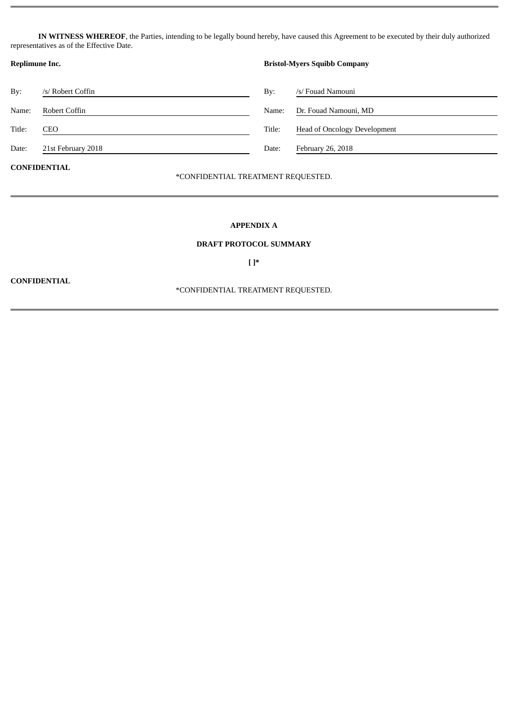**IN WITNESS WHEREOF**, the Parties, intending to be legally bound hereby, have caused this Agreement to be executed by their duly authorized representatives as of the Effective Date.

| Replimune Inc.      |                    | <b>Bristol-Myers Squibb Company</b> |                                     |
|---------------------|--------------------|-------------------------------------|-------------------------------------|
| By:                 | /s/ Robert Coffin  | By:                                 | /s/ Fouad Namouni                   |
| Name:               | Robert Coffin      | Name:                               | Dr. Fouad Namouni, MD               |
| Title:              | CEO                | Title:                              | <b>Head of Oncology Development</b> |
| Date:               | 21st February 2018 | Date:                               | February 26, 2018                   |
| <b>CONFIDENTIAL</b> |                    |                                     |                                     |

## \*CONFIDENTIAL TREATMENT REQUESTED.

## **APPENDIX A**

#### **DRAFT PROTOCOL SUMMARY**

**[ ]\***

**CONFIDENTIAL**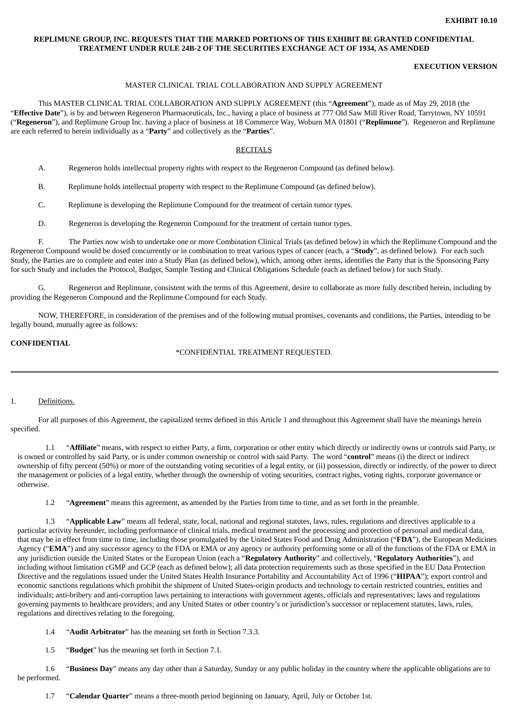## **REPLIMUNE GROUP, INC. REQUESTS THAT THE MARKED PORTIONS OF THIS EXHIBIT BE GRANTED CONFIDENTIAL TREATMENT UNDER RULE 24B-2 OF THE SECURITIES EXCHANGE ACT OF 1934, AS AMENDED**

## **EXECUTION VERSION**

### MASTER CLINICAL TRIAL COLLABORATION AND SUPPLY AGREEMENT

This MASTER CLINICAL TRIAL COLLABORATION AND SUPPLY AGREEMENT (this "**Agreement**"), made as of May 29, 2018 (the "**Effective Date**"), is by and between Regeneron Pharmaceuticals, Inc., having a place of business at 777 Old Saw Mill River Road, Tarrytown, NY 10591 ("**Regeneron**"), and Replimune Group Inc. having a place of business at 18 Commerce Way, Woburn MA 01801 ("**Replimune**"). Regeneron and Replimune are each referred to herein individually as a "**Party**" and collectively as the "**Parties**".

#### RECITALS

A. Regeneron holds intellectual property rights with respect to the Regeneron Compound (as defined below).

B. Replimune holds intellectual property with respect to the Replimune Compound (as defined below).

C. Replimune is developing the Replimune Compound for the treatment of certain tumor types.

D. Regeneron is developing the Regeneron Compound for the treatment of certain tumor types.

F. The Parties now wish to undertake one or more Combination Clinical Trials (as defined below) in which the Replimune Compound and the Regeneron Compound would be dosed concurrently or in combination to treat various types of cancer (each, a "**Study**", as defined below). For each such Study, the Parties are to complete and enter into a Study Plan (as defined below), which, among other items, identifies the Party that is the Sponsoring Party for such Study and includes the Protocol, Budget, Sample Testing and Clinical Obligations Schedule (each as defined below) for such Study.

G. Regeneron and Replimune, consistent with the terms of this Agreement, desire to collaborate as more fully described herein, including by providing the Regeneron Compound and the Replimune Compound for each Study.

NOW, THEREFORE, in consideration of the premises and of the following mutual promises, covenants and conditions, the Parties, intending to be legally bound, mutually agree as follows:

## **CONFIDENTIAL**

\*CONFIDENTIAL TREATMENT REQUESTED.

#### 1. Definitions.

For all purposes of this Agreement, the capitalized terms defined in this Article 1 and throughout this Agreement shall have the meanings herein specified.

1.1 "**Affiliate**" means, with respect to either Party, a firm, corporation or other entity which directly or indirectly owns or controls said Party, or is owned or controlled by said Party, or is under common ownership or control with said Party. The word "**control**" means (i) the direct or indirect ownership of fifty percent (50%) or more of the outstanding voting securities of a legal entity, or (ii) possession, directly or indirectly, of the power to direct the management or policies of a legal entity, whether through the ownership of voting securities, contract rights, voting rights, corporate governance or otherwise.

1.2 "**Agreement**" means this agreement, as amended by the Parties from time to time, and as set forth in the preamble.

1.3 "**Applicable Law**" means all federal, state, local, national and regional statutes, laws, rules, regulations and directives applicable to a particular activity hereunder, including performance of clinical trials, medical treatment and the processing and protection of personal and medical data, that may be in effect from time to time, including those promulgated by the United States Food and Drug Administration ("**FDA**"), the European Medicines Agency ("**EMA**") and any successor agency to the FDA or EMA or any agency or authority performing some or all of the functions of the FDA or EMA in any jurisdiction outside the United States or the European Union (each a "**Regulatory Authority**" and collectively, "**Regulatory Authorities**"), and including without limitation cGMP and GCP (each as defined below); all data protection requirements such as those specified in the EU Data Protection Directive and the regulations issued under the United States Health Insurance Portability and Accountability Act of 1996 ("**HIPAA**"); export control and economic sanctions regulations which prohibit the shipment of United States-origin products and technology to certain restricted countries, entities and individuals; anti-bribery and anti-corruption laws pertaining to interactions with government agents, officials and representatives; laws and regulations governing payments to healthcare providers; and any United States or other country's or jurisdiction's successor or replacement statutes, laws, rules, regulations and directives relating to the foregoing.

1.4 "**Audit Arbitrator**" has the meaning set forth in Section 7.3.3.

1.5 "**Budget**" has the meaning set forth in Section 7.1.

1.6 "**Business Day**" means any day other than a Saturday, Sunday or any public holiday in the country where the applicable obligations are to be performed.

1.7 "**Calendar Quarter**" means a three-month period beginning on January, April, July or October 1st.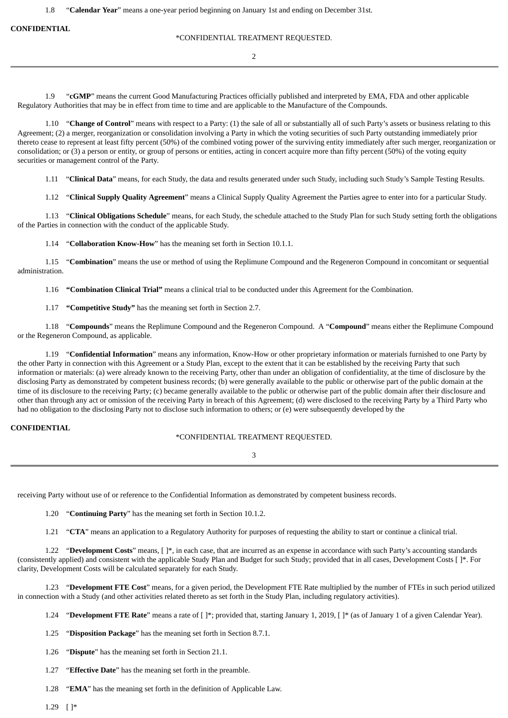1.8 "**Calendar Year**" means a one-year period beginning on January 1st and ending on December 31st.

**CONFIDENTIAL**

#### \*CONFIDENTIAL TREATMENT REQUESTED.

2

1.9 "**cGMP**" means the current Good Manufacturing Practices officially published and interpreted by EMA, FDA and other applicable Regulatory Authorities that may be in effect from time to time and are applicable to the Manufacture of the Compounds.

1.10 "**Change of Control**" means with respect to a Party: (1) the sale of all or substantially all of such Party's assets or business relating to this Agreement; (2) a merger, reorganization or consolidation involving a Party in which the voting securities of such Party outstanding immediately prior thereto cease to represent at least fifty percent (50%) of the combined voting power of the surviving entity immediately after such merger, reorganization or consolidation; or (3) a person or entity, or group of persons or entities, acting in concert acquire more than fifty percent (50%) of the voting equity securities or management control of the Party.

1.11 "**Clinical Data**" means, for each Study, the data and results generated under such Study, including such Study's Sample Testing Results.

1.12 "**Clinical Supply Quality Agreement**" means a Clinical Supply Quality Agreement the Parties agree to enter into for a particular Study.

1.13 "**Clinical Obligations Schedule**" means, for each Study, the schedule attached to the Study Plan for such Study setting forth the obligations of the Parties in connection with the conduct of the applicable Study.

1.14 "**Collaboration Know-How**" has the meaning set forth in Section 10.1.1.

1.15 "**Combination**" means the use or method of using the Replimune Compound and the Regeneron Compound in concomitant or sequential administration.

1.16 **"Combination Clinical Trial"** means a clinical trial to be conducted under this Agreement for the Combination.

1.17 **"Competitive Study"** has the meaning set forth in Section 2.7.

1.18 "**Compounds**" means the Replimune Compound and the Regeneron Compound. A "**Compound**" means either the Replimune Compound or the Regeneron Compound, as applicable.

1.19 "**Confidential Information**" means any information, Know-How or other proprietary information or materials furnished to one Party by the other Party in connection with this Agreement or a Study Plan, except to the extent that it can be established by the receiving Party that such information or materials: (a) were already known to the receiving Party, other than under an obligation of confidentiality, at the time of disclosure by the disclosing Party as demonstrated by competent business records; (b) were generally available to the public or otherwise part of the public domain at the time of its disclosure to the receiving Party; (c) became generally available to the public or otherwise part of the public domain after their disclosure and other than through any act or omission of the receiving Party in breach of this Agreement; (d) were disclosed to the receiving Party by a Third Party who had no obligation to the disclosing Party not to disclose such information to others; or (e) were subsequently developed by the

### **CONFIDENTIAL**

### \*CONFIDENTIAL TREATMENT REQUESTED.

3

receiving Party without use of or reference to the Confidential Information as demonstrated by competent business records.

1.20 "**Continuing Party**" has the meaning set forth in Section 10.1.2.

1.21 "**CTA**" means an application to a Regulatory Authority for purposes of requesting the ability to start or continue a clinical trial.

1.22 "**Development Costs**" means, [ ]\*, in each case, that are incurred as an expense in accordance with such Party's accounting standards (consistently applied) and consistent with the applicable Study Plan and Budget for such Study; provided that in all cases, Development Costs [ ]\*. For clarity, Development Costs will be calculated separately for each Study.

1.23 "**Development FTE Cost**" means, for a given period, the Development FTE Rate multiplied by the number of FTEs in such period utilized in connection with a Study (and other activities related thereto as set forth in the Study Plan, including regulatory activities).

1.24 "**Development FTE Rate**" means a rate of [ ]\*; provided that, starting January 1, 2019, [ ]\* (as of January 1 of a given Calendar Year).

1.25 "**Disposition Package**" has the meaning set forth in Section 8.7.1.

1.26 "**Dispute**" has the meaning set forth in Section 21.1.

1.27 "**Effective Date**" has the meaning set forth in the preamble.

1.28 "**EMA**" has the meaning set forth in the definition of Applicable Law.

1.29 [ ]\*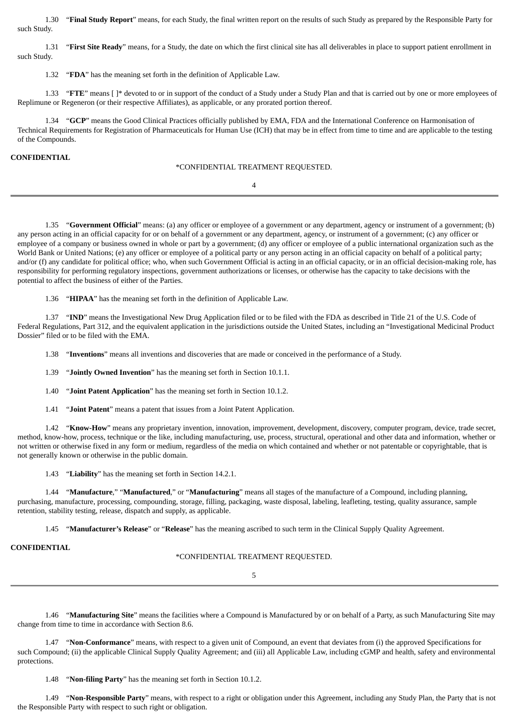1.30 "**Final Study Report**" means, for each Study, the final written report on the results of such Study as prepared by the Responsible Party for such Study.

1.31 "**First Site Ready**" means, for a Study, the date on which the first clinical site has all deliverables in place to support patient enrollment in such Study.

1.32 "**FDA**" has the meaning set forth in the definition of Applicable Law.

1.33 "**FTE**" means [ ]\* devoted to or in support of the conduct of a Study under a Study Plan and that is carried out by one or more employees of Replimune or Regeneron (or their respective Affiliates), as applicable, or any prorated portion thereof.

1.34 "**GCP**" means the Good Clinical Practices officially published by EMA, FDA and the International Conference on Harmonisation of Technical Requirements for Registration of Pharmaceuticals for Human Use (ICH) that may be in effect from time to time and are applicable to the testing of the Compounds.

### **CONFIDENTIAL**

\*CONFIDENTIAL TREATMENT REQUESTED.

4

1.35 "**Government Official**" means: (a) any officer or employee of a government or any department, agency or instrument of a government; (b) any person acting in an official capacity for or on behalf of a government or any department, agency, or instrument of a government; (c) any officer or employee of a company or business owned in whole or part by a government; (d) any officer or employee of a public international organization such as the World Bank or United Nations; (e) any officer or employee of a political party or any person acting in an official capacity on behalf of a political party; and/or (f) any candidate for political office; who, when such Government Official is acting in an official capacity, or in an official decision-making role, has responsibility for performing regulatory inspections, government authorizations or licenses, or otherwise has the capacity to take decisions with the potential to affect the business of either of the Parties.

1.36 "**HIPAA**" has the meaning set forth in the definition of Applicable Law.

1.37 "**IND**" means the Investigational New Drug Application filed or to be filed with the FDA as described in Title 21 of the U.S. Code of Federal Regulations, Part 312, and the equivalent application in the jurisdictions outside the United States, including an "Investigational Medicinal Product Dossier" filed or to be filed with the EMA.

1.38 "**Inventions**" means all inventions and discoveries that are made or conceived in the performance of a Study.

1.39 "**Jointly Owned Invention**" has the meaning set forth in Section 10.1.1.

1.40 "**Joint Patent Application**" has the meaning set forth in Section 10.1.2.

1.41 "**Joint Patent**" means a patent that issues from a Joint Patent Application.

1.42 "**Know-How**" means any proprietary invention, innovation, improvement, development, discovery, computer program, device, trade secret, method, know-how, process, technique or the like, including manufacturing, use, process, structural, operational and other data and information, whether or not written or otherwise fixed in any form or medium, regardless of the media on which contained and whether or not patentable or copyrightable, that is not generally known or otherwise in the public domain.

1.43 "**Liability**" has the meaning set forth in Section 14.2.1.

1.44 "**Manufacture**," "**Manufactured**," or "**Manufacturing**" means all stages of the manufacture of a Compound, including planning, purchasing, manufacture, processing, compounding, storage, filling, packaging, waste disposal, labeling, leafleting, testing, quality assurance, sample retention, stability testing, release, dispatch and supply, as applicable.

1.45 "**Manufacturer's Release**" or "**Release**" has the meaning ascribed to such term in the Clinical Supply Quality Agreement.

## **CONFIDENTIAL**

### \*CONFIDENTIAL TREATMENT REQUESTED.

5

1.46 "**Manufacturing Site**" means the facilities where a Compound is Manufactured by or on behalf of a Party, as such Manufacturing Site may change from time to time in accordance with Section 8.6.

1.47 "**Non-Conformance**" means, with respect to a given unit of Compound, an event that deviates from (i) the approved Specifications for such Compound; (ii) the applicable Clinical Supply Quality Agreement; and (iii) all Applicable Law, including cGMP and health, safety and environmental protections.

1.48 "**Non-filing Party**" has the meaning set forth in Section 10.1.2.

1.49 "**Non-Responsible Party**" means, with respect to a right or obligation under this Agreement, including any Study Plan, the Party that is not the Responsible Party with respect to such right or obligation.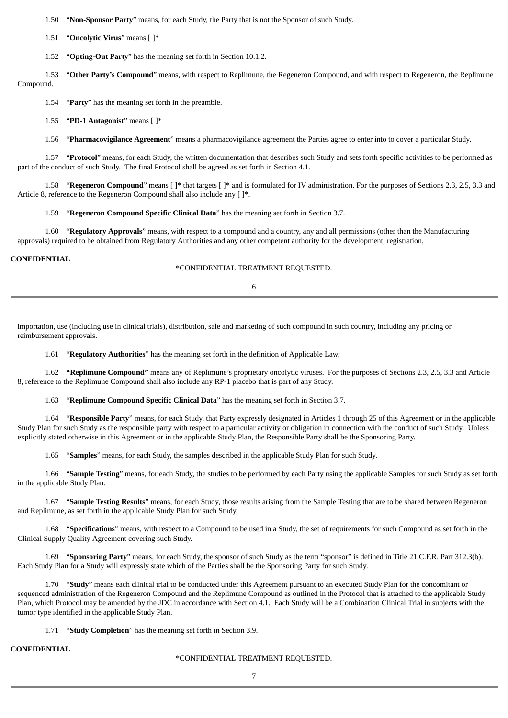1.50 "**Non-Sponsor Party**" means, for each Study, the Party that is not the Sponsor of such Study.

1.51 "**Oncolytic Virus**" means [ ]\*

1.52 "**Opting-Out Party**" has the meaning set forth in Section 10.1.2.

1.53 "**Other Party's Compound**" means, with respect to Replimune, the Regeneron Compound, and with respect to Regeneron, the Replimune Compound.

1.54 "**Party**" has the meaning set forth in the preamble.

1.55 "**PD-1 Antagonist**" means [ ]\*

1.56 "**Pharmacovigilance Agreement**" means a pharmacovigilance agreement the Parties agree to enter into to cover a particular Study.

1.57 "**Protocol**" means, for each Study, the written documentation that describes such Study and sets forth specific activities to be performed as part of the conduct of such Study. The final Protocol shall be agreed as set forth in Section 4.1.

1.58 "**Regeneron Compound**" means [ ]\* that targets [ ]\* and is formulated for IV administration. For the purposes of Sections 2.3, 2.5, 3.3 and Article 8, reference to the Regeneron Compound shall also include any  $[ ]^*.$ 

1.59 "**Regeneron Compound Specific Clinical Data**" has the meaning set forth in Section 3.7.

1.60 "**Regulatory Approvals**" means, with respect to a compound and a country, any and all permissions (other than the Manufacturing approvals) required to be obtained from Regulatory Authorities and any other competent authority for the development, registration,

## **CONFIDENTIAL**

## \*CONFIDENTIAL TREATMENT REQUESTED.

6

importation, use (including use in clinical trials), distribution, sale and marketing of such compound in such country, including any pricing or reimbursement approvals.

1.61 "**Regulatory Authorities**" has the meaning set forth in the definition of Applicable Law.

1.62 **"Replimune Compound"** means any of Replimune's proprietary oncolytic viruses. For the purposes of Sections 2.3, 2.5, 3.3 and Article 8, reference to the Replimune Compound shall also include any RP-1 placebo that is part of any Study.

1.63 "**Replimune Compound Specific Clinical Data**" has the meaning set forth in Section 3.7.

1.64 "**Responsible Party**" means, for each Study, that Party expressly designated in Articles 1 through 25 of this Agreement or in the applicable Study Plan for such Study as the responsible party with respect to a particular activity or obligation in connection with the conduct of such Study. Unless explicitly stated otherwise in this Agreement or in the applicable Study Plan, the Responsible Party shall be the Sponsoring Party.

1.65 "**Samples**" means, for each Study, the samples described in the applicable Study Plan for such Study.

1.66 "**Sample Testing**" means, for each Study, the studies to be performed by each Party using the applicable Samples for such Study as set forth in the applicable Study Plan.

1.67 "**Sample Testing Results**" means, for each Study, those results arising from the Sample Testing that are to be shared between Regeneron and Replimune, as set forth in the applicable Study Plan for such Study.

1.68 "**Specifications**" means, with respect to a Compound to be used in a Study, the set of requirements for such Compound as set forth in the Clinical Supply Quality Agreement covering such Study.

1.69 "**Sponsoring Party**" means, for each Study, the sponsor of such Study as the term "sponsor" is defined in Title 21 C.F.R. Part 312.3(b). Each Study Plan for a Study will expressly state which of the Parties shall be the Sponsoring Party for such Study.

1.70 "**Study**" means each clinical trial to be conducted under this Agreement pursuant to an executed Study Plan for the concomitant or sequenced administration of the Regeneron Compound and the Replimune Compound as outlined in the Protocol that is attached to the applicable Study Plan, which Protocol may be amended by the JDC in accordance with Section 4.1. Each Study will be a Combination Clinical Trial in subjects with the tumor type identified in the applicable Study Plan.

1.71 "**Study Completion**" has the meaning set forth in Section 3.9.

## **CONFIDENTIAL**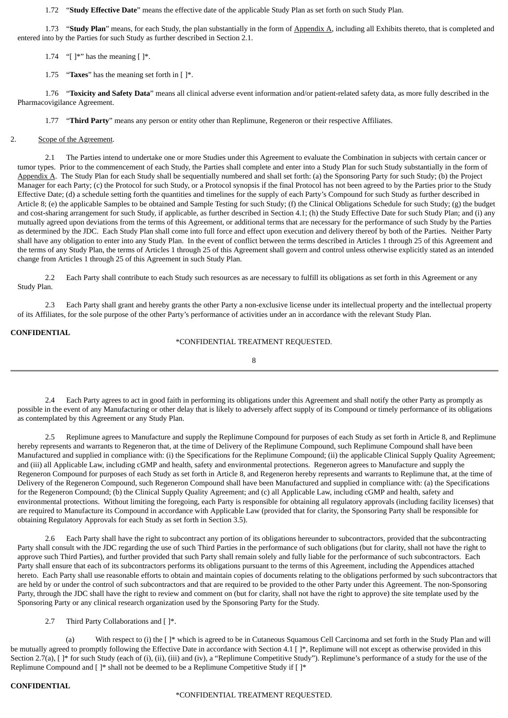1.72 "**Study Effective Date**" means the effective date of the applicable Study Plan as set forth on such Study Plan.

1.73 "**Study Plan**" means, for each Study, the plan substantially in the form of Appendix A, including all Exhibits thereto, that is completed and entered into by the Parties for such Study as further described in Section 2.1.

1.74 "[ $\mathbb{I}^*$ " has the meaning [ $\mathbb{I}^*$ .

1.75 "**Taxes**" has the meaning set forth in [ ]\*.

1.76 "**Toxicity and Safety Data**" means all clinical adverse event information and/or patient-related safety data, as more fully described in the Pharmacovigilance Agreement.

1.77 "**Third Party**" means any person or entity other than Replimune, Regeneron or their respective Affiliates.

#### 2. Scope of the Agreement.

2.1 The Parties intend to undertake one or more Studies under this Agreement to evaluate the Combination in subjects with certain cancer or tumor types. Prior to the commencement of each Study, the Parties shall complete and enter into a Study Plan for such Study substantially in the form of Appendix A. The Study Plan for each Study shall be sequentially numbered and shall set forth: (a) the Sponsoring Party for such Study; (b) the Project Manager for each Party; (c) the Protocol for such Study, or a Protocol synopsis if the final Protocol has not been agreed to by the Parties prior to the Study Effective Date; (d) a schedule setting forth the quantities and timelines for the supply of each Party's Compound for such Study as further described in Article 8; (e) the applicable Samples to be obtained and Sample Testing for such Study; (f) the Clinical Obligations Schedule for such Study; (g) the budget and cost-sharing arrangement for such Study, if applicable, as further described in Section 4.1; (h) the Study Effective Date for such Study Plan; and (i) any mutually agreed upon deviations from the terms of this Agreement, or additional terms that are necessary for the performance of such Study by the Parties as determined by the JDC. Each Study Plan shall come into full force and effect upon execution and delivery thereof by both of the Parties. Neither Party shall have any obligation to enter into any Study Plan. In the event of conflict between the terms described in Articles 1 through 25 of this Agreement and the terms of any Study Plan, the terms of Articles 1 through 25 of this Agreement shall govern and control unless otherwise explicitly stated as an intended change from Articles 1 through 25 of this Agreement in such Study Plan.

2.2 Each Party shall contribute to each Study such resources as are necessary to fulfill its obligations as set forth in this Agreement or any Study Plan.

2.3 Each Party shall grant and hereby grants the other Party a non-exclusive license under its intellectual property and the intellectual property of its Affiliates, for the sole purpose of the other Party's performance of activities under an in accordance with the relevant Study Plan.

## **CONFIDENTIAL**

\*CONFIDENTIAL TREATMENT REQUESTED.

8

2.4 Each Party agrees to act in good faith in performing its obligations under this Agreement and shall notify the other Party as promptly as possible in the event of any Manufacturing or other delay that is likely to adversely affect supply of its Compound or timely performance of its obligations as contemplated by this Agreement or any Study Plan.

2.5 Replimune agrees to Manufacture and supply the Replimune Compound for purposes of each Study as set forth in Article 8, and Replimune hereby represents and warrants to Regeneron that, at the time of Delivery of the Replimune Compound, such Replimune Compound shall have been Manufactured and supplied in compliance with: (i) the Specifications for the Replimune Compound; (ii) the applicable Clinical Supply Quality Agreement; and (iii) all Applicable Law, including cGMP and health, safety and environmental protections. Regeneron agrees to Manufacture and supply the Regeneron Compound for purposes of each Study as set forth in Article 8, and Regeneron hereby represents and warrants to Replimune that, at the time of Delivery of the Regeneron Compound, such Regeneron Compound shall have been Manufactured and supplied in compliance with: (a) the Specifications for the Regeneron Compound; (b) the Clinical Supply Quality Agreement; and (c) all Applicable Law, including cGMP and health, safety and environmental protections. Without limiting the foregoing, each Party is responsible for obtaining all regulatory approvals (including facility licenses) that are required to Manufacture its Compound in accordance with Applicable Law (provided that for clarity, the Sponsoring Party shall be responsible for obtaining Regulatory Approvals for each Study as set forth in Section 3.5).

2.6 Each Party shall have the right to subcontract any portion of its obligations hereunder to subcontractors, provided that the subcontracting Party shall consult with the JDC regarding the use of such Third Parties in the performance of such obligations (but for clarity, shall not have the right to approve such Third Parties), and further provided that such Party shall remain solely and fully liable for the performance of such subcontractors. Each Party shall ensure that each of its subcontractors performs its obligations pursuant to the terms of this Agreement, including the Appendices attached hereto. Each Party shall use reasonable efforts to obtain and maintain copies of documents relating to the obligations performed by such subcontractors that are held by or under the control of such subcontractors and that are required to be provided to the other Party under this Agreement. The non-Sponsoring Party, through the JDC shall have the right to review and comment on (but for clarity, shall not have the right to approve) the site template used by the Sponsoring Party or any clinical research organization used by the Sponsoring Party for the Study.

2.7 Third Party Collaborations and [ ]\*.

(a) With respect to (i) the [ ]\* which is agreed to be in Cutaneous Squamous Cell Carcinoma and set forth in the Study Plan and will be mutually agreed to promptly following the Effective Date in accordance with Section 4.1 [ ]\*, Replimune will not except as otherwise provided in this Section 2.7(a),  $[\ ]^*$  for such Study (each of (i), (ii), (iii) and (iv), a "Replimune Competitive Study"). Replimune's performance of a study for the use of the Replimune Compound and [ ]\* shall not be deemed to be a Replimune Competitive Study if [ ]\*

## **CONFIDENTIAL**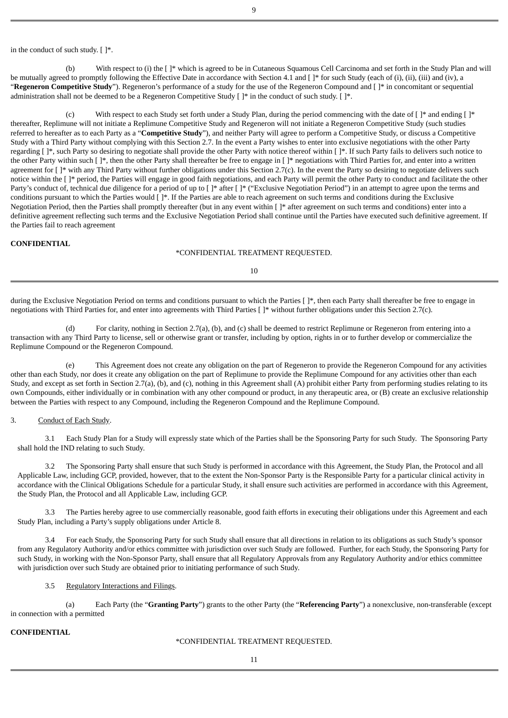in the conduct of such study. [ ]\*.

(b) With respect to (i) the [ ]\* which is agreed to be in Cutaneous Squamous Cell Carcinoma and set forth in the Study Plan and will be mutually agreed to promptly following the Effective Date in accordance with Section 4.1 and []\* for such Study (each of (i), (ii), (iii) and (iv), a "**Regeneron Competitive Study**"). Regeneron's performance of a study for the use of the Regeneron Compound and [ ]\* in concomitant or sequential administration shall not be deemed to be a Regeneron Competitive Study [ ]\* in the conduct of such study. [ ]\*.

With respect to each Study set forth under a Study Plan, during the period commencing with the date of  $[]^*$  and ending  $[]^*$ thereafter, Replimune will not initiate a Replimune Competitive Study and Regeneron will not initiate a Regeneron Competitive Study (such studies referred to hereafter as to each Party as a "**Competitive Study**"), and neither Party will agree to perform a Competitive Study, or discuss a Competitive Study with a Third Party without complying with this Section 2.7. In the event a Party wishes to enter into exclusive negotiations with the other Party regarding  $[ ]^*$ , such Party so desiring to negotiate shall provide the other Party with notice thereof within  $[ ]^*$ . If such Party fails to delivers such notice to the other Party within such  $[\cdot]$ \*, then the other Party shall thereafter be free to engage in  $[\cdot]$ \* negotiations with Third Parties for, and enter into a written agreement for  $\lceil \cdot \rceil^*$  with any Third Party without further obligations under this Section 2.7(c). In the event the Party so desiring to negotiate delivers such notice within the [ ]\* period, the Parties will engage in good faith negotiations, and each Party will permit the other Party to conduct and facilitate the other Party's conduct of, technical due diligence for a period of up to  $\lceil \cdot \rangle^*$  after  $\lceil \cdot \rangle^*$  ("Exclusive Negotiation Period") in an attempt to agree upon the terms and conditions pursuant to which the Parties would [ ]\*. If the Parties are able to reach agreement on such terms and conditions during the Exclusive Negotiation Period, then the Parties shall promptly thereafter (but in any event within [ ]\* after agreement on such terms and conditions) enter into a definitive agreement reflecting such terms and the Exclusive Negotiation Period shall continue until the Parties have executed such definitive agreement. If the Parties fail to reach agreement

#### **CONFIDENTIAL**

#### \*CONFIDENTIAL TREATMENT REQUESTED.

10

during the Exclusive Negotiation Period on terms and conditions pursuant to which the Parties []\*, then each Party shall thereafter be free to engage in negotiations with Third Parties for, and enter into agreements with Third Parties [ ]\* without further obligations under this Section 2.7(c).

(d) For clarity, nothing in Section 2.7(a), (b), and (c) shall be deemed to restrict Replimune or Regeneron from entering into a transaction with any Third Party to license, sell or otherwise grant or transfer, including by option, rights in or to further develop or commercialize the Replimune Compound or the Regeneron Compound.

(e) This Agreement does not create any obligation on the part of Regeneron to provide the Regeneron Compound for any activities other than each Study, nor does it create any obligation on the part of Replimune to provide the Replimune Compound for any activities other than each Study, and except as set forth in Section 2.7(a), (b), and (c), nothing in this Agreement shall (A) prohibit either Party from performing studies relating to its own Compounds, either individually or in combination with any other compound or product, in any therapeutic area, or (B) create an exclusive relationship between the Parties with respect to any Compound, including the Regeneron Compound and the Replimune Compound.

#### 3. Conduct of Each Study.

3.1 Each Study Plan for a Study will expressly state which of the Parties shall be the Sponsoring Party for such Study. The Sponsoring Party shall hold the IND relating to such Study.

3.2 The Sponsoring Party shall ensure that such Study is performed in accordance with this Agreement, the Study Plan, the Protocol and all Applicable Law, including GCP, provided, however, that to the extent the Non-Sponsor Party is the Responsible Party for a particular clinical activity in accordance with the Clinical Obligations Schedule for a particular Study, it shall ensure such activities are performed in accordance with this Agreement, the Study Plan, the Protocol and all Applicable Law, including GCP.

3.3 The Parties hereby agree to use commercially reasonable, good faith efforts in executing their obligations under this Agreement and each Study Plan, including a Party's supply obligations under Article 8.

3.4 For each Study, the Sponsoring Party for such Study shall ensure that all directions in relation to its obligations as such Study's sponsor from any Regulatory Authority and/or ethics committee with jurisdiction over such Study are followed. Further, for each Study, the Sponsoring Party for such Study, in working with the Non-Sponsor Party, shall ensure that all Regulatory Approvals from any Regulatory Authority and/or ethics committee with jurisdiction over such Study are obtained prior to initiating performance of such Study.

### 3.5 Regulatory Interactions and Filings.

(a) Each Party (the "**Granting Party**") grants to the other Party (the "**Referencing Party**") a nonexclusive, non-transferable (except in connection with a permitted

## **CONFIDENTIAL**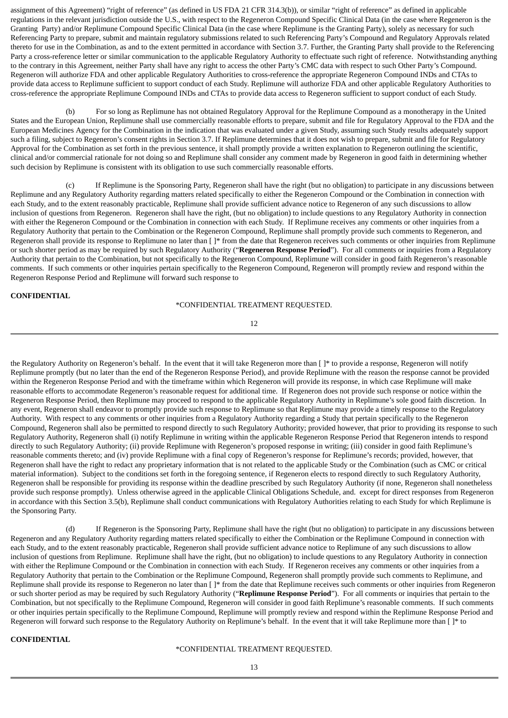assignment of this Agreement) "right of reference" (as defined in US FDA 21 CFR 314.3(b)), or similar "right of reference" as defined in applicable regulations in the relevant jurisdiction outside the U.S., with respect to the Regeneron Compound Specific Clinical Data (in the case where Regeneron is the Granting Party) and/or Replimune Compound Specific Clinical Data (in the case where Replimune is the Granting Party), solely as necessary for such Referencing Party to prepare, submit and maintain regulatory submissions related to such Referencing Party's Compound and Regulatory Approvals related thereto for use in the Combination, as and to the extent permitted in accordance with Section 3.7. Further, the Granting Party shall provide to the Referencing Party a cross-reference letter or similar communication to the applicable Regulatory Authority to effectuate such right of reference. Notwithstanding anything to the contrary in this Agreement, neither Party shall have any right to access the other Party's CMC data with respect to such Other Party's Compound. Regeneron will authorize FDA and other applicable Regulatory Authorities to cross-reference the appropriate Regeneron Compound INDs and CTAs to provide data access to Replimune sufficient to support conduct of each Study. Replimune will authorize FDA and other applicable Regulatory Authorities to cross-reference the appropriate Replimune Compound INDs and CTAs to provide data access to Regeneron sufficient to support conduct of each Study.

For so long as Replimune has not obtained Regulatory Approval for the Replimune Compound as a monotherapy in the United States and the European Union, Replimune shall use commercially reasonable efforts to prepare, submit and file for Regulatory Approval to the FDA and the European Medicines Agency for the Combination in the indication that was evaluated under a given Study, assuming such Study results adequately support such a filing, subject to Regeneron's consent rights in Section 3.7. If Replimune determines that it does not wish to prepare, submit and file for Regulatory Approval for the Combination as set forth in the previous sentence, it shall promptly provide a written explanation to Regeneron outlining the scientific, clinical and/or commercial rationale for not doing so and Replimune shall consider any comment made by Regeneron in good faith in determining whether such decision by Replimune is consistent with its obligation to use such commercially reasonable efforts.

(c) If Replimune is the Sponsoring Party, Regeneron shall have the right (but no obligation) to participate in any discussions between Replimune and any Regulatory Authority regarding matters related specifically to either the Regeneron Compound or the Combination in connection with each Study, and to the extent reasonably practicable, Replimune shall provide sufficient advance notice to Regeneron of any such discussions to allow inclusion of questions from Regeneron. Regeneron shall have the right, (but no obligation) to include questions to any Regulatory Authority in connection with either the Regeneron Compound or the Combination in connection with each Study. If Replimune receives any comments or other inquiries from a Regulatory Authority that pertain to the Combination or the Regeneron Compound, Replimune shall promptly provide such comments to Regeneron, and Regeneron shall provide its response to Replimune no later than [ ]\* from the date that Regeneron receives such comments or other inquiries from Replimune or such shorter period as may be required by such Regulatory Authority ("**Regeneron Response Period**"). For all comments or inquiries from a Regulatory Authority that pertain to the Combination, but not specifically to the Regeneron Compound, Replimune will consider in good faith Regeneron's reasonable comments. If such comments or other inquiries pertain specifically to the Regeneron Compound, Regeneron will promptly review and respond within the Regeneron Response Period and Replimune will forward such response to

### **CONFIDENTIAL**

## \*CONFIDENTIAL TREATMENT REQUESTED.

12

the Regulatory Authority on Regeneron's behalf. In the event that it will take Regeneron more than [ ]\* to provide a response, Regeneron will notify Replimune promptly (but no later than the end of the Regeneron Response Period), and provide Replimune with the reason the response cannot be provided within the Regeneron Response Period and with the timeframe within which Regeneron will provide its response, in which case Replimune will make reasonable efforts to accommodate Regeneron's reasonable request for additional time. If Regeneron does not provide such response or notice within the Regeneron Response Period, then Replimune may proceed to respond to the applicable Regulatory Authority in Replimune's sole good faith discretion. In any event, Regeneron shall endeavor to promptly provide such response to Replimune so that Replimune may provide a timely response to the Regulatory Authority. With respect to any comments or other inquiries from a Regulatory Authority regarding a Study that pertain specifically to the Regeneron Compound, Regeneron shall also be permitted to respond directly to such Regulatory Authority; provided however, that prior to providing its response to such Regulatory Authority, Regeneron shall (i) notify Replimune in writing within the applicable Regeneron Response Period that Regeneron intends to respond directly to such Regulatory Authority; (ii) provide Replimune with Regeneron's proposed response in writing; (iii) consider in good faith Replimune's reasonable comments thereto; and (iv) provide Replimune with a final copy of Regeneron's response for Replimune's records; provided, however, that Regeneron shall have the right to redact any proprietary information that is not related to the applicable Study or the Combination (such as CMC or critical material information). Subject to the conditions set forth in the foregoing sentence, if Regeneron elects to respond directly to such Regulatory Authority, Regeneron shall be responsible for providing its response within the deadline prescribed by such Regulatory Authority (if none, Regeneron shall nonetheless provide such response promptly). Unless otherwise agreed in the applicable Clinical Obligations Schedule, and. except for direct responses from Regeneron in accordance with this Section 3.5(b), Replimune shall conduct communications with Regulatory Authorities relating to each Study for which Replimune is the Sponsoring Party.

(d) If Regeneron is the Sponsoring Party, Replimune shall have the right (but no obligation) to participate in any discussions between Regeneron and any Regulatory Authority regarding matters related specifically to either the Combination or the Replimune Compound in connection with each Study, and to the extent reasonably practicable, Regeneron shall provide sufficient advance notice to Replimune of any such discussions to allow inclusion of questions from Replimune. Replimune shall have the right, (but no obligation) to include questions to any Regulatory Authority in connection with either the Replimune Compound or the Combination in connection with each Study. If Regeneron receives any comments or other inquiries from a Regulatory Authority that pertain to the Combination or the Replimune Compound, Regeneron shall promptly provide such comments to Replimune, and Replimune shall provide its response to Regeneron no later than [ ]\* from the date that Replimune receives such comments or other inquiries from Regeneron or such shorter period as may be required by such Regulatory Authority ("**Replimune Response Period**"). For all comments or inquiries that pertain to the Combination, but not specifically to the Replimune Compound, Regeneron will consider in good faith Replimune's reasonable comments. If such comments or other inquiries pertain specifically to the Replimune Compound, Replimune will promptly review and respond within the Replimune Response Period and Regeneron will forward such response to the Regulatory Authority on Replimune's behalf. In the event that it will take Replimune more than [ ]\* to

## **CONFIDENTIAL**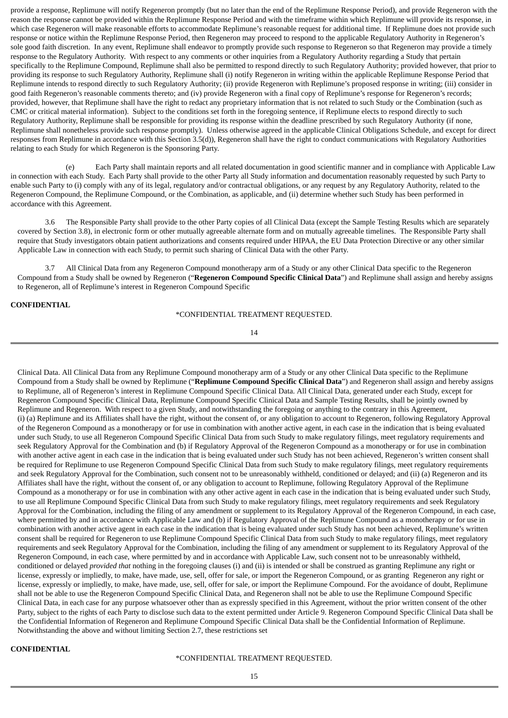provide a response, Replimune will notify Regeneron promptly (but no later than the end of the Replimune Response Period), and provide Regeneron with the reason the response cannot be provided within the Replimune Response Period and with the timeframe within which Replimune will provide its response, in which case Regeneron will make reasonable efforts to accommodate Replimune's reasonable request for additional time. If Replimune does not provide such response or notice within the Replimune Response Period, then Regeneron may proceed to respond to the applicable Regulatory Authority in Regeneron's sole good faith discretion. In any event, Replimune shall endeavor to promptly provide such response to Regeneron so that Regeneron may provide a timely response to the Regulatory Authority. With respect to any comments or other inquiries from a Regulatory Authority regarding a Study that pertain specifically to the Replimune Compound, Replimune shall also be permitted to respond directly to such Regulatory Authority; provided however, that prior to providing its response to such Regulatory Authority, Replimune shall (i) notify Regeneron in writing within the applicable Replimune Response Period that Replimune intends to respond directly to such Regulatory Authority; (ii) provide Regeneron with Replimune's proposed response in writing; (iii) consider in good faith Regeneron's reasonable comments thereto; and (iv) provide Regeneron with a final copy of Replimune's response for Regeneron's records; provided, however, that Replimune shall have the right to redact any proprietary information that is not related to such Study or the Combination (such as CMC or critical material information). Subject to the conditions set forth in the foregoing sentence, if Replimune elects to respond directly to such Regulatory Authority, Replimune shall be responsible for providing its response within the deadline prescribed by such Regulatory Authority (if none, Replimune shall nonetheless provide such response promptly). Unless otherwise agreed in the applicable Clinical Obligations Schedule, and except for direct responses from Replimune in accordance with this Section 3.5(d)), Regeneron shall have the right to conduct communications with Regulatory Authorities relating to each Study for which Regeneron is the Sponsoring Party.

Each Party shall maintain reports and all related documentation in good scientific manner and in compliance with Applicable Law in connection with each Study. Each Party shall provide to the other Party all Study information and documentation reasonably requested by such Party to enable such Party to (i) comply with any of its legal, regulatory and/or contractual obligations, or any request by any Regulatory Authority, related to the Regeneron Compound, the Replimune Compound, or the Combination, as applicable, and (ii) determine whether such Study has been performed in accordance with this Agreement.

3.6 The Responsible Party shall provide to the other Party copies of all Clinical Data (except the Sample Testing Results which are separately covered by Section 3.8), in electronic form or other mutually agreeable alternate form and on mutually agreeable timelines. The Responsible Party shall require that Study investigators obtain patient authorizations and consents required under HIPAA, the EU Data Protection Directive or any other similar Applicable Law in connection with each Study, to permit such sharing of Clinical Data with the other Party.

3.7 All Clinical Data from any Regeneron Compound monotherapy arm of a Study or any other Clinical Data specific to the Regeneron Compound from a Study shall be owned by Regeneron ("**Regeneron Compound Specific Clinical Data**") and Replimune shall assign and hereby assigns to Regeneron, all of Replimune's interest in Regeneron Compound Specific

## **CONFIDENTIAL**

\*CONFIDENTIAL TREATMENT REQUESTED.

14

Clinical Data. All Clinical Data from any Replimune Compound monotherapy arm of a Study or any other Clinical Data specific to the Replimune Compound from a Study shall be owned by Replimune ("**Replimune Compound Specific Clinical Data**") and Regeneron shall assign and hereby assigns to Replimune, all of Regeneron's interest in Replimune Compound Specific Clinical Data. All Clinical Data, generated under each Study, except for Regeneron Compound Specific Clinical Data, Replimune Compound Specific Clinical Data and Sample Testing Results, shall be jointly owned by Replimune and Regeneron. With respect to a given Study, and notwithstanding the foregoing or anything to the contrary in this Agreement, (i) (a) Replimune and its Affiliates shall have the right, without the consent of, or any obligation to account to Regeneron, following Regulatory Approval of the Regeneron Compound as a monotherapy or for use in combination with another active agent, in each case in the indication that is being evaluated under such Study, to use all Regeneron Compound Specific Clinical Data from such Study to make regulatory filings, meet regulatory requirements and seek Regulatory Approval for the Combination and (b) if Regulatory Approval of the Regeneron Compound as a monotherapy or for use in combination with another active agent in each case in the indication that is being evaluated under such Study has not been achieved, Regeneron's written consent shall be required for Replimune to use Regeneron Compound Specific Clinical Data from such Study to make regulatory filings, meet regulatory requirements and seek Regulatory Approval for the Combination, such consent not to be unreasonably withheld, conditioned or delayed; and (ii) (a) Regeneron and its Affiliates shall have the right, without the consent of, or any obligation to account to Replimune, following Regulatory Approval of the Replimune Compound as a monotherapy or for use in combination with any other active agent in each case in the indication that is being evaluated under such Study, to use all Replimune Compound Specific Clinical Data from such Study to make regulatory filings, meet regulatory requirements and seek Regulatory Approval for the Combination, including the filing of any amendment or supplement to its Regulatory Approval of the Regeneron Compound, in each case, where permitted by and in accordance with Applicable Law and (b) if Regulatory Approval of the Replimune Compound as a monotherapy or for use in combination with another active agent in each case in the indication that is being evaluated under such Study has not been achieved, Replimune's written consent shall be required for Regeneron to use Replimune Compound Specific Clinical Data from such Study to make regulatory filings, meet regulatory requirements and seek Regulatory Approval for the Combination, including the filing of any amendment or supplement to its Regulatory Approval of the Regeneron Compound, in each case, where permitted by and in accordance with Applicable Law, such consent not to be unreasonably withheld, conditioned or delayed *provided that* nothing in the foregoing clauses (i) and (ii) is intended or shall be construed as granting Replimune any right or license, expressly or impliedly, to make, have made, use, sell, offer for sale, or import the Regeneron Compound, or as granting Regeneron any right or license, expressly or impliedly, to make, have made, use, sell, offer for sale, or import the Replimune Compound. For the avoidance of doubt, Replimune shall not be able to use the Regeneron Compound Specific Clinical Data, and Regeneron shall not be able to use the Replimune Compound Specific Clinical Data, in each case for any purpose whatsoever other than as expressly specified in this Agreement, without the prior written consent of the other Party, subject to the rights of each Party to disclose such data to the extent permitted under Article 9. Regeneron Compound Specific Clinical Data shall be the Confidential Information of Regeneron and Replimune Compound Specific Clinical Data shall be the Confidential Information of Replimune. Notwithstanding the above and without limiting Section 2.7, these restrictions set

## **CONFIDENTIAL**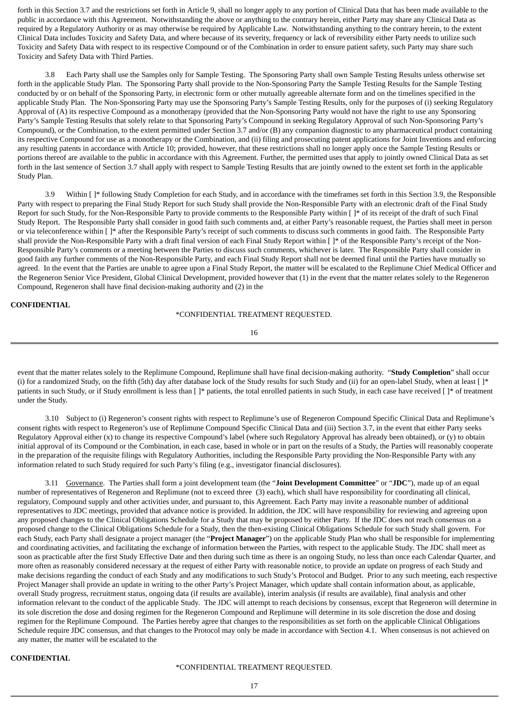forth in this Section 3.7 and the restrictions set forth in Article 9, shall no longer apply to any portion of Clinical Data that has been made available to the public in accordance with this Agreement. Notwithstanding the above or anything to the contrary herein, either Party may share any Clinical Data as required by a Regulatory Authority or as may otherwise be required by Applicable Law. Notwithstanding anything to the contrary herein, to the extent Clinical Data includes Toxicity and Safety Data, and where because of its severity, frequency or lack of reversibility either Party needs to utilize such Toxicity and Safety Data with respect to its respective Compound or of the Combination in order to ensure patient safety, such Party may share such Toxicity and Safety Data with Third Parties.

3.8 Each Party shall use the Samples only for Sample Testing. The Sponsoring Party shall own Sample Testing Results unless otherwise set forth in the applicable Study Plan. The Sponsoring Party shall provide to the Non-Sponsoring Party the Sample Testing Results for the Sample Testing conducted by or on behalf of the Sponsoring Party, in electronic form or other mutually agreeable alternate form and on the timelines specified in the applicable Study Plan. The Non-Sponsoring Party may use the Sponsoring Party's Sample Testing Results, only for the purposes of (i) seeking Regulatory Approval of (A) its respective Compound as a monotherapy (provided that the Non-Sponsoring Party would not have the right to use any Sponsoring Party's Sample Testing Results that solely relate to that Sponsoring Party's Compound in seeking Regulatory Approval of such Non-Sponsoring Party's Compound), or the Combination, to the extent permitted under Section 3.7 and/or (B) any companion diagnostic to any pharmaceutical product containing its respective Compound for use as a monotherapy or the Combination, and (ii) filing and prosecuting patent applications for Joint Inventions and enforcing any resulting patents in accordance with Article 10; provided, however, that these restrictions shall no longer apply once the Sample Testing Results or portions thereof are available to the public in accordance with this Agreement. Further, the permitted uses that apply to jointly owned Clinical Data as set forth in the last sentence of Section 3.7 shall apply with respect to Sample Testing Results that are jointly owned to the extent set forth in the applicable Study Plan.

3.9 Within [ ]\* following Study Completion for each Study, and in accordance with the timeframes set forth in this Section 3.9, the Responsible Party with respect to preparing the Final Study Report for such Study shall provide the Non-Responsible Party with an electronic draft of the Final Study Report for such Study, for the Non-Responsible Party to provide comments to the Responsible Party within [ ]\* of its receipt of the draft of such Final Study Report. The Responsible Party shall consider in good faith such comments and, at either Party's reasonable request, the Parties shall meet in person or via teleconference within [ ]\* after the Responsible Party's receipt of such comments to discuss such comments in good faith. The Responsible Party shall provide the Non-Responsible Party with a draft final version of each Final Study Report within []\* of the Responsible Party's receipt of the Non-Responsible Party's comments or a meeting between the Parties to discuss such comments, whichever is later. The Responsible Party shall consider in good faith any further comments of the Non-Responsible Party, and each Final Study Report shall not be deemed final until the Parties have mutually so agreed. In the event that the Parties are unable to agree upon a Final Study Report, the matter will be escalated to the Replimune Chief Medical Officer and the Regeneron Senior Vice President, Global Clinical Development, provided however that (1) in the event that the matter relates solely to the Regeneron Compound, Regeneron shall have final decision-making authority and (2) in the

## **CONFIDENTIAL**

\*CONFIDENTIAL TREATMENT REQUESTED.

16

event that the matter relates solely to the Replimune Compound, Replimune shall have final decision-making authority. "**Study Completion**" shall occur (i) for a randomized Study, on the fifth (5th) day after database lock of the Study results for such Study and (ii) for an open-label Study, when at least [ ]\* patients in such Study, or if Study enrollment is less than [ ]\* patients, the total enrolled patients in such Study, in each case have received [ ]\* of treatment under the Study.

3.10 Subject to (i) Regeneron's consent rights with respect to Replimune's use of Regeneron Compound Specific Clinical Data and Replimune's consent rights with respect to Regeneron's use of Replimune Compound Specific Clinical Data and (iii) Section 3.7, in the event that either Party seeks Regulatory Approval either (x) to change its respective Compound's label (where such Regulatory Approval has already been obtained), or (y) to obtain initial approval of its Compound or the Combination, in each case, based in whole or in part on the results of a Study, the Parties will reasonably cooperate in the preparation of the requisite filings with Regulatory Authorities, including the Responsible Party providing the Non-Responsible Party with any information related to such Study required for such Party's filing (e.g., investigator financial disclosures).

3.11 Governance. The Parties shall form a joint development team (the "**Joint Development Committee**" or "**JDC**"), made up of an equal number of representatives of Regeneron and Replimune (not to exceed three (3) each), which shall have responsibility for coordinating all clinical, regulatory, Compound supply and other activities under, and pursuant to, this Agreement. Each Party may invite a reasonable number of additional representatives to JDC meetings, provided that advance notice is provided. In addition, the JDC will have responsibility for reviewing and agreeing upon any proposed changes to the Clinical Obligations Schedule for a Study that may be proposed by either Party. If the JDC does not reach consensus on a proposed change to the Clinical Obligations Schedule for a Study, then the then-existing Clinical Obligations Schedule for such Study shall govern. For each Study, each Party shall designate a project manager (the "**Project Manager**") on the applicable Study Plan who shall be responsible for implementing and coordinating activities, and facilitating the exchange of information between the Parties, with respect to the applicable Study. The JDC shall meet as soon as practicable after the first Study Effective Date and then during such time as there is an ongoing Study, no less than once each Calendar Quarter, and more often as reasonably considered necessary at the request of either Party with reasonable notice, to provide an update on progress of each Study and make decisions regarding the conduct of each Study and any modifications to such Study's Protocol and Budget. Prior to any such meeting, each respective Project Manager shall provide an update in writing to the other Party's Project Manager, which update shall contain information about, as applicable, overall Study progress, recruitment status, ongoing data (if results are available), interim analysis (if results are available), final analysis and other information relevant to the conduct of the applicable Study. The JDC will attempt to reach decisions by consensus, except that Regeneron will determine in its sole discretion the dose and dosing regimen for the Regeneron Compound and Replimune will determine in its sole discretion the dose and dosing regimen for the Replimune Compound. The Parties hereby agree that changes to the responsibilities as set forth on the applicable Clinical Obligations Schedule require JDC consensus, and that changes to the Protocol may only be made in accordance with Section 4.1. When consensus is not achieved on any matter, the matter will be escalated to the

#### **CONFIDENTIAL**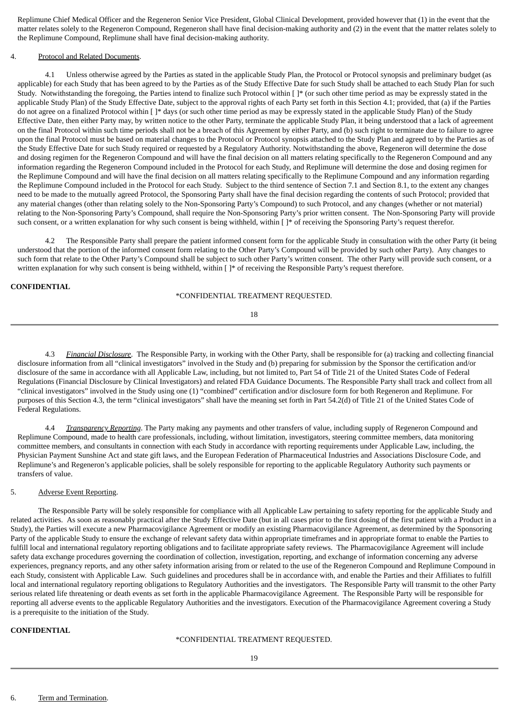Replimune Chief Medical Officer and the Regeneron Senior Vice President, Global Clinical Development, provided however that (1) in the event that the matter relates solely to the Regeneron Compound, Regeneron shall have final decision-making authority and (2) in the event that the matter relates solely to the Replimune Compound, Replimune shall have final decision-making authority.

### 4. Protocol and Related Documents.

4.1 Unless otherwise agreed by the Parties as stated in the applicable Study Plan, the Protocol or Protocol synopsis and preliminary budget (as applicable) for each Study that has been agreed to by the Parties as of the Study Effective Date for such Study shall be attached to each Study Plan for such Study. Notwithstanding the foregoing, the Parties intend to finalize such Protocol within [ ]\* (or such other time period as may be expressly stated in the applicable Study Plan) of the Study Effective Date, subject to the approval rights of each Party set forth in this Section 4.1; provided, that (a) if the Parties do not agree on a finalized Protocol within [ ]\* days (or such other time period as may be expressly stated in the applicable Study Plan) of the Study Effective Date, then either Party may, by written notice to the other Party, terminate the applicable Study Plan, it being understood that a lack of agreement on the final Protocol within such time periods shall not be a breach of this Agreement by either Party, and (b) such right to terminate due to failure to agree upon the final Protocol must be based on material changes to the Protocol or Protocol synopsis attached to the Study Plan and agreed to by the Parties as of the Study Effective Date for such Study required or requested by a Regulatory Authority. Notwithstanding the above, Regeneron will determine the dose and dosing regimen for the Regeneron Compound and will have the final decision on all matters relating specifically to the Regeneron Compound and any information regarding the Regeneron Compound included in the Protocol for each Study, and Replimune will determine the dose and dosing regimen for the Replimune Compound and will have the final decision on all matters relating specifically to the Replimune Compound and any information regarding the Replimune Compound included in the Protocol for each Study. Subject to the third sentence of Section 7.1 and Section 8.1, to the extent any changes need to be made to the mutually agreed Protocol, the Sponsoring Party shall have the final decision regarding the contents of such Protocol; provided that any material changes (other than relating solely to the Non-Sponsoring Party's Compound) to such Protocol, and any changes (whether or not material) relating to the Non-Sponsoring Party's Compound, shall require the Non-Sponsoring Party's prior written consent. The Non-Sponsoring Party will provide such consent, or a written explanation for why such consent is being withheld, within  $\lceil \cdot \rceil^*$  of receiving the Sponsoring Party's request therefor.

4.2 The Responsible Party shall prepare the patient informed consent form for the applicable Study in consultation with the other Party (it being understood that the portion of the informed consent form relating to the Other Party's Compound will be provided by such other Party). Any changes to such form that relate to the Other Party's Compound shall be subject to such other Party's written consent. The other Party will provide such consent, or a written explanation for why such consent is being withheld, within  $[ ]^*$  of receiving the Responsible Party's request therefore.

#### **CONFIDENTIAL**

#### \*CONFIDENTIAL TREATMENT REQUESTED.

18

4.3 *Financial Disclosure*. The Responsible Party, in working with the Other Party, shall be responsible for (a) tracking and collecting financial disclosure information from all "clinical investigators" involved in the Study and (b) preparing for submission by the Sponsor the certification and/or disclosure of the same in accordance with all Applicable Law, including, but not limited to, Part 54 of Title 21 of the United States Code of Federal Regulations (Financial Disclosure by Clinical Investigators) and related FDA Guidance Documents. The Responsible Party shall track and collect from all "clinical investigators" involved in the Study using one (1) "combined" certification and/or disclosure form for both Regeneron and Replimune. For purposes of this Section 4.3, the term "clinical investigators" shall have the meaning set forth in Part 54.2(d) of Title 21 of the United States Code of Federal Regulations.

4.4 *Transparency Reporting*. The Party making any payments and other transfers of value, including supply of Regeneron Compound and Replimune Compound, made to health care professionals, including, without limitation, investigators, steering committee members, data monitoring committee members, and consultants in connection with each Study in accordance with reporting requirements under Applicable Law, including, the Physician Payment Sunshine Act and state gift laws, and the European Federation of Pharmaceutical Industries and Associations Disclosure Code, and Replimune's and Regeneron's applicable policies, shall be solely responsible for reporting to the applicable Regulatory Authority such payments or transfers of value.

#### 5. Adverse Event Reporting.

The Responsible Party will be solely responsible for compliance with all Applicable Law pertaining to safety reporting for the applicable Study and related activities. As soon as reasonably practical after the Study Effective Date (but in all cases prior to the first dosing of the first patient with a Product in a Study), the Parties will execute a new Pharmacovigilance Agreement or modify an existing Pharmacovigilance Agreement, as determined by the Sponsoring Party of the applicable Study to ensure the exchange of relevant safety data within appropriate timeframes and in appropriate format to enable the Parties to fulfill local and international regulatory reporting obligations and to facilitate appropriate safety reviews. The Pharmacovigilance Agreement will include safety data exchange procedures governing the coordination of collection, investigation, reporting, and exchange of information concerning any adverse experiences, pregnancy reports, and any other safety information arising from or related to the use of the Regeneron Compound and Replimune Compound in each Study, consistent with Applicable Law. Such guidelines and procedures shall be in accordance with, and enable the Parties and their Affiliates to fulfill local and international regulatory reporting obligations to Regulatory Authorities and the investigators. The Responsible Party will transmit to the other Party serious related life threatening or death events as set forth in the applicable Pharmacovigilance Agreement. The Responsible Party will be responsible for reporting all adverse events to the applicable Regulatory Authorities and the investigators. Execution of the Pharmacovigilance Agreement covering a Study is a prerequisite to the initiation of the Study.

### **CONFIDENTIAL**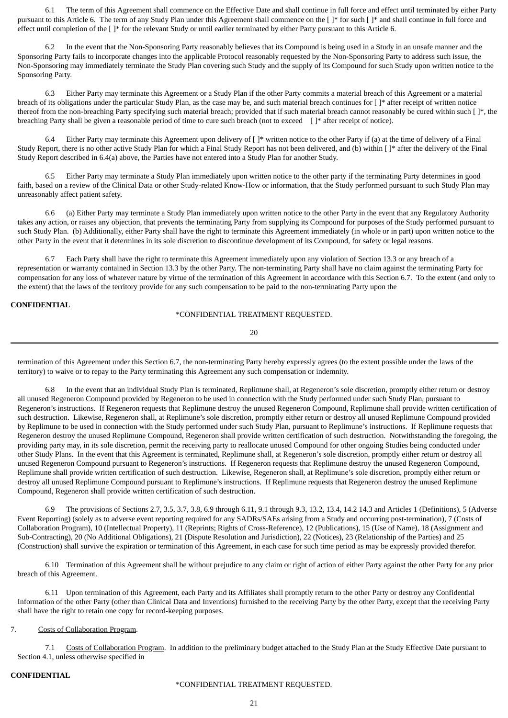6.1 The term of this Agreement shall commence on the Effective Date and shall continue in full force and effect until terminated by either Party pursuant to this Article 6. The term of any Study Plan under this Agreement shall commence on the [ ]\* for such [ ]\* and shall continue in full force and effect until completion of the [ ]\* for the relevant Study or until earlier terminated by either Party pursuant to this Article 6.

6.2 In the event that the Non-Sponsoring Party reasonably believes that its Compound is being used in a Study in an unsafe manner and the Sponsoring Party fails to incorporate changes into the applicable Protocol reasonably requested by the Non-Sponsoring Party to address such issue, the Non-Sponsoring may immediately terminate the Study Plan covering such Study and the supply of its Compound for such Study upon written notice to the Sponsoring Party.

6.3 Either Party may terminate this Agreement or a Study Plan if the other Party commits a material breach of this Agreement or a material breach of its obligations under the particular Study Plan, as the case may be, and such material breach continues for [ ]\* after receipt of written notice thereof from the non-breaching Party specifying such material breach; provided that if such material breach cannot reasonably be cured within such [ ]\*, the breaching Party shall be given a reasonable period of time to cure such breach (not to exceed []\* after receipt of notice).

6.4 Either Party may terminate this Agreement upon delivery of  $\lceil \cdot \rceil$  written notice to the other Party if (a) at the time of delivery of a Final Study Report, there is no other active Study Plan for which a Final Study Report has not been delivered, and (b) within [ ]\* after the delivery of the Final Study Report described in 6.4(a) above, the Parties have not entered into a Study Plan for another Study.

6.5 Either Party may terminate a Study Plan immediately upon written notice to the other party if the terminating Party determines in good faith, based on a review of the Clinical Data or other Study-related Know-How or information, that the Study performed pursuant to such Study Plan may unreasonably affect patient safety.

6.6 (a) Either Party may terminate a Study Plan immediately upon written notice to the other Party in the event that any Regulatory Authority takes any action, or raises any objection, that prevents the terminating Party from supplying its Compound for purposes of the Study performed pursuant to such Study Plan. (b) Additionally, either Party shall have the right to terminate this Agreement immediately (in whole or in part) upon written notice to the other Party in the event that it determines in its sole discretion to discontinue development of its Compound, for safety or legal reasons.

6.7 Each Party shall have the right to terminate this Agreement immediately upon any violation of Section 13.3 or any breach of a representation or warranty contained in Section 13.3 by the other Party. The non-terminating Party shall have no claim against the terminating Party for compensation for any loss of whatever nature by virtue of the termination of this Agreement in accordance with this Section 6.7. To the extent (and only to the extent) that the laws of the territory provide for any such compensation to be paid to the non-terminating Party upon the

## **CONFIDENTIAL**

\*CONFIDENTIAL TREATMENT REQUESTED.

20

termination of this Agreement under this Section 6.7, the non-terminating Party hereby expressly agrees (to the extent possible under the laws of the territory) to waive or to repay to the Party terminating this Agreement any such compensation or indemnity.

6.8 In the event that an individual Study Plan is terminated, Replimune shall, at Regeneron's sole discretion, promptly either return or destroy all unused Regeneron Compound provided by Regeneron to be used in connection with the Study performed under such Study Plan, pursuant to Regeneron's instructions. If Regeneron requests that Replimune destroy the unused Regeneron Compound, Replimune shall provide written certification of such destruction. Likewise, Regeneron shall, at Replimune's sole discretion, promptly either return or destroy all unused Replimune Compound provided by Replimune to be used in connection with the Study performed under such Study Plan, pursuant to Replimune's instructions. If Replimune requests that Regeneron destroy the unused Replimune Compound, Regeneron shall provide written certification of such destruction. Notwithstanding the foregoing, the providing party may, in its sole discretion, permit the receiving party to reallocate unused Compound for other ongoing Studies being conducted under other Study Plans. In the event that this Agreement is terminated, Replimune shall, at Regeneron's sole discretion, promptly either return or destroy all unused Regeneron Compound pursuant to Regeneron's instructions. If Regeneron requests that Replimune destroy the unused Regeneron Compound, Replimune shall provide written certification of such destruction. Likewise, Regeneron shall, at Replimune's sole discretion, promptly either return or destroy all unused Replimune Compound pursuant to Replimune's instructions. If Replimune requests that Regeneron destroy the unused Replimune Compound, Regeneron shall provide written certification of such destruction.

6.9 The provisions of Sections 2.7, 3.5, 3.7, 3.8, 6.9 through 6.11, 9.1 through 9.3, 13.2, 13.4, 14.2 14.3 and Articles 1 (Definitions), 5 (Adverse Event Reporting) (solely as to adverse event reporting required for any SADRs/SAEs arising from a Study and occurring post-termination), 7 (Costs of Collaboration Program), 10 (Intellectual Property), 11 (Reprints; Rights of Cross-Reference), 12 (Publications), 15 (Use of Name), 18 (Assignment and Sub-Contracting), 20 (No Additional Obligations), 21 (Dispute Resolution and Jurisdiction), 22 (Notices), 23 (Relationship of the Parties) and 25 (Construction) shall survive the expiration or termination of this Agreement, in each case for such time period as may be expressly provided therefor.

6.10 Termination of this Agreement shall be without prejudice to any claim or right of action of either Party against the other Party for any prior breach of this Agreement.

6.11 Upon termination of this Agreement, each Party and its Affiliates shall promptly return to the other Party or destroy any Confidential Information of the other Party (other than Clinical Data and Inventions) furnished to the receiving Party by the other Party, except that the receiving Party shall have the right to retain one copy for record-keeping purposes.

## 7. Costs of Collaboration Program.

7.1 Costs of Collaboration Program. In addition to the preliminary budget attached to the Study Plan at the Study Effective Date pursuant to Section 4.1, unless otherwise specified in

### **CONFIDENTIAL**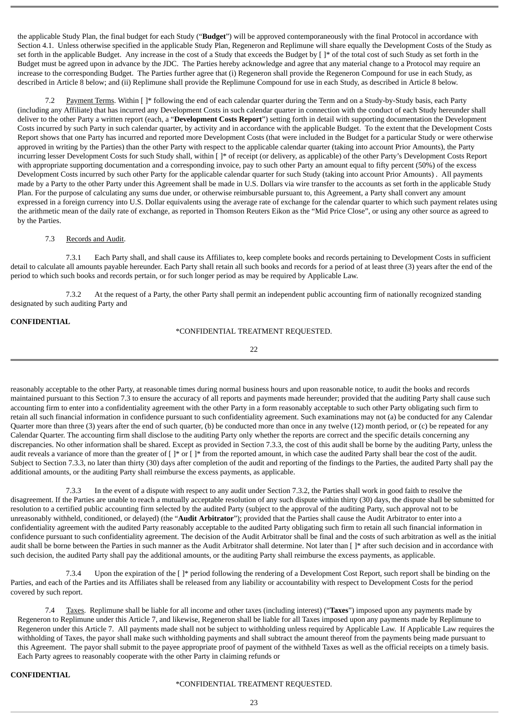the applicable Study Plan, the final budget for each Study ("**Budget**") will be approved contemporaneously with the final Protocol in accordance with Section 4.1. Unless otherwise specified in the applicable Study Plan, Regeneron and Replimune will share equally the Development Costs of the Study as set forth in the applicable Budget. Any increase in the cost of a Study that exceeds the Budget by  $[ ]^*$  of the total cost of such Study as set forth in the Budget must be agreed upon in advance by the JDC. The Parties hereby acknowledge and agree that any material change to a Protocol may require an increase to the corresponding Budget. The Parties further agree that (i) Regeneron shall provide the Regeneron Compound for use in each Study, as described in Article 8 below; and (ii) Replimune shall provide the Replimune Compound for use in each Study, as described in Article 8 below.

7.2 Payment Terms. Within [ ]\* following the end of each calendar quarter during the Term and on a Study-by-Study basis, each Party (including any Affiliate) that has incurred any Development Costs in such calendar quarter in connection with the conduct of each Study hereunder shall deliver to the other Party a written report (each, a "**Development Costs Report**") setting forth in detail with supporting documentation the Development Costs incurred by such Party in such calendar quarter, by activity and in accordance with the applicable Budget. To the extent that the Development Costs Report shows that one Party has incurred and reported more Development Costs (that were included in the Budget for a particular Study or were otherwise approved in writing by the Parties) than the other Party with respect to the applicable calendar quarter (taking into account Prior Amounts), the Party incurring lesser Development Costs for such Study shall, within [ ]\* of receipt (or delivery, as applicable) of the other Party's Development Costs Report with appropriate supporting documentation and a corresponding invoice, pay to such other Party an amount equal to fifty percent (50%) of the excess Development Costs incurred by such other Party for the applicable calendar quarter for such Study (taking into account Prior Amounts) . All payments made by a Party to the other Party under this Agreement shall be made in U.S. Dollars via wire transfer to the accounts as set forth in the applicable Study Plan. For the purpose of calculating any sums due under, or otherwise reimbursable pursuant to, this Agreement, a Party shall convert any amount expressed in a foreign currency into U.S. Dollar equivalents using the average rate of exchange for the calendar quarter to which such payment relates using the arithmetic mean of the daily rate of exchange, as reported in Thomson Reuters Eikon as the "Mid Price Close", or using any other source as agreed to by the Parties.

### 7.3 Records and Audit.

7.3.1 Each Party shall, and shall cause its Affiliates to, keep complete books and records pertaining to Development Costs in sufficient detail to calculate all amounts payable hereunder. Each Party shall retain all such books and records for a period of at least three (3) years after the end of the period to which such books and records pertain, or for such longer period as may be required by Applicable Law.

7.3.2 At the request of a Party, the other Party shall permit an independent public accounting firm of nationally recognized standing designated by such auditing Party and

## **CONFIDENTIAL**

## \*CONFIDENTIAL TREATMENT REQUESTED.

22

reasonably acceptable to the other Party, at reasonable times during normal business hours and upon reasonable notice, to audit the books and records maintained pursuant to this Section 7.3 to ensure the accuracy of all reports and payments made hereunder; provided that the auditing Party shall cause such accounting firm to enter into a confidentiality agreement with the other Party in a form reasonably acceptable to such other Party obligating such firm to retain all such financial information in confidence pursuant to such confidentiality agreement. Such examinations may not (a) be conducted for any Calendar Quarter more than three (3) years after the end of such quarter, (b) be conducted more than once in any twelve (12) month period, or (c) be repeated for any Calendar Quarter. The accounting firm shall disclose to the auditing Party only whether the reports are correct and the specific details concerning any discrepancies. No other information shall be shared. Except as provided in Section 7.3.3, the cost of this audit shall be borne by the auditing Party, unless the audit reveals a variance of more than the greater of  $[ ]^*$  or  $[ ]^*$  from the reported amount, in which case the audited Party shall bear the cost of the audit. Subject to Section 7.3.3, no later than thirty (30) days after completion of the audit and reporting of the findings to the Parties, the audited Party shall pay the additional amounts, or the auditing Party shall reimburse the excess payments, as applicable.

7.3.3 In the event of a dispute with respect to any audit under Section 7.3.2, the Parties shall work in good faith to resolve the disagreement. If the Parties are unable to reach a mutually acceptable resolution of any such dispute within thirty (30) days, the dispute shall be submitted for resolution to a certified public accounting firm selected by the audited Party (subject to the approval of the auditing Party, such approval not to be unreasonably withheld, conditioned, or delayed) (the "**Audit Arbitrator**"); provided that the Parties shall cause the Audit Arbitrator to enter into a confidentiality agreement with the audited Party reasonably acceptable to the audited Party obligating such firm to retain all such financial information in confidence pursuant to such confidentiality agreement. The decision of the Audit Arbitrator shall be final and the costs of such arbitration as well as the initial audit shall be borne between the Parties in such manner as the Audit Arbitrator shall determine. Not later than [ ]\* after such decision and in accordance with such decision, the audited Party shall pay the additional amounts, or the auditing Party shall reimburse the excess payments, as applicable.

7.3.4 Upon the expiration of the [ ]\* period following the rendering of a Development Cost Report, such report shall be binding on the Parties, and each of the Parties and its Affiliates shall be released from any liability or accountability with respect to Development Costs for the period covered by such report.

7.4 Taxes. Replimune shall be liable for all income and other taxes (including interest) ("**Taxes**") imposed upon any payments made by Regeneron to Replimune under this Article 7, and likewise, Regeneron shall be liable for all Taxes imposed upon any payments made by Replimune to Regeneron under this Article 7. All payments made shall not be subject to withholding unless required by Applicable Law. If Applicable Law requires the withholding of Taxes, the payor shall make such withholding payments and shall subtract the amount thereof from the payments being made pursuant to this Agreement. The payor shall submit to the payee appropriate proof of payment of the withheld Taxes as well as the official receipts on a timely basis. Each Party agrees to reasonably cooperate with the other Party in claiming refunds or

### **CONFIDENTIAL**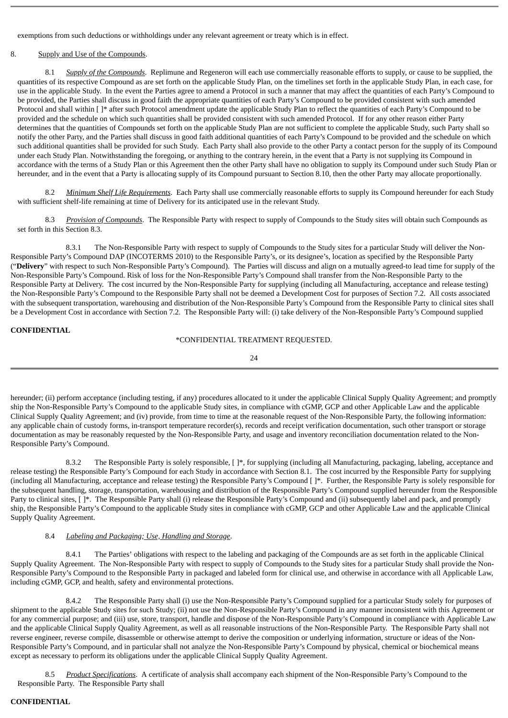exemptions from such deductions or withholdings under any relevant agreement or treaty which is in effect.

### 8. Supply and Use of the Compounds.

8.1 *Supply of the Compounds*. Replimune and Regeneron will each use commercially reasonable efforts to supply, or cause to be supplied, the quantities of its respective Compound as are set forth on the applicable Study Plan, on the timelines set forth in the applicable Study Plan, in each case, for use in the applicable Study. In the event the Parties agree to amend a Protocol in such a manner that may affect the quantities of each Party's Compound to be provided, the Parties shall discuss in good faith the appropriate quantities of each Party's Compound to be provided consistent with such amended Protocol and shall within [ ]\* after such Protocol amendment update the applicable Study Plan to reflect the quantities of each Party's Compound to be provided and the schedule on which such quantities shall be provided consistent with such amended Protocol. If for any other reason either Party determines that the quantities of Compounds set forth on the applicable Study Plan are not sufficient to complete the applicable Study, such Party shall so notify the other Party, and the Parties shall discuss in good faith additional quantities of each Party's Compound to be provided and the schedule on which such additional quantities shall be provided for such Study. Each Party shall also provide to the other Party a contact person for the supply of its Compound under each Study Plan. Notwithstanding the foregoing, or anything to the contrary herein, in the event that a Party is not supplying its Compound in accordance with the terms of a Study Plan or this Agreement then the other Party shall have no obligation to supply its Compound under such Study Plan or hereunder, and in the event that a Party is allocating supply of its Compound pursuant to Section 8.10, then the other Party may allocate proportionally.

8.2 *Minimum Shelf Life Requirements*. Each Party shall use commercially reasonable efforts to supply its Compound hereunder for each Study with sufficient shelf-life remaining at time of Delivery for its anticipated use in the relevant Study.

8.3 *Provision of Compounds*. The Responsible Party with respect to supply of Compounds to the Study sites will obtain such Compounds as set forth in this Section 8.3.

8.3.1 The Non-Responsible Party with respect to supply of Compounds to the Study sites for a particular Study will deliver the Non-Responsible Party's Compound DAP (INCOTERMS 2010) to the Responsible Party's, or its designee's, location as specified by the Responsible Party ("**Delivery**" with respect to such Non-Responsible Party's Compound). The Parties will discuss and align on a mutually agreed-to lead time for supply of the Non-Responsible Party's Compound. Risk of loss for the Non-Responsible Party's Compound shall transfer from the Non-Responsible Party to the Responsible Party at Delivery. The cost incurred by the Non-Responsible Party for supplying (including all Manufacturing, acceptance and release testing) the Non-Responsible Party's Compound to the Responsible Party shall not be deemed a Development Cost for purposes of Section 7.2. All costs associated with the subsequent transportation, warehousing and distribution of the Non-Responsible Party's Compound from the Responsible Party to clinical sites shall be a Development Cost in accordance with Section 7.2. The Responsible Party will: (i) take delivery of the Non-Responsible Party's Compound supplied

#### **CONFIDENTIAL**

### \*CONFIDENTIAL TREATMENT REQUESTED.

24

hereunder; (ii) perform acceptance (including testing, if any) procedures allocated to it under the applicable Clinical Supply Quality Agreement; and promptly ship the Non-Responsible Party's Compound to the applicable Study sites, in compliance with cGMP, GCP and other Applicable Law and the applicable Clinical Supply Quality Agreement; and (iv) provide, from time to time at the reasonable request of the Non-Responsible Party, the following information: any applicable chain of custody forms, in-transport temperature recorder(s), records and receipt verification documentation, such other transport or storage documentation as may be reasonably requested by the Non-Responsible Party, and usage and inventory reconciliation documentation related to the Non-Responsible Party's Compound.

8.3.2 The Responsible Party is solely responsible, [ ]\*, for supplying (including all Manufacturing, packaging, labeling, acceptance and release testing) the Responsible Party's Compound for each Study in accordance with Section 8.1. The cost incurred by the Responsible Party for supplying (including all Manufacturing, acceptance and release testing) the Responsible Party's Compound [ ]\*. Further, the Responsible Party is solely responsible for the subsequent handling, storage, transportation, warehousing and distribution of the Responsible Party's Compound supplied hereunder from the Responsible Party to clinical sites,  $[\ ]^*$ . The Responsible Party shall (i) release the Responsible Party's Compound and (ii) subsequently label and pack, and promptly ship, the Responsible Party's Compound to the applicable Study sites in compliance with cGMP, GCP and other Applicable Law and the applicable Clinical Supply Quality Agreement.

## 8.4 *Labeling and Packaging; Use, Handling and Storage*.

8.4.1 The Parties' obligations with respect to the labeling and packaging of the Compounds are as set forth in the applicable Clinical Supply Quality Agreement. The Non-Responsible Party with respect to supply of Compounds to the Study sites for a particular Study shall provide the Non-Responsible Party's Compound to the Responsible Party in packaged and labeled form for clinical use, and otherwise in accordance with all Applicable Law, including cGMP, GCP, and health, safety and environmental protections.

8.4.2 The Responsible Party shall (i) use the Non-Responsible Party's Compound supplied for a particular Study solely for purposes of shipment to the applicable Study sites for such Study; (ii) not use the Non-Responsible Party's Compound in any manner inconsistent with this Agreement or for any commercial purpose; and (iii) use, store, transport, handle and dispose of the Non-Responsible Party's Compound in compliance with Applicable Law and the applicable Clinical Supply Quality Agreement, as well as all reasonable instructions of the Non-Responsible Party. The Responsible Party shall not reverse engineer, reverse compile, disassemble or otherwise attempt to derive the composition or underlying information, structure or ideas of the Non-Responsible Party's Compound, and in particular shall not analyze the Non-Responsible Party's Compound by physical, chemical or biochemical means except as necessary to perform its obligations under the applicable Clinical Supply Quality Agreement.

8.5 *Product Specifications*. A certificate of analysis shall accompany each shipment of the Non-Responsible Party's Compound to the Responsible Party. The Responsible Party shall

## **CONFIDENTIAL**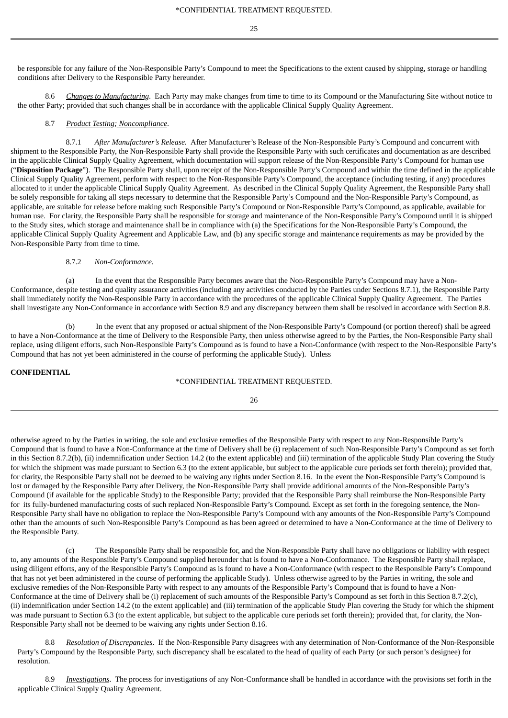25

be responsible for any failure of the Non-Responsible Party's Compound to meet the Specifications to the extent caused by shipping, storage or handling conditions after Delivery to the Responsible Party hereunder.

8.6 *Changes to Manufacturing*. Each Party may make changes from time to time to its Compound or the Manufacturing Site without notice to the other Party; provided that such changes shall be in accordance with the applicable Clinical Supply Quality Agreement.

#### 8.7 *Product Testing; Noncompliance*.

8.7.1 *After Manufacturer's Release.* After Manufacturer's Release of the Non-Responsible Party's Compound and concurrent with shipment to the Responsible Party, the Non-Responsible Party shall provide the Responsible Party with such certificates and documentation as are described in the applicable Clinical Supply Quality Agreement, which documentation will support release of the Non-Responsible Party's Compound for human use ("**Disposition Package**"). The Responsible Party shall, upon receipt of the Non-Responsible Party's Compound and within the time defined in the applicable Clinical Supply Quality Agreement, perform with respect to the Non-Responsible Party's Compound, the acceptance (including testing, if any) procedures allocated to it under the applicable Clinical Supply Quality Agreement. As described in the Clinical Supply Quality Agreement, the Responsible Party shall be solely responsible for taking all steps necessary to determine that the Responsible Party's Compound and the Non-Responsible Party's Compound, as applicable, are suitable for release before making such Responsible Party's Compound or Non-Responsible Party's Compound, as applicable, available for human use. For clarity, the Responsible Party shall be responsible for storage and maintenance of the Non-Responsible Party's Compound until it is shipped to the Study sites, which storage and maintenance shall be in compliance with (a) the Specifications for the Non-Responsible Party's Compound, the applicable Clinical Supply Quality Agreement and Applicable Law, and (b) any specific storage and maintenance requirements as may be provided by the Non-Responsible Party from time to time.

#### 8.7.2 *Non-Conformance.*

(a) In the event that the Responsible Party becomes aware that the Non-Responsible Party's Compound may have a Non-Conformance, despite testing and quality assurance activities (including any activities conducted by the Parties under Sections 8.7.1), the Responsible Party shall immediately notify the Non-Responsible Party in accordance with the procedures of the applicable Clinical Supply Quality Agreement. The Parties shall investigate any Non-Conformance in accordance with Section 8.9 and any discrepancy between them shall be resolved in accordance with Section 8.8.

(b) In the event that any proposed or actual shipment of the Non-Responsible Party's Compound (or portion thereof) shall be agreed to have a Non-Conformance at the time of Delivery to the Responsible Party, then unless otherwise agreed to by the Parties, the Non-Responsible Party shall replace, using diligent efforts, such Non-Responsible Party's Compound as is found to have a Non-Conformance (with respect to the Non-Responsible Party's Compound that has not yet been administered in the course of performing the applicable Study). Unless

#### **CONFIDENTIAL**

## \*CONFIDENTIAL TREATMENT REQUESTED.

| v | I<br>×<br>×<br>۰. |
|---|-------------------|

otherwise agreed to by the Parties in writing, the sole and exclusive remedies of the Responsible Party with respect to any Non-Responsible Party's Compound that is found to have a Non-Conformance at the time of Delivery shall be (i) replacement of such Non-Responsible Party's Compound as set forth in this Section 8.7.2(b), (ii) indemnification under Section 14.2 (to the extent applicable) and (iii) termination of the applicable Study Plan covering the Study for which the shipment was made pursuant to Section 6.3 (to the extent applicable, but subject to the applicable cure periods set forth therein); provided that, for clarity, the Responsible Party shall not be deemed to be waiving any rights under Section 8.16. In the event the Non-Responsible Party's Compound is lost or damaged by the Responsible Party after Delivery, the Non-Responsible Party shall provide additional amounts of the Non-Responsible Party's Compound (if available for the applicable Study) to the Responsible Party; provided that the Responsible Party shall reimburse the Non-Responsible Party for its fully-burdened manufacturing costs of such replaced Non-Responsible Party's Compound. Except as set forth in the foregoing sentence, the Non-Responsible Party shall have no obligation to replace the Non-Responsible Party's Compound with any amounts of the Non-Responsible Party's Compound other than the amounts of such Non-Responsible Party's Compound as has been agreed or determined to have a Non-Conformance at the time of Delivery to the Responsible Party.

(c) The Responsible Party shall be responsible for, and the Non-Responsible Party shall have no obligations or liability with respect to, any amounts of the Responsible Party's Compound supplied hereunder that is found to have a Non-Conformance. The Responsible Party shall replace, using diligent efforts, any of the Responsible Party's Compound as is found to have a Non-Conformance (with respect to the Responsible Party's Compound that has not yet been administered in the course of performing the applicable Study). Unless otherwise agreed to by the Parties in writing, the sole and exclusive remedies of the Non-Responsible Party with respect to any amounts of the Responsible Party's Compound that is found to have a Non-Conformance at the time of Delivery shall be (i) replacement of such amounts of the Responsible Party's Compound as set forth in this Section 8.7.2(c), (ii) indemnification under Section 14.2 (to the extent applicable) and (iii) termination of the applicable Study Plan covering the Study for which the shipment was made pursuant to Section 6.3 (to the extent applicable, but subject to the applicable cure periods set forth therein); provided that, for clarity, the Non-Responsible Party shall not be deemed to be waiving any rights under Section 8.16.

8.8 *Resolution of Discrepancies*. If the Non-Responsible Party disagrees with any determination of Non-Conformance of the Non-Responsible Party's Compound by the Responsible Party, such discrepancy shall be escalated to the head of quality of each Party (or such person's designee) for resolution.

8.9 *Investigations*. The process for investigations of any Non-Conformance shall be handled in accordance with the provisions set forth in the applicable Clinical Supply Quality Agreement.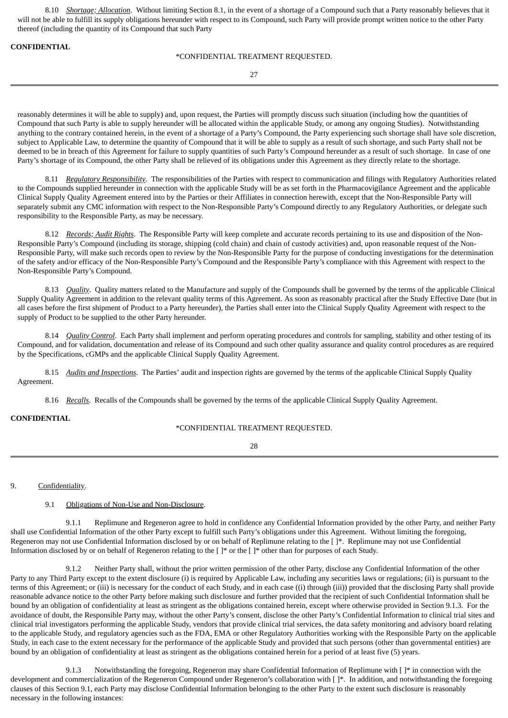8.10 *Shortage; Allocation*. Without limiting Section 8.1, in the event of a shortage of a Compound such that a Party reasonably believes that it will not be able to fulfill its supply obligations hereunder with respect to its Compound, such Party will provide prompt written notice to the other Party thereof (including the quantity of its Compound that such Party

**CONFIDENTIAL**

### \*CONFIDENTIAL TREATMENT REQUESTED.

27

reasonably determines it will be able to supply) and, upon request, the Parties will promptly discuss such situation (including how the quantities of Compound that such Party is able to supply hereunder will be allocated within the applicable Study, or among any ongoing Studies). Notwithstanding anything to the contrary contained herein, in the event of a shortage of a Party's Compound, the Party experiencing such shortage shall have sole discretion, subject to Applicable Law, to determine the quantity of Compound that it will be able to supply as a result of such shortage, and such Party shall not be deemed to be in breach of this Agreement for failure to supply quantities of such Party's Compound hereunder as a result of such shortage. In case of one Party's shortage of its Compound, the other Party shall be relieved of its obligations under this Agreement as they directly relate to the shortage.

8.11 *Regulatory Responsibility*. The responsibilities of the Parties with respect to communication and filings with Regulatory Authorities related to the Compounds supplied hereunder in connection with the applicable Study will be as set forth in the Pharmacovigilance Agreement and the applicable Clinical Supply Quality Agreement entered into by the Parties or their Affiliates in connection herewith, except that the Non-Responsible Party will separately submit any CMC information with respect to the Non-Responsible Party's Compound directly to any Regulatory Authorities, or delegate such responsibility to the Responsible Party, as may be necessary.

8.12 *Records; Audit Rights*. The Responsible Party will keep complete and accurate records pertaining to its use and disposition of the Non-Responsible Party's Compound (including its storage, shipping (cold chain) and chain of custody activities) and, upon reasonable request of the Non-Responsible Party, will make such records open to review by the Non-Responsible Party for the purpose of conducting investigations for the determination of the safety and/or efficacy of the Non-Responsible Party's Compound and the Responsible Party's compliance with this Agreement with respect to the Non-Responsible Party's Compound.

8.13 *Quality*. Quality matters related to the Manufacture and supply of the Compounds shall be governed by the terms of the applicable Clinical Supply Quality Agreement in addition to the relevant quality terms of this Agreement. As soon as reasonably practical after the Study Effective Date (but in all cases before the first shipment of Product to a Party hereunder), the Parties shall enter into the Clinical Supply Quality Agreement with respect to the supply of Product to be supplied to the other Party hereunder.

8.14 *Quality Control*. Each Party shall implement and perform operating procedures and controls for sampling, stability and other testing of its Compound, and for validation, documentation and release of its Compound and such other quality assurance and quality control procedures as are required by the Specifications, cGMPs and the applicable Clinical Supply Quality Agreement.

8.15 *Audits and Inspections*. The Parties' audit and inspection rights are governed by the terms of the applicable Clinical Supply Quality Agreement.

8.16 *Recalls*. Recalls of the Compounds shall be governed by the terms of the applicable Clinical Supply Quality Agreement.

**CONFIDENTIAL**

## \*CONFIDENTIAL TREATMENT REQUESTED.

 $28$ 

9. Confidentiality.

9.1 Obligations of Non-Use and Non-Disclosure.

9.1.1 Replimune and Regeneron agree to hold in confidence any Confidential Information provided by the other Party, and neither Party shall use Confidential Information of the other Party except to fulfill such Party's obligations under this Agreement. Without limiting the foregoing, Regeneron may not use Confidential Information disclosed by or on behalf of Replimune relating to the []\*. Replimune may not use Confidential Information disclosed by or on behalf of Regeneron relating to the [ ]\* or the [ ]\* other than for purposes of each Study.

9.1.2 Neither Party shall, without the prior written permission of the other Party, disclose any Confidential Information of the other Party to any Third Party except to the extent disclosure (i) is required by Applicable Law, including any securities laws or regulations; (ii) is pursuant to the terms of this Agreement; or (iii) is necessary for the conduct of each Study, and in each case ((i) through (iii)) provided that the disclosing Party shall provide reasonable advance notice to the other Party before making such disclosure and further provided that the recipient of such Confidential Information shall be bound by an obligation of confidentiality at least as stringent as the obligations contained herein, except where otherwise provided in Section 9.1.3. For the avoidance of doubt, the Responsible Party may, without the other Party's consent, disclose the other Party's Confidential Information to clinical trial sites and clinical trial investigators performing the applicable Study, vendors that provide clinical trial services, the data safety monitoring and advisory board relating to the applicable Study, and regulatory agencies such as the FDA, EMA or other Regulatory Authorities working with the Responsible Party on the applicable Study, in each case to the extent necessary for the performance of the applicable Study and provided that such persons (other than governmental entities) are bound by an obligation of confidentiality at least as stringent as the obligations contained herein for a period of at least five (5) years.

Notwithstanding the foregoing, Regeneron may share Confidential Information of Replimune with [ ]\* in connection with the development and commercialization of the Regeneron Compound under Regeneron's collaboration with [ ]\*. In addition, and notwithstanding the foregoing clauses of this Section 9.1, each Party may disclose Confidential Information belonging to the other Party to the extent such disclosure is reasonably necessary in the following instances: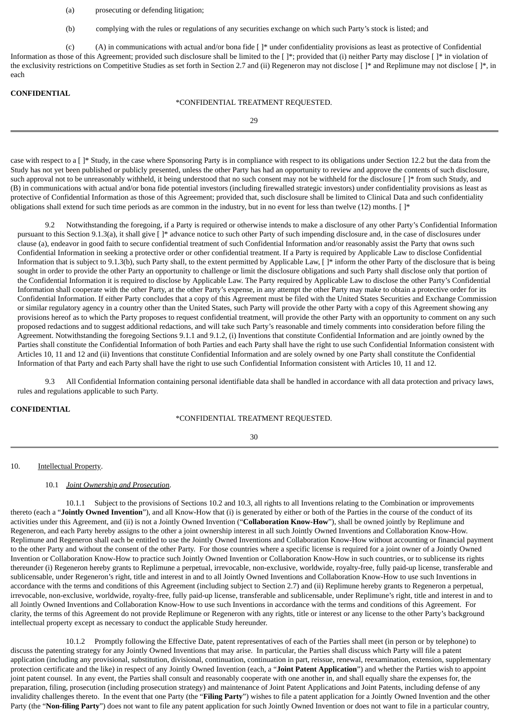- (a) prosecuting or defending litigation;
- (b) complying with the rules or regulations of any securities exchange on which such Party's stock is listed; and

(c) (A) in communications with actual and/or bona fide [ ]\* under confidentiality provisions as least as protective of Confidential Information as those of this Agreement; provided such disclosure shall be limited to the [ ]\*; provided that (i) neither Party may disclose [ ]\* in violation of the exclusivity restrictions on Competitive Studies as set forth in Section 2.7 and (ii) Regeneron may not disclose [ ]\* and Replimune may not disclose [ ]\*, in each

### **CONFIDENTIAL**

#### \*CONFIDENTIAL TREATMENT REQUESTED.

 $29$ 

case with respect to a [ ]\* Study, in the case where Sponsoring Party is in compliance with respect to its obligations under Section 12.2 but the data from the Study has not yet been published or publicly presented, unless the other Party has had an opportunity to review and approve the contents of such disclosure, such approval not to be unreasonably withheld, it being understood that no such consent may not be withheld for the disclosure []\* from such Study, and (B) in communications with actual and/or bona fide potential investors (including firewalled strategic investors) under confidentiality provisions as least as protective of Confidential Information as those of this Agreement; provided that, such disclosure shall be limited to Clinical Data and such confidentiality obligations shall extend for such time periods as are common in the industry, but in no event for less than twelve (12) months. [ ]\*

9.2 Notwithstanding the foregoing, if a Party is required or otherwise intends to make a disclosure of any other Party's Confidential Information pursuant to this Section 9.1.3(a), it shall give [ ]\* advance notice to such other Party of such impending disclosure and, in the case of disclosures under clause (a), endeavor in good faith to secure confidential treatment of such Confidential Information and/or reasonably assist the Party that owns such Confidential Information in seeking a protective order or other confidential treatment. If a Party is required by Applicable Law to disclose Confidential Information that is subject to 9.1.3(b), such Party shall, to the extent permitted by Applicable Law, []\* inform the other Party of the disclosure that is being sought in order to provide the other Party an opportunity to challenge or limit the disclosure obligations and such Party shall disclose only that portion of the Confidential Information it is required to disclose by Applicable Law. The Party required by Applicable Law to disclose the other Party's Confidential Information shall cooperate with the other Party, at the other Party's expense, in any attempt the other Party may make to obtain a protective order for its Confidential Information. If either Party concludes that a copy of this Agreement must be filed with the United States Securities and Exchange Commission or similar regulatory agency in a country other than the United States, such Party will provide the other Party with a copy of this Agreement showing any provisions hereof as to which the Party proposes to request confidential treatment, will provide the other Party with an opportunity to comment on any such proposed redactions and to suggest additional redactions, and will take such Party's reasonable and timely comments into consideration before filing the Agreement. Notwithstanding the foregoing Sections 9.1.1 and 9.1.2, (i) Inventions that constitute Confidential Information and are jointly owned by the Parties shall constitute the Confidential Information of both Parties and each Party shall have the right to use such Confidential Information consistent with Articles 10, 11 and 12 and (ii) Inventions that constitute Confidential Information and are solely owned by one Party shall constitute the Confidential Information of that Party and each Party shall have the right to use such Confidential Information consistent with Articles 10, 11 and 12.

9.3 All Confidential Information containing personal identifiable data shall be handled in accordance with all data protection and privacy laws, rules and regulations applicable to such Party.

#### **CONFIDENTIAL**

#### \*CONFIDENTIAL TREATMENT REQUESTED.

30

#### 10. **Intellectual Property.**

#### 10.1 *Joint Ownership and Prosecution*.

10.1.1 Subject to the provisions of Sections 10.2 and 10.3, all rights to all Inventions relating to the Combination or improvements thereto (each a "**Jointly Owned Invention**"), and all Know-How that (i) is generated by either or both of the Parties in the course of the conduct of its activities under this Agreement, and (ii) is not a Jointly Owned Invention ("**Collaboration Know-How**"), shall be owned jointly by Replimune and Regeneron, and each Party hereby assigns to the other a joint ownership interest in all such Jointly Owned Inventions and Collaboration Know-How. Replimune and Regeneron shall each be entitled to use the Jointly Owned Inventions and Collaboration Know-How without accounting or financial payment to the other Party and without the consent of the other Party. For those countries where a specific license is required for a joint owner of a Jointly Owned Invention or Collaboration Know-How to practice such Jointly Owned Invention or Collaboration Know-How in such countries, or to sublicense its rights thereunder (i) Regeneron hereby grants to Replimune a perpetual, irrevocable, non-exclusive, worldwide, royalty-free, fully paid-up license, transferable and sublicensable, under Regeneron's right, title and interest in and to all Jointly Owned Inventions and Collaboration Know-How to use such Inventions in accordance with the terms and conditions of this Agreement (including subject to Section 2.7) and (ii) Replimune hereby grants to Regeneron a perpetual, irrevocable, non-exclusive, worldwide, royalty-free, fully paid-up license, transferable and sublicensable, under Replimune's right, title and interest in and to all Jointly Owned Inventions and Collaboration Know-How to use such Inventions in accordance with the terms and conditions of this Agreement. For clarity, the terms of this Agreement do not provide Replimune or Regeneron with any rights, title or interest or any license to the other Party's background intellectual property except as necessary to conduct the applicable Study hereunder.

10.1.2 Promptly following the Effective Date, patent representatives of each of the Parties shall meet (in person or by telephone) to discuss the patenting strategy for any Jointly Owned Inventions that may arise. In particular, the Parties shall discuss which Party will file a patent application (including any provisional, substitution, divisional, continuation, continuation in part, reissue, renewal, reexamination, extension, supplementary protection certificate and the like) in respect of any Jointly Owned Invention (each, a "**Joint Patent Application**") and whether the Parties wish to appoint joint patent counsel. In any event, the Parties shall consult and reasonably cooperate with one another in, and shall equally share the expenses for, the preparation, filing, prosecution (including prosecution strategy) and maintenance of Joint Patent Applications and Joint Patents, including defense of any invalidity challenges thereto. In the event that one Party (the "**Filing Party**") wishes to file a patent application for a Jointly Owned Invention and the other Party (the "**Non-filing Party**") does not want to file any patent application for such Jointly Owned Invention or does not want to file in a particular country,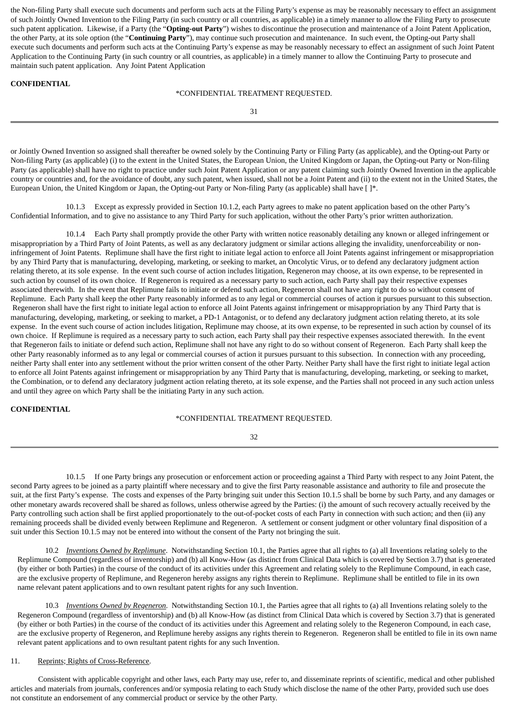the Non-filing Party shall execute such documents and perform such acts at the Filing Party's expense as may be reasonably necessary to effect an assignment of such Jointly Owned Invention to the Filing Party (in such country or all countries, as applicable) in a timely manner to allow the Filing Party to prosecute such patent application. Likewise, if a Party (the "**Opting-out Party**") wishes to discontinue the prosecution and maintenance of a Joint Patent Application, the other Party, at its sole option (the "**Continuing Party**"), may continue such prosecution and maintenance. In such event, the Opting-out Party shall execute such documents and perform such acts at the Continuing Party's expense as may be reasonably necessary to effect an assignment of such Joint Patent Application to the Continuing Party (in such country or all countries, as applicable) in a timely manner to allow the Continuing Party to prosecute and maintain such patent application. Any Joint Patent Application

#### **CONFIDENTIAL**

### \*CONFIDENTIAL TREATMENT REQUESTED.

31

or Jointly Owned Invention so assigned shall thereafter be owned solely by the Continuing Party or Filing Party (as applicable), and the Opting-out Party or Non-filing Party (as applicable) (i) to the extent in the United States, the European Union, the United Kingdom or Japan, the Opting-out Party or Non-filing Party (as applicable) shall have no right to practice under such Joint Patent Application or any patent claiming such Jointly Owned Invention in the applicable country or countries and, for the avoidance of doubt, any such patent, when issued, shall not be a Joint Patent and (ii) to the extent not in the United States, the European Union, the United Kingdom or Japan, the Opting-out Party or Non-filing Party (as applicable) shall have [ ]\*.

10.1.3 Except as expressly provided in Section 10.1.2, each Party agrees to make no patent application based on the other Party's Confidential Information, and to give no assistance to any Third Party for such application, without the other Party's prior written authorization.

10.1.4 Each Party shall promptly provide the other Party with written notice reasonably detailing any known or alleged infringement or misappropriation by a Third Party of Joint Patents, as well as any declaratory judgment or similar actions alleging the invalidity, unenforceability or noninfringement of Joint Patents. Replimune shall have the first right to initiate legal action to enforce all Joint Patents against infringement or misappropriation by any Third Party that is manufacturing, developing, marketing, or seeking to market, an Oncolytic Virus, or to defend any declaratory judgment action relating thereto, at its sole expense. In the event such course of action includes litigation, Regeneron may choose, at its own expense, to be represented in such action by counsel of its own choice. If Regeneron is required as a necessary party to such action, each Party shall pay their respective expenses associated therewith. In the event that Replimune fails to initiate or defend such action, Regeneron shall not have any right to do so without consent of Replimune. Each Party shall keep the other Party reasonably informed as to any legal or commercial courses of action it pursues pursuant to this subsection. Regeneron shall have the first right to initiate legal action to enforce all Joint Patents against infringement or misappropriation by any Third Party that is manufacturing, developing, marketing, or seeking to market, a PD-1 Antagonist, or to defend any declaratory judgment action relating thereto, at its sole expense. In the event such course of action includes litigation, Replimune may choose, at its own expense, to be represented in such action by counsel of its own choice. If Replimune is required as a necessary party to such action, each Party shall pay their respective expenses associated therewith. In the event that Regeneron fails to initiate or defend such action, Replimune shall not have any right to do so without consent of Regeneron. Each Party shall keep the other Party reasonably informed as to any legal or commercial courses of action it pursues pursuant to this subsection. In connection with any proceeding, neither Party shall enter into any settlement without the prior written consent of the other Party. Neither Party shall have the first right to initiate legal action to enforce all Joint Patents against infringement or misappropriation by any Third Party that is manufacturing, developing, marketing, or seeking to market, the Combination, or to defend any declaratory judgment action relating thereto, at its sole expense, and the Parties shall not proceed in any such action unless and until they agree on which Party shall be the initiating Party in any such action.

### **CONFIDENTIAL**

### \*CONFIDENTIAL TREATMENT REQUESTED.

32

10.1.5 If one Party brings any prosecution or enforcement action or proceeding against a Third Party with respect to any Joint Patent, the second Party agrees to be joined as a party plaintiff where necessary and to give the first Party reasonable assistance and authority to file and prosecute the suit, at the first Party's expense. The costs and expenses of the Party bringing suit under this Section 10.1.5 shall be borne by such Party, and any damages or other monetary awards recovered shall be shared as follows, unless otherwise agreed by the Parties: (i) the amount of such recovery actually received by the Party controlling such action shall be first applied proportionately to the out-of-pocket costs of each Party in connection with such action; and then (ii) any remaining proceeds shall be divided evenly between Replimune and Regeneron. A settlement or consent judgment or other voluntary final disposition of a suit under this Section 10.1.5 may not be entered into without the consent of the Party not bringing the suit.

10.2 *Inventions Owned by Replimune*. Notwithstanding Section 10.1, the Parties agree that all rights to (a) all Inventions relating solely to the Replimune Compound (regardless of inventorship) and (b) all Know-How (as distinct from Clinical Data which is covered by Section 3.7) that is generated (by either or both Parties) in the course of the conduct of its activities under this Agreement and relating solely to the Replimune Compound, in each case, are the exclusive property of Replimune, and Regeneron hereby assigns any rights therein to Replimune. Replimune shall be entitled to file in its own name relevant patent applications and to own resultant patent rights for any such Invention.

10.3 *Inventions Owned by Regeneron*. Notwithstanding Section 10.1, the Parties agree that all rights to (a) all Inventions relating solely to the Regeneron Compound (regardless of inventorship) and (b) all Know-How (as distinct from Clinical Data which is covered by Section 3.7) that is generated (by either or both Parties) in the course of the conduct of its activities under this Agreement and relating solely to the Regeneron Compound, in each case, are the exclusive property of Regeneron, and Replimune hereby assigns any rights therein to Regeneron. Regeneron shall be entitled to file in its own name relevant patent applications and to own resultant patent rights for any such Invention.

## 11. Reprints; Rights of Cross-Reference.

Consistent with applicable copyright and other laws, each Party may use, refer to, and disseminate reprints of scientific, medical and other published articles and materials from journals, conferences and/or symposia relating to each Study which disclose the name of the other Party, provided such use does not constitute an endorsement of any commercial product or service by the other Party.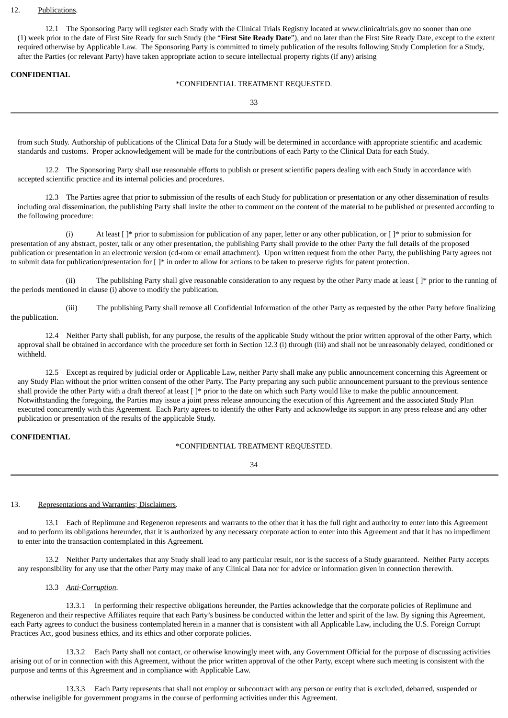#### 12. Publications.

12.1 The Sponsoring Party will register each Study with the Clinical Trials Registry located at www.clinicaltrials.gov no sooner than one (1) week prior to the date of First Site Ready for such Study (the "**First Site Ready Date**"), and no later than the First Site Ready Date, except to the extent required otherwise by Applicable Law. The Sponsoring Party is committed to timely publication of the results following Study Completion for a Study, after the Parties (or relevant Party) have taken appropriate action to secure intellectual property rights (if any) arising

#### **CONFIDENTIAL**

### \*CONFIDENTIAL TREATMENT REQUESTED.

33

from such Study. Authorship of publications of the Clinical Data for a Study will be determined in accordance with appropriate scientific and academic standards and customs. Proper acknowledgement will be made for the contributions of each Party to the Clinical Data for each Study.

12.2 The Sponsoring Party shall use reasonable efforts to publish or present scientific papers dealing with each Study in accordance with accepted scientific practice and its internal policies and procedures.

12.3 The Parties agree that prior to submission of the results of each Study for publication or presentation or any other dissemination of results including oral dissemination, the publishing Party shall invite the other to comment on the content of the material to be published or presented according to the following procedure:

(i) At least  $[$   $]$ \* prior to submission for publication of any paper, letter or any other publication, or  $[$   $]$ \* prior to submission for presentation of any abstract, poster, talk or any other presentation, the publishing Party shall provide to the other Party the full details of the proposed publication or presentation in an electronic version (cd-rom or email attachment). Upon written request from the other Party, the publishing Party agrees not to submit data for publication/presentation for [ ]\* in order to allow for actions to be taken to preserve rights for patent protection.

(ii) The publishing Party shall give reasonable consideration to any request by the other Party made at least [ ]\* prior to the running of the periods mentioned in clause (i) above to modify the publication.

(iii) The publishing Party shall remove all Confidential Information of the other Party as requested by the other Party before finalizing the publication.

12.4 Neither Party shall publish, for any purpose, the results of the applicable Study without the prior written approval of the other Party, which approval shall be obtained in accordance with the procedure set forth in Section 12.3 (i) through (iii) and shall not be unreasonably delayed, conditioned or withheld.

12.5 Except as required by judicial order or Applicable Law, neither Party shall make any public announcement concerning this Agreement or any Study Plan without the prior written consent of the other Party. The Party preparing any such public announcement pursuant to the previous sentence shall provide the other Party with a draft thereof at least [ ]\* prior to the date on which such Party would like to make the public announcement. Notwithstanding the foregoing, the Parties may issue a joint press release announcing the execution of this Agreement and the associated Study Plan executed concurrently with this Agreement. Each Party agrees to identify the other Party and acknowledge its support in any press release and any other publication or presentation of the results of the applicable Study.

### **CONFIDENTIAL**

## \*CONFIDENTIAL TREATMENT REQUESTED.

34

### 13. Representations and Warranties; Disclaimers.

13.1 Each of Replimune and Regeneron represents and warrants to the other that it has the full right and authority to enter into this Agreement and to perform its obligations hereunder, that it is authorized by any necessary corporate action to enter into this Agreement and that it has no impediment to enter into the transaction contemplated in this Agreement.

13.2 Neither Party undertakes that any Study shall lead to any particular result, nor is the success of a Study guaranteed. Neither Party accepts any responsibility for any use that the other Party may make of any Clinical Data nor for advice or information given in connection therewith.

### 13.3 *Anti-Corruption*.

13.3.1 In performing their respective obligations hereunder, the Parties acknowledge that the corporate policies of Replimune and Regeneron and their respective Affiliates require that each Party's business be conducted within the letter and spirit of the law. By signing this Agreement, each Party agrees to conduct the business contemplated herein in a manner that is consistent with all Applicable Law, including the U.S. Foreign Corrupt Practices Act, good business ethics, and its ethics and other corporate policies.

13.3.2 Each Party shall not contact, or otherwise knowingly meet with, any Government Official for the purpose of discussing activities arising out of or in connection with this Agreement, without the prior written approval of the other Party, except where such meeting is consistent with the purpose and terms of this Agreement and in compliance with Applicable Law.

13.3.3 Each Party represents that shall not employ or subcontract with any person or entity that is excluded, debarred, suspended or otherwise ineligible for government programs in the course of performing activities under this Agreement.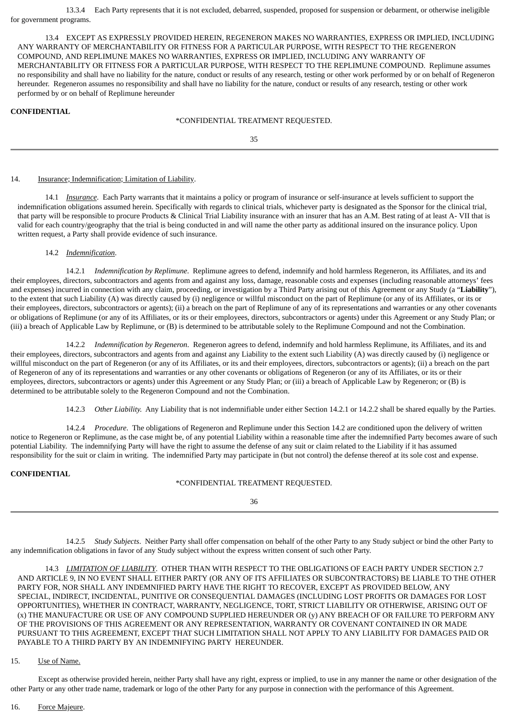13.3.4 Each Party represents that it is not excluded, debarred, suspended, proposed for suspension or debarment, or otherwise ineligible for government programs.

13.4 EXCEPT AS EXPRESSLY PROVIDED HEREIN, REGENERON MAKES NO WARRANTIES, EXPRESS OR IMPLIED, INCLUDING ANY WARRANTY OF MERCHANTABILITY OR FITNESS FOR A PARTICULAR PURPOSE, WITH RESPECT TO THE REGENERON COMPOUND, AND REPLIMUNE MAKES NO WARRANTIES, EXPRESS OR IMPLIED, INCLUDING ANY WARRANTY OF MERCHANTABILITY OR FITNESS FOR A PARTICULAR PURPOSE, WITH RESPECT TO THE REPLIMUNE COMPOUND. Replimune assumes no responsibility and shall have no liability for the nature, conduct or results of any research, testing or other work performed by or on behalf of Regeneron hereunder. Regeneron assumes no responsibility and shall have no liability for the nature, conduct or results of any research, testing or other work performed by or on behalf of Replimune hereunder

#### **CONFIDENTIAL**

#### \*CONFIDENTIAL TREATMENT REQUESTED.

35

#### 14. **Insurance**; Indemnification; Limitation of Liability.

14.1 *Insurance*. Each Party warrants that it maintains a policy or program of insurance or self-insurance at levels sufficient to support the indemnification obligations assumed herein. Specifically with regards to clinical trials, whichever party is designated as the Sponsor for the clinical trial, that party will be responsible to procure Products & Clinical Trial Liability insurance with an insurer that has an A.M. Best rating of at least A- VII that is valid for each country/geography that the trial is being conducted in and will name the other party as additional insured on the insurance policy. Upon written request, a Party shall provide evidence of such insurance.

#### 14.2 *Indemnification*.

14.2.1 *Indemnification by Replimune*. Replimune agrees to defend, indemnify and hold harmless Regeneron, its Affiliates, and its and their employees, directors, subcontractors and agents from and against any loss, damage, reasonable costs and expenses (including reasonable attorneys' fees and expenses) incurred in connection with any claim, proceeding, or investigation by a Third Party arising out of this Agreement or any Study (a "**Liability**"), to the extent that such Liability (A) was directly caused by (i) negligence or willful misconduct on the part of Replimune (or any of its Affiliates, or its or their employees, directors, subcontractors or agents); (ii) a breach on the part of Replimune of any of its representations and warranties or any other covenants or obligations of Replimune (or any of its Affiliates, or its or their employees, directors, subcontractors or agents) under this Agreement or any Study Plan; or (iii) a breach of Applicable Law by Replimune, or (B) is determined to be attributable solely to the Replimune Compound and not the Combination.

14.2.2 *Indemnification by Regeneron*. Regeneron agrees to defend, indemnify and hold harmless Replimune, its Affiliates, and its and their employees, directors, subcontractors and agents from and against any Liability to the extent such Liability (A) was directly caused by (i) negligence or willful misconduct on the part of Regeneron (or any of its Affiliates, or its and their employees, directors, subcontractors or agents); (ii) a breach on the part of Regeneron of any of its representations and warranties or any other covenants or obligations of Regeneron (or any of its Affiliates, or its or their employees, directors, subcontractors or agents) under this Agreement or any Study Plan; or (iii) a breach of Applicable Law by Regeneron; or (B) is determined to be attributable solely to the Regeneron Compound and not the Combination.

14.2.3 *Other Liability.* Any Liability that is not indemnifiable under either Section 14.2.1 or 14.2.2 shall be shared equally by the Parties.

14.2.4 *Procedure*. The obligations of Regeneron and Replimune under this Section 14.2 are conditioned upon the delivery of written notice to Regeneron or Replimune, as the case might be, of any potential Liability within a reasonable time after the indemnified Party becomes aware of such potential Liability. The indemnifying Party will have the right to assume the defense of any suit or claim related to the Liability if it has assumed responsibility for the suit or claim in writing. The indemnified Party may participate in (but not control) the defense thereof at its sole cost and expense.

#### **CONFIDENTIAL**

#### \*CONFIDENTIAL TREATMENT REQUESTED.

36

14.2.5 *Study Subjects*. Neither Party shall offer compensation on behalf of the other Party to any Study subject or bind the other Party to any indemnification obligations in favor of any Study subject without the express written consent of such other Party.

14.3 *LIMITATION OF LIABILITY*. OTHER THAN WITH RESPECT TO THE OBLIGATIONS OF EACH PARTY UNDER SECTION 2.7 AND ARTICLE 9, IN NO EVENT SHALL EITHER PARTY (OR ANY OF ITS AFFILIATES OR SUBCONTRACTORS) BE LIABLE TO THE OTHER PARTY FOR, NOR SHALL ANY INDEMNIFIED PARTY HAVE THE RIGHT TO RECOVER, EXCEPT AS PROVIDED BELOW, ANY SPECIAL, INDIRECT, INCIDENTAL, PUNITIVE OR CONSEQUENTIAL DAMAGES (INCLUDING LOST PROFITS OR DAMAGES FOR LOST OPPORTUNITIES), WHETHER IN CONTRACT, WARRANTY, NEGLIGENCE, TORT, STRICT LIABILITY OR OTHERWISE, ARISING OUT OF (x) THE MANUFACTURE OR USE OF ANY COMPOUND SUPPLIED HEREUNDER OR (y) ANY BREACH OF OR FAILURE TO PERFORM ANY OF THE PROVISIONS OF THIS AGREEMENT OR ANY REPRESENTATION, WARRANTY OR COVENANT CONTAINED IN OR MADE PURSUANT TO THIS AGREEMENT, EXCEPT THAT SUCH LIMITATION SHALL NOT APPLY TO ANY LIABILITY FOR DAMAGES PAID OR PAYABLE TO A THIRD PARTY BY AN INDEMNIFYING PARTY HEREUNDER.

### 15. Use of Name.

Except as otherwise provided herein, neither Party shall have any right, express or implied, to use in any manner the name or other designation of the other Party or any other trade name, trademark or logo of the other Party for any purpose in connection with the performance of this Agreement.

#### 16. Force Majeure.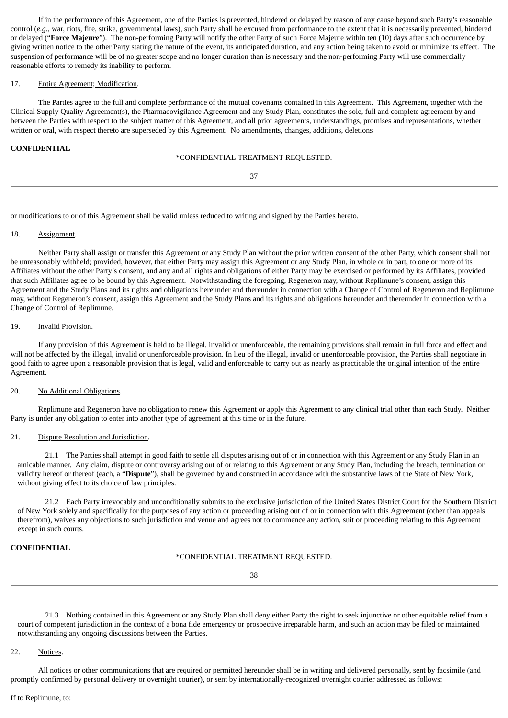If in the performance of this Agreement, one of the Parties is prevented, hindered or delayed by reason of any cause beyond such Party's reasonable control (*e.g.*, war, riots, fire, strike, governmental laws), such Party shall be excused from performance to the extent that it is necessarily prevented, hindered or delayed ("**Force Majeure**"). The non-performing Party will notify the other Party of such Force Majeure within ten (10) days after such occurrence by giving written notice to the other Party stating the nature of the event, its anticipated duration, and any action being taken to avoid or minimize its effect. The suspension of performance will be of no greater scope and no longer duration than is necessary and the non-performing Party will use commercially reasonable efforts to remedy its inability to perform.

#### 17. Entire Agreement; Modification.

The Parties agree to the full and complete performance of the mutual covenants contained in this Agreement. This Agreement, together with the Clinical Supply Quality Agreement(s), the Pharmacovigilance Agreement and any Study Plan, constitutes the sole, full and complete agreement by and between the Parties with respect to the subject matter of this Agreement, and all prior agreements, understandings, promises and representations, whether written or oral, with respect thereto are superseded by this Agreement. No amendments, changes, additions, deletions

#### **CONFIDENTIAL**

#### \*CONFIDENTIAL TREATMENT REQUESTED.

37

or modifications to or of this Agreement shall be valid unless reduced to writing and signed by the Parties hereto.

#### 18. Assignment.

Neither Party shall assign or transfer this Agreement or any Study Plan without the prior written consent of the other Party, which consent shall not be unreasonably withheld; provided, however, that either Party may assign this Agreement or any Study Plan, in whole or in part, to one or more of its Affiliates without the other Party's consent, and any and all rights and obligations of either Party may be exercised or performed by its Affiliates, provided that such Affiliates agree to be bound by this Agreement. Notwithstanding the foregoing, Regeneron may, without Replimune's consent, assign this Agreement and the Study Plans and its rights and obligations hereunder and thereunder in connection with a Change of Control of Regeneron and Replimune may, without Regeneron's consent, assign this Agreement and the Study Plans and its rights and obligations hereunder and thereunder in connection with a Change of Control of Replimune.

#### 19. Invalid Provision.

If any provision of this Agreement is held to be illegal, invalid or unenforceable, the remaining provisions shall remain in full force and effect and will not be affected by the illegal, invalid or unenforceable provision. In lieu of the illegal, invalid or unenforceable provision, the Parties shall negotiate in good faith to agree upon a reasonable provision that is legal, valid and enforceable to carry out as nearly as practicable the original intention of the entire Agreement.

#### 20. No Additional Obligations.

Replimune and Regeneron have no obligation to renew this Agreement or apply this Agreement to any clinical trial other than each Study. Neither Party is under any obligation to enter into another type of agreement at this time or in the future.

#### 21. Dispute Resolution and Jurisdiction.

21.1 The Parties shall attempt in good faith to settle all disputes arising out of or in connection with this Agreement or any Study Plan in an amicable manner. Any claim, dispute or controversy arising out of or relating to this Agreement or any Study Plan, including the breach, termination or validity hereof or thereof (each, a "**Dispute**"), shall be governed by and construed in accordance with the substantive laws of the State of New York, without giving effect to its choice of law principles.

21.2 Each Party irrevocably and unconditionally submits to the exclusive jurisdiction of the United States District Court for the Southern District of New York solely and specifically for the purposes of any action or proceeding arising out of or in connection with this Agreement (other than appeals therefrom), waives any objections to such jurisdiction and venue and agrees not to commence any action, suit or proceeding relating to this Agreement except in such courts.

## **CONFIDENTIAL**

### \*CONFIDENTIAL TREATMENT REQUESTED.

38

21.3 Nothing contained in this Agreement or any Study Plan shall deny either Party the right to seek injunctive or other equitable relief from a court of competent jurisdiction in the context of a bona fide emergency or prospective irreparable harm, and such an action may be filed or maintained notwithstanding any ongoing discussions between the Parties.

#### 22. Notices.

All notices or other communications that are required or permitted hereunder shall be in writing and delivered personally, sent by facsimile (and promptly confirmed by personal delivery or overnight courier), or sent by internationally-recognized overnight courier addressed as follows: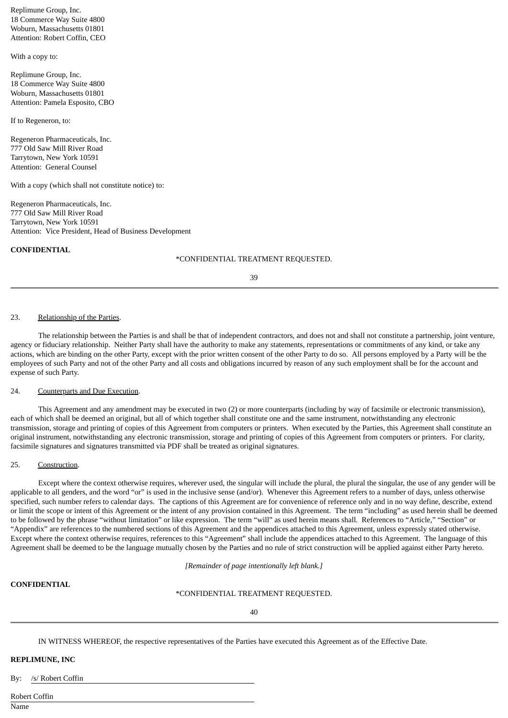Replimune Group, Inc. 18 Commerce Way Suite 4800 Woburn, Massachusetts 01801 Attention: Robert Coffin, CEO

With a copy to:

Replimune Group, Inc. 18 Commerce Way Suite 4800 Woburn, Massachusetts 01801 Attention: Pamela Esposito, CBO

If to Regeneron, to:

Regeneron Pharmaceuticals, Inc. 777 Old Saw Mill River Road Tarrytown, New York 10591 Attention: General Counsel

With a copy (which shall not constitute notice) to:

Regeneron Pharmaceuticals, Inc. 777 Old Saw Mill River Road Tarrytown, New York 10591 Attention: Vice President, Head of Business Development

#### **CONFIDENTIAL**

#### \*CONFIDENTIAL TREATMENT REQUESTED.

39

#### 23. Relationship of the Parties.

The relationship between the Parties is and shall be that of independent contractors, and does not and shall not constitute a partnership, joint venture, agency or fiduciary relationship. Neither Party shall have the authority to make any statements, representations or commitments of any kind, or take any actions, which are binding on the other Party, except with the prior written consent of the other Party to do so. All persons employed by a Party will be the employees of such Party and not of the other Party and all costs and obligations incurred by reason of any such employment shall be for the account and expense of such Party.

#### 24. Counterparts and Due Execution.

This Agreement and any amendment may be executed in two (2) or more counterparts (including by way of facsimile or electronic transmission), each of which shall be deemed an original, but all of which together shall constitute one and the same instrument, notwithstanding any electronic transmission, storage and printing of copies of this Agreement from computers or printers. When executed by the Parties, this Agreement shall constitute an original instrument, notwithstanding any electronic transmission, storage and printing of copies of this Agreement from computers or printers. For clarity, facsimile signatures and signatures transmitted via PDF shall be treated as original signatures.

### 25. Construction.

Except where the context otherwise requires, wherever used, the singular will include the plural, the plural the singular, the use of any gender will be applicable to all genders, and the word "or" is used in the inclusive sense (and/or). Whenever this Agreement refers to a number of days, unless otherwise specified, such number refers to calendar days. The captions of this Agreement are for convenience of reference only and in no way define, describe, extend or limit the scope or intent of this Agreement or the intent of any provision contained in this Agreement. The term "including" as used herein shall be deemed to be followed by the phrase "without limitation" or like expression. The term "will" as used herein means shall. References to "Article," "Section" or "Appendix" are references to the numbered sections of this Agreement and the appendices attached to this Agreement, unless expressly stated otherwise. Except where the context otherwise requires, references to this "Agreement" shall include the appendices attached to this Agreement. The language of this Agreement shall be deemed to be the language mutually chosen by the Parties and no rule of strict construction will be applied against either Party hereto.

*[Remainder of page intentionally left blank.]*

### **CONFIDENTIAL**

#### \*CONFIDENTIAL TREATMENT REQUESTED.

40

IN WITNESS WHEREOF, the respective representatives of the Parties have executed this Agreement as of the Effective Date.

#### **REPLIMUNE, INC**

By: /s/ Robert Coffin

Robert Coffin

Name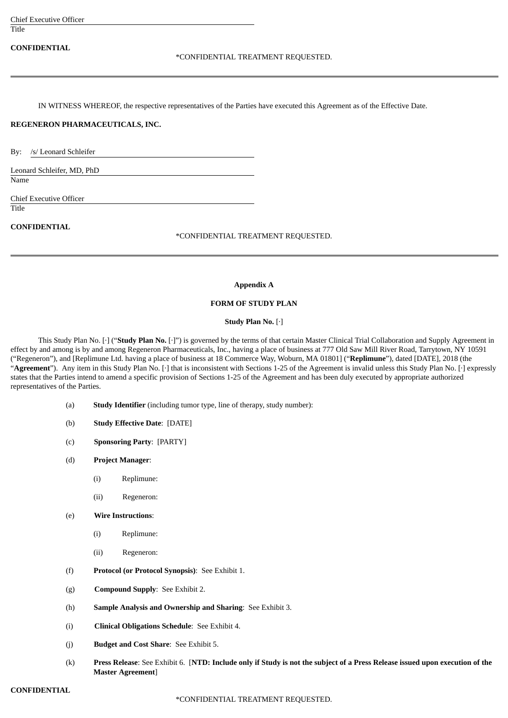| <b>Chief Executive Officer</b>                                                                                           |  |
|--------------------------------------------------------------------------------------------------------------------------|--|
| Title                                                                                                                    |  |
| <b>CONFIDENTIAL</b><br>*CONFIDENTIAL TREATMENT REQUESTED.                                                                |  |
| IN WITNESS WHEREOF, the respective representatives of the Parties have executed this Agreement as of the Effective Date. |  |
| REGENERON PHARMACEUTICALS, INC.                                                                                          |  |
| /s/ Leonard Schleifer<br>$\mathbf{B} \mathbf{v}$ :                                                                       |  |
| Leonard Schleifer, MD, PhD<br>Name                                                                                       |  |
| <b>Chief Executive Officer</b>                                                                                           |  |
| Title                                                                                                                    |  |
| <b>CONFIDENTIAL</b><br>*CONFIDENTIAL TREATMENT REQUESTED.                                                                |  |
|                                                                                                                          |  |

### **Appendix A**

## **FORM OF STUDY PLAN**

### **Study Plan No.** [·]

This Study Plan No. [·] ("**Study Plan No.** [·]") is governed by the terms of that certain Master Clinical Trial Collaboration and Supply Agreement in effect by and among is by and among Regeneron Pharmaceuticals, Inc., having a place of business at 777 Old Saw Mill River Road, Tarrytown, NY 10591 ("Regeneron"), and [Replimune Ltd. having a place of business at 18 Commerce Way, Woburn, MA 01801] ("**Replimune**"), dated [DATE], 2018 (the "Agreement"). Any item in this Study Plan No. [·] that is inconsistent with Sections 1-25 of the Agreement is invalid unless this Study Plan No. [·] expressly states that the Parties intend to amend a specific provision of Sections 1-25 of the Agreement and has been duly executed by appropriate authorized representatives of the Parties.

- (a) **Study Identifier** (including tumor type, line of therapy, study number):
- (b) **Study Effective Date**: [DATE]
- (c) **Sponsoring Party**: [PARTY]
- (d) **Project Manager**:
	- (i) Replimune:
	- (ii) Regeneron:
- (e) **Wire Instructions**:
	- (i) Replimune:
	- (ii) Regeneron:
- (f) **Protocol (or Protocol Synopsis)**: See Exhibit 1.
- (g) **Compound Supply**: See Exhibit 2.
- (h) **Sample Analysis and Ownership and Sharing**: See Exhibit 3.
- (i) **Clinical Obligations Schedule**: See Exhibit 4.
- (j) **Budget and Cost Share**: See Exhibit 5.
- (k) Press Release: See Exhibit 6. [NTD: Include only if Study is not the subject of a Press Release issued upon execution of the **Master Agreement**]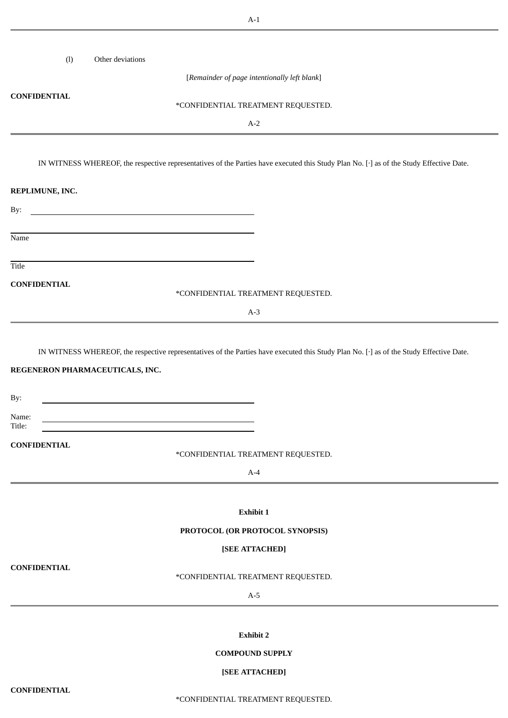| (1)<br>Other deviations |                                                                                                                                         |
|-------------------------|-----------------------------------------------------------------------------------------------------------------------------------------|
|                         | [Remainder of page intentionally left blank]                                                                                            |
| <b>CONFIDENTIAL</b>     | *CONFIDENTIAL TREATMENT REQUESTED.                                                                                                      |
|                         | $A-2$                                                                                                                                   |
|                         |                                                                                                                                         |
|                         | IN WITNESS WHEREOF, the respective representatives of the Parties have executed this Study Plan No. [·] as of the Study Effective Date. |
| REPLIMUNE, INC.         |                                                                                                                                         |
| By:                     | <u> 1980 - Johann Barn, mars ann an t-Amhain Aonaich an t-Aonaich an t-Aonaich ann an t-Aonaich ann an t-Aonaich</u>                    |
|                         |                                                                                                                                         |
| Name                    |                                                                                                                                         |
| Title                   |                                                                                                                                         |
| <b>CONFIDENTIAL</b>     | *CONFIDENTIAL TREATMENT REQUESTED.                                                                                                      |
|                         | $A-3$                                                                                                                                   |
|                         |                                                                                                                                         |
| By:                     |                                                                                                                                         |
| Name:<br>Title:         | <u> 1980 - Johann Barbara, martxa alemaniar amerikan a</u>                                                                              |
| <b>CONFIDENTIAL</b>     | *CONFIDENTIAL TREATMENT REQUESTED.                                                                                                      |
|                         | $A-4$                                                                                                                                   |
|                         |                                                                                                                                         |
|                         | Exhibit 1                                                                                                                               |
|                         | PROTOCOL (OR PROTOCOL SYNOPSIS)                                                                                                         |
| <b>CONFIDENTIAL</b>     | [SEE ATTACHED]                                                                                                                          |
|                         | *CONFIDENTIAL TREATMENT REQUESTED.                                                                                                      |
|                         | $A-5$                                                                                                                                   |
|                         |                                                                                                                                         |
|                         | <b>Exhibit 2</b>                                                                                                                        |
|                         | <b>COMPOUND SUPPLY</b>                                                                                                                  |
|                         | [SEE ATTACHED]                                                                                                                          |

**CONFIDENTIAL**